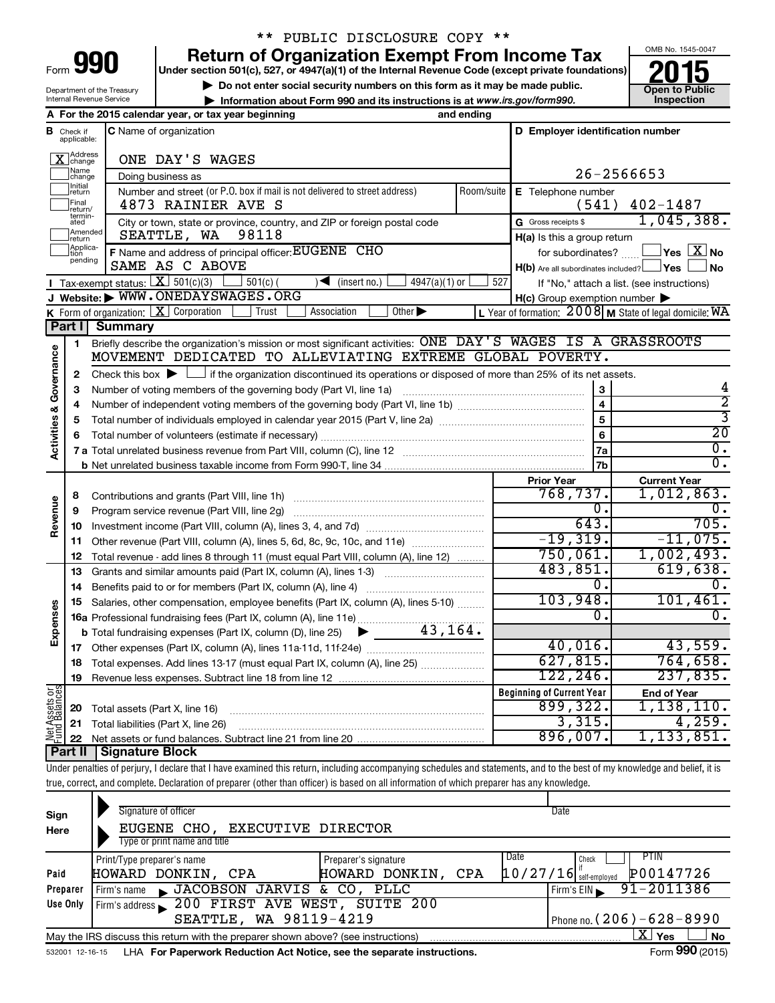| Form |  |
|------|--|

## \*\* PUBLIC DISCLOSURE COPY \*\*

**Under section 501(c), 527, or 4947(a)(1) of the Internal Revenue Code (except private foundations) 990 Return of Organization Exempt From Income Tax 1990 2015**<br>
Under section 501(c), 527, or 4947(a)(1) of the Internal Revenue Code (except private foundations) **2015** 

**| Do not enter social security numbers on this form as it may be made public. Open to Public** 

**• Information about Form 990 and its instructions is at www.irs.gov/form990. and inspection** 



Department of the Treasury Internal Revenue Service

|                         |                                  | A For the 2015 calendar year, or tax year beginning                                                                                                                        | and ending |                                                     |                                                                  |
|-------------------------|----------------------------------|----------------------------------------------------------------------------------------------------------------------------------------------------------------------------|------------|-----------------------------------------------------|------------------------------------------------------------------|
|                         | <b>B</b> Check if<br>applicable: | C Name of organization                                                                                                                                                     |            | D Employer identification number                    |                                                                  |
|                         | Address<br> change               | ONE DAY'S WAGES                                                                                                                                                            |            |                                                     |                                                                  |
|                         | Name<br>change                   | Doing business as                                                                                                                                                          |            |                                                     | 26-2566653                                                       |
|                         | Initial<br>return                | Number and street (or P.O. box if mail is not delivered to street address)                                                                                                 | Room/suite | E Telephone number                                  |                                                                  |
|                         | Final<br>return/                 | 4873 RAINIER AVE S                                                                                                                                                         |            | (541)                                               | $402 - 1487$                                                     |
|                         | termin-<br>ated                  | City or town, state or province, country, and ZIP or foreign postal code                                                                                                   |            | G Gross receipts \$                                 | 1,045,388.                                                       |
|                         | Amended<br>return                | SEATTLE, WA<br>98118                                                                                                                                                       |            | H(a) Is this a group return                         |                                                                  |
|                         | Applica-<br>tion<br>pending      | F Name and address of principal officer: EUGENE CHO                                                                                                                        |            |                                                     | for subordinates? $\text{mm}$ $\Box$ Yes $\boxed{\mathbf{X}}$ No |
|                         |                                  | SAME AS C ABOVE                                                                                                                                                            |            | H(b) Are all subordinates included? Ves             | ⊿ No                                                             |
|                         |                                  | Tax-exempt status: $X \over 301(c)(3)$<br>$\frac{1}{2}$ 501(c) (<br>$4947(a)(1)$ or<br>$\sqrt{\frac{1}{1}}$ (insert no.)                                                   | 527        |                                                     | If "No," attach a list. (see instructions)                       |
|                         |                                  | J Website: WWW.ONEDAYSWAGES.ORG                                                                                                                                            |            | $H(c)$ Group exemption number $\blacktriangleright$ |                                                                  |
|                         |                                  | K Form of organization: $X$ Corporation<br>Trust<br>Association<br>Other $\blacktriangleright$                                                                             |            |                                                     | L Year of formation: $2008$ M State of legal domicile: WA        |
|                         | Part II                          | <b>Summary</b>                                                                                                                                                             |            |                                                     |                                                                  |
|                         | 1                                | Briefly describe the organization's mission or most significant activities: ONE DAY'S WAGES IS A GRASSROOTS                                                                |            |                                                     |                                                                  |
| Governance              |                                  | MOVEMENT DEDICATED TO ALLEVIATING EXTREME GLOBAL POVERTY.                                                                                                                  |            |                                                     |                                                                  |
|                         | 2                                | Check this box $\blacktriangleright$ $\Box$ if the organization discontinued its operations or disposed of more than 25% of its net assets.                                |            |                                                     |                                                                  |
|                         | З                                | Number of voting members of the governing body (Part VI, line 1a)                                                                                                          |            |                                                     | 4                                                                |
|                         | 4                                |                                                                                                                                                                            |            | $\overline{\mathbf{4}}$                             | $\overline{2}$                                                   |
|                         | 5                                |                                                                                                                                                                            |            | $\overline{5}$                                      | $\overline{3}$                                                   |
|                         | 6                                |                                                                                                                                                                            |            | 6                                                   | $\overline{20}$                                                  |
| <b>Activities &amp;</b> |                                  |                                                                                                                                                                            |            | 7a                                                  | $\overline{0}$ .                                                 |
|                         |                                  |                                                                                                                                                                            |            | 7 <sub>b</sub>                                      | $\overline{0}$ .                                                 |
|                         |                                  |                                                                                                                                                                            |            | <b>Prior Year</b>                                   | <b>Current Year</b>                                              |
|                         | 8                                |                                                                                                                                                                            |            | 768, 737.                                           | 1,012,863.                                                       |
|                         | 9                                | Program service revenue (Part VIII, line 2g)                                                                                                                               |            | Ο.                                                  | О.                                                               |
| Revenue                 | 10                               |                                                                                                                                                                            |            | 643.                                                | 705.                                                             |
|                         | 11                               | Other revenue (Part VIII, column (A), lines 5, 6d, 8c, 9c, 10c, and 11e)                                                                                                   |            | $-19,319.$                                          | $-11,075.$                                                       |
|                         | 12                               | Total revenue - add lines 8 through 11 (must equal Part VIII, column (A), line 12)                                                                                         |            | 750,061.                                            | 1,002,493.                                                       |
|                         | 13                               | Grants and similar amounts paid (Part IX, column (A), lines 1-3)                                                                                                           |            | 483,851.                                            | 619,638.                                                         |
|                         | 14                               | Benefits paid to or for members (Part IX, column (A), line 4)                                                                                                              |            | 0.                                                  | $\mathbf 0$ .                                                    |
|                         | 15                               | Salaries, other compensation, employee benefits (Part IX, column (A), lines 5-10)                                                                                          |            | 103,948.                                            | 101,461.                                                         |
| Expenses                |                                  |                                                                                                                                                                            |            | 0.                                                  | $\overline{0}$ .                                                 |
|                         |                                  |                                                                                                                                                                            |            |                                                     |                                                                  |
|                         |                                  |                                                                                                                                                                            |            | 40,016.                                             | 43,559.                                                          |
|                         |                                  | 18 Total expenses. Add lines 13-17 (must equal Part IX, column (A), line 25)                                                                                               |            | 627,815.                                            | 764,658.                                                         |
|                         | 19                               |                                                                                                                                                                            |            | 122,246.                                            | 237,835.                                                         |
| Net Assets or           |                                  |                                                                                                                                                                            |            | <b>Beginning of Current Year</b>                    | <b>End of Year</b>                                               |
|                         | 20                               | Total assets (Part X, line 16)                                                                                                                                             |            | 899, 322.                                           | 1,138,110.                                                       |
|                         | 21                               | Total liabilities (Part X, line 26)                                                                                                                                        |            | 3,315.                                              | 4,259.                                                           |
|                         | 22                               |                                                                                                                                                                            |            | 896,007.                                            | 1, 133, 851.                                                     |
|                         | Part II                          | <b>Signature Block</b>                                                                                                                                                     |            |                                                     |                                                                  |
|                         |                                  | Under penalties of perjury, I declare that I have examined this return, including accompanying schedules and statements, and to the best of my knowledge and belief, it is |            |                                                     |                                                                  |
|                         |                                  | true, correct, and complete. Declaration of preparer (other than officer) is based on all information of which preparer has any knowledge.                                 |            |                                                     |                                                                  |

| Sign<br>Here    | Signature of officer<br>EXECUTIVE DIRECTOR<br>EUGENE CHO.<br>Type or print name and title |                                               | Date                                                           |
|-----------------|-------------------------------------------------------------------------------------------|-----------------------------------------------|----------------------------------------------------------------|
| Paid            | Print/Type preparer's name<br>HOWARD DONKIN, CPA                                          | Preparer's signature<br>HOWARD DONKIN,<br>CPA | PTIN<br>Date<br>Check<br>P00147726<br>$10/27/16$ self-employed |
| Preparer        | Firm's name JACOBSON JARVIS & CO, PLLC                                                    |                                               | 91-2011386<br>Firm's EIN                                       |
| Use Only        | Firm's address 200 FIRST AVE WEST, SUITE 200                                              |                                               |                                                                |
|                 | SEATTLE, WA 98119-4219                                                                    |                                               | Phone no. ( $206$ ) -628-8990                                  |
|                 | May the IRS discuss this return with the preparer shown above? (see instructions)         |                                               | x.<br>Yes<br><b>No</b>                                         |
| 532001 12-16-15 | LHA For Paperwork Reduction Act Notice, see the separate instructions.                    |                                               | Form 990 (2015)                                                |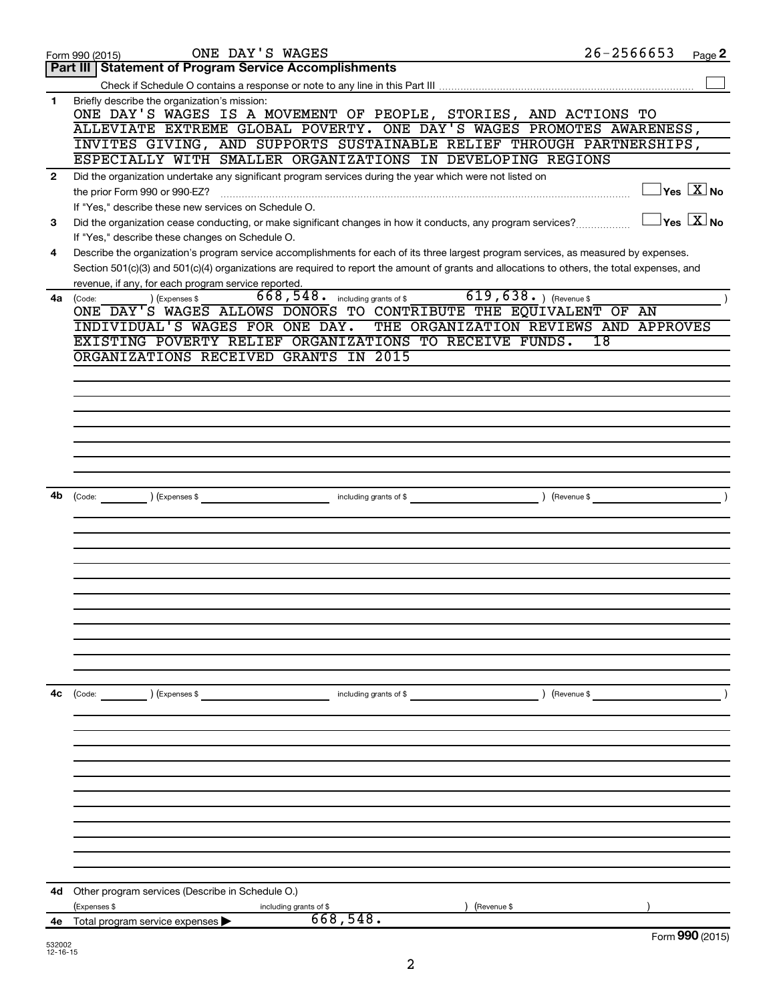|              | ONE DAY'S WAGES<br>Form 990 (2015)                                                                                                                                                                                                                                                                                                | $26 - 2566653$ | Page 2                                                                                      |
|--------------|-----------------------------------------------------------------------------------------------------------------------------------------------------------------------------------------------------------------------------------------------------------------------------------------------------------------------------------|----------------|---------------------------------------------------------------------------------------------|
|              | <b>Part III   Statement of Program Service Accomplishments</b>                                                                                                                                                                                                                                                                    |                |                                                                                             |
|              |                                                                                                                                                                                                                                                                                                                                   |                |                                                                                             |
| 1            | Briefly describe the organization's mission:<br>ONE DAY'S WAGES IS A MOVEMENT OF PEOPLE, STORIES, AND ACTIONS TO<br>ALLEVIATE EXTREME GLOBAL POVERTY. ONE DAY'S WAGES PROMOTES AWARENESS,<br>INVITES GIVING, AND SUPPORTS SUSTAINABLE RELIEF THROUGH PARTNERSHIPS,<br>ESPECIALLY WITH SMALLER ORGANIZATIONS IN DEVELOPING REGIONS |                |                                                                                             |
| $\mathbf{2}$ | Did the organization undertake any significant program services during the year which were not listed on                                                                                                                                                                                                                          |                |                                                                                             |
|              | the prior Form 990 or 990-EZ?<br>If "Yes," describe these new services on Schedule O.                                                                                                                                                                                                                                             |                | $\left\vert \mathsf{Yes}\right\vert \overline{\mathsf{X}}\left\vert \mathsf{No}\right\vert$ |
| 3            | Did the organization cease conducting, or make significant changes in how it conducts, any program services?<br>If "Yes," describe these changes on Schedule O.                                                                                                                                                                   |                | $\Box$ Yes $[\overline{\mathrm{X}}]$ No                                                     |
| 4            | Describe the organization's program service accomplishments for each of its three largest program services, as measured by expenses.<br>Section 501(c)(3) and 501(c)(4) organizations are required to report the amount of grants and allocations to others, the total expenses, and                                              |                |                                                                                             |
| 4a           | revenue, if any, for each program service reported.<br>$619, 638.$ (Revenue \$)<br>$\overline{668,548\cdot}$ including grants of \$<br>(Expenses \$<br>(Code:                                                                                                                                                                     |                |                                                                                             |
|              | ONE DAY'S WAGES ALLOWS DONORS TO CONTRIBUTE THE EQUIVALENT OF AN                                                                                                                                                                                                                                                                  |                |                                                                                             |
|              | INDIVIDUAL'S WAGES FOR ONE DAY.<br>THE ORGANIZATION REVIEWS AND APPROVES                                                                                                                                                                                                                                                          |                |                                                                                             |
|              | EXISTING POVERTY RELIEF ORGANIZATIONS TO RECEIVE FUNDS.<br>18                                                                                                                                                                                                                                                                     |                |                                                                                             |
|              | ORGANIZATIONS RECEIVED GRANTS IN 2015                                                                                                                                                                                                                                                                                             |                |                                                                                             |
|              |                                                                                                                                                                                                                                                                                                                                   |                |                                                                                             |
|              |                                                                                                                                                                                                                                                                                                                                   |                |                                                                                             |
|              |                                                                                                                                                                                                                                                                                                                                   |                |                                                                                             |
|              |                                                                                                                                                                                                                                                                                                                                   |                |                                                                                             |
|              |                                                                                                                                                                                                                                                                                                                                   |                |                                                                                             |
|              |                                                                                                                                                                                                                                                                                                                                   |                |                                                                                             |
| 4b           |                                                                                                                                                                                                                                                                                                                                   |                | $\overline{\phantom{a}}$                                                                    |
|              | entity of the contract of the contract of the contract of the contract of the contract of the contract of the contract of the contract of the contract of the contract of the contract of the contract of the contract of the<br>(Code: ) (Expenses \$                                                                            |                |                                                                                             |
|              |                                                                                                                                                                                                                                                                                                                                   |                |                                                                                             |
|              |                                                                                                                                                                                                                                                                                                                                   |                |                                                                                             |
|              |                                                                                                                                                                                                                                                                                                                                   |                |                                                                                             |
|              |                                                                                                                                                                                                                                                                                                                                   |                |                                                                                             |
|              |                                                                                                                                                                                                                                                                                                                                   |                |                                                                                             |
|              |                                                                                                                                                                                                                                                                                                                                   |                |                                                                                             |
|              |                                                                                                                                                                                                                                                                                                                                   |                |                                                                                             |
|              |                                                                                                                                                                                                                                                                                                                                   |                |                                                                                             |
|              |                                                                                                                                                                                                                                                                                                                                   |                |                                                                                             |
|              |                                                                                                                                                                                                                                                                                                                                   |                |                                                                                             |
| 4c           | (Code:<br>) (Expenses \$<br>) (Revenue \$<br>including grants of \$                                                                                                                                                                                                                                                               |                |                                                                                             |
|              |                                                                                                                                                                                                                                                                                                                                   |                |                                                                                             |
|              |                                                                                                                                                                                                                                                                                                                                   |                |                                                                                             |
|              |                                                                                                                                                                                                                                                                                                                                   |                |                                                                                             |
|              |                                                                                                                                                                                                                                                                                                                                   |                |                                                                                             |
|              |                                                                                                                                                                                                                                                                                                                                   |                |                                                                                             |
|              |                                                                                                                                                                                                                                                                                                                                   |                |                                                                                             |
|              |                                                                                                                                                                                                                                                                                                                                   |                |                                                                                             |
|              |                                                                                                                                                                                                                                                                                                                                   |                |                                                                                             |
|              |                                                                                                                                                                                                                                                                                                                                   |                |                                                                                             |
|              |                                                                                                                                                                                                                                                                                                                                   |                |                                                                                             |
| 4d           | Other program services (Describe in Schedule O.)                                                                                                                                                                                                                                                                                  |                |                                                                                             |
| 4е           | (Expenses \$<br>Revenue \$<br>including grants of \$<br>668,548.<br>Total program service expenses                                                                                                                                                                                                                                |                |                                                                                             |
| 532002       |                                                                                                                                                                                                                                                                                                                                   |                | Form 990 (2015)                                                                             |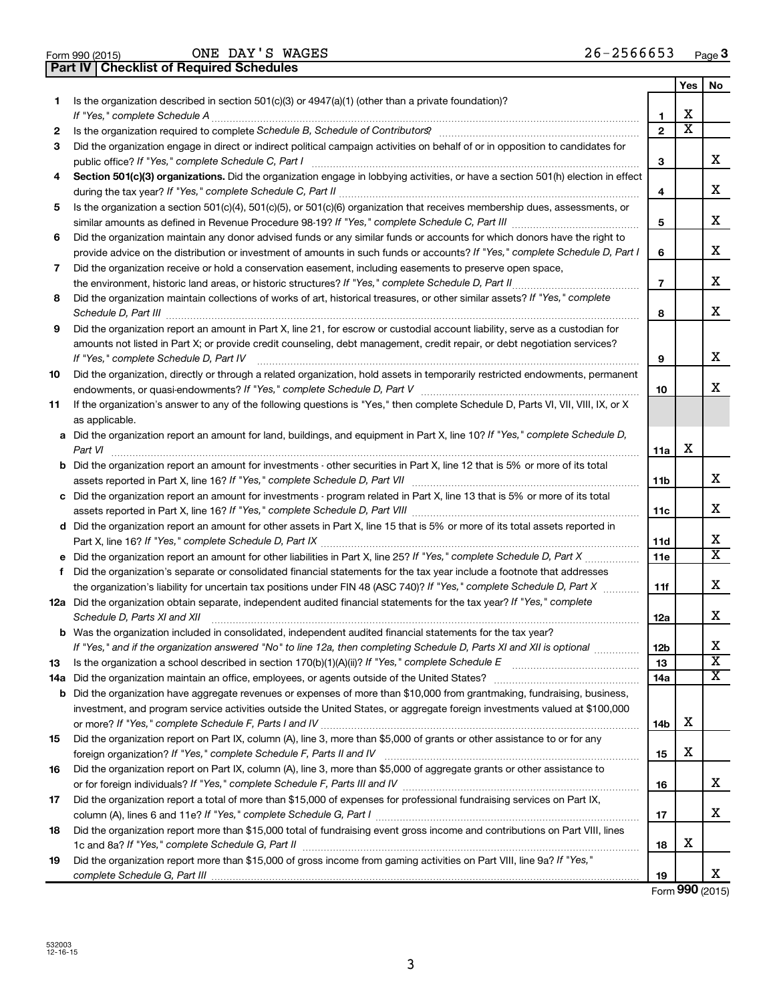| Form 990 (2015) |  |  |
|-----------------|--|--|

ONE DAY'S WAGES 26-2566653

**Part IV Checklist of Required Schedules**

|     |                                                                                                                                                                                         |                 | Yes | No                      |
|-----|-----------------------------------------------------------------------------------------------------------------------------------------------------------------------------------------|-----------------|-----|-------------------------|
| 1.  | Is the organization described in section $501(c)(3)$ or $4947(a)(1)$ (other than a private foundation)?                                                                                 |                 |     |                         |
|     | If "Yes," complete Schedule A                                                                                                                                                           | 1               | x   |                         |
| 2   | Is the organization required to complete Schedule B, Schedule of Contributors? [11] The organization required to complete Schedule B, Schedule of Contributors?                         | $\overline{2}$  | х   |                         |
| 3   | Did the organization engage in direct or indirect political campaign activities on behalf of or in opposition to candidates for<br>public office? If "Yes," complete Schedule C, Part I | з               |     | x.                      |
| 4   | Section 501(c)(3) organizations. Did the organization engage in lobbying activities, or have a section 501(h) election in effect                                                        |                 |     |                         |
|     |                                                                                                                                                                                         | 4               |     | х                       |
| 5   | Is the organization a section 501(c)(4), 501(c)(5), or 501(c)(6) organization that receives membership dues, assessments, or                                                            |                 |     |                         |
|     |                                                                                                                                                                                         | 5               |     | х                       |
| 6   | Did the organization maintain any donor advised funds or any similar funds or accounts for which donors have the right to                                                               |                 |     |                         |
|     | provide advice on the distribution or investment of amounts in such funds or accounts? If "Yes," complete Schedule D, Part I                                                            | 6               |     | x.                      |
| 7   | Did the organization receive or hold a conservation easement, including easements to preserve open space,                                                                               |                 |     |                         |
|     |                                                                                                                                                                                         | $\overline{7}$  |     | x                       |
| 8   | Did the organization maintain collections of works of art, historical treasures, or other similar assets? If "Yes," complete<br>Schedule D, Part III                                    | 8               |     | x.                      |
| 9   | Did the organization report an amount in Part X, line 21, for escrow or custodial account liability, serve as a custodian for                                                           |                 |     |                         |
|     | amounts not listed in Part X; or provide credit counseling, debt management, credit repair, or debt negotiation services?                                                               |                 |     |                         |
|     | If "Yes," complete Schedule D, Part IV                                                                                                                                                  | 9               |     | х                       |
| 10  | Did the organization, directly or through a related organization, hold assets in temporarily restricted endowments, permanent                                                           |                 |     |                         |
|     |                                                                                                                                                                                         | 10              |     | x.                      |
| 11  | If the organization's answer to any of the following questions is "Yes," then complete Schedule D, Parts VI, VII, VIII, IX, or X                                                        |                 |     |                         |
|     | as applicable.                                                                                                                                                                          |                 |     |                         |
|     | a Did the organization report an amount for land, buildings, and equipment in Part X, line 10? If "Yes," complete Schedule D,<br>Part VI                                                | 11a             | х   |                         |
|     | <b>b</b> Did the organization report an amount for investments - other securities in Part X, line 12 that is 5% or more of its total                                                    |                 |     |                         |
|     |                                                                                                                                                                                         | 11b             |     | X.                      |
|     | c Did the organization report an amount for investments - program related in Part X, line 13 that is 5% or more of its total                                                            |                 |     |                         |
|     |                                                                                                                                                                                         | 11c             |     | х                       |
|     | d Did the organization report an amount for other assets in Part X, line 15 that is 5% or more of its total assets reported in                                                          |                 |     |                         |
|     |                                                                                                                                                                                         | 11d             |     | х<br>X                  |
|     |                                                                                                                                                                                         | 11e             |     |                         |
| f   | Did the organization's separate or consolidated financial statements for the tax year include a footnote that addresses                                                                 |                 |     | х                       |
|     | the organization's liability for uncertain tax positions under FIN 48 (ASC 740)? If "Yes," complete Schedule D, Part X                                                                  | 11f             |     |                         |
|     | 12a Did the organization obtain separate, independent audited financial statements for the tax year? If "Yes," complete<br>Schedule D, Parts XI and XII                                 |                 |     | X.                      |
|     | <b>b</b> Was the organization included in consolidated, independent audited financial statements for the tax year?                                                                      | 12a             |     |                         |
|     | If "Yes," and if the organization answered "No" to line 12a, then completing Schedule D, Parts XI and XII is optional www.                                                              | 12 <sub>b</sub> |     | х                       |
| 13  | Is the organization a school described in section $170(b)(1)(A)(ii)?$ If "Yes," complete Schedule E                                                                                     | 13              |     | $\overline{\textbf{x}}$ |
| 14a | Did the organization maintain an office, employees, or agents outside of the United States?                                                                                             | 14a             |     | x                       |
|     | <b>b</b> Did the organization have aggregate revenues or expenses of more than \$10,000 from grantmaking, fundraising, business,                                                        |                 |     |                         |
|     | investment, and program service activities outside the United States, or aggregate foreign investments valued at \$100,000                                                              |                 |     |                         |
|     |                                                                                                                                                                                         | 14b             | x   |                         |
| 15  | Did the organization report on Part IX, column (A), line 3, more than \$5,000 of grants or other assistance to or for any                                                               |                 |     |                         |
|     |                                                                                                                                                                                         | 15              | х   |                         |
| 16  | Did the organization report on Part IX, column (A), line 3, more than \$5,000 of aggregate grants or other assistance to                                                                |                 |     |                         |
|     |                                                                                                                                                                                         | 16              |     | х                       |
| 17  | Did the organization report a total of more than \$15,000 of expenses for professional fundraising services on Part IX,                                                                 |                 |     |                         |
|     |                                                                                                                                                                                         | 17              |     | х                       |
| 18  | Did the organization report more than \$15,000 total of fundraising event gross income and contributions on Part VIII, lines                                                            |                 |     |                         |
|     |                                                                                                                                                                                         | 18              | x   |                         |
| 19  | Did the organization report more than \$15,000 of gross income from gaming activities on Part VIII, line 9a? If "Yes,"                                                                  |                 |     |                         |
|     |                                                                                                                                                                                         | 19              |     | x                       |

Form **990** (2015)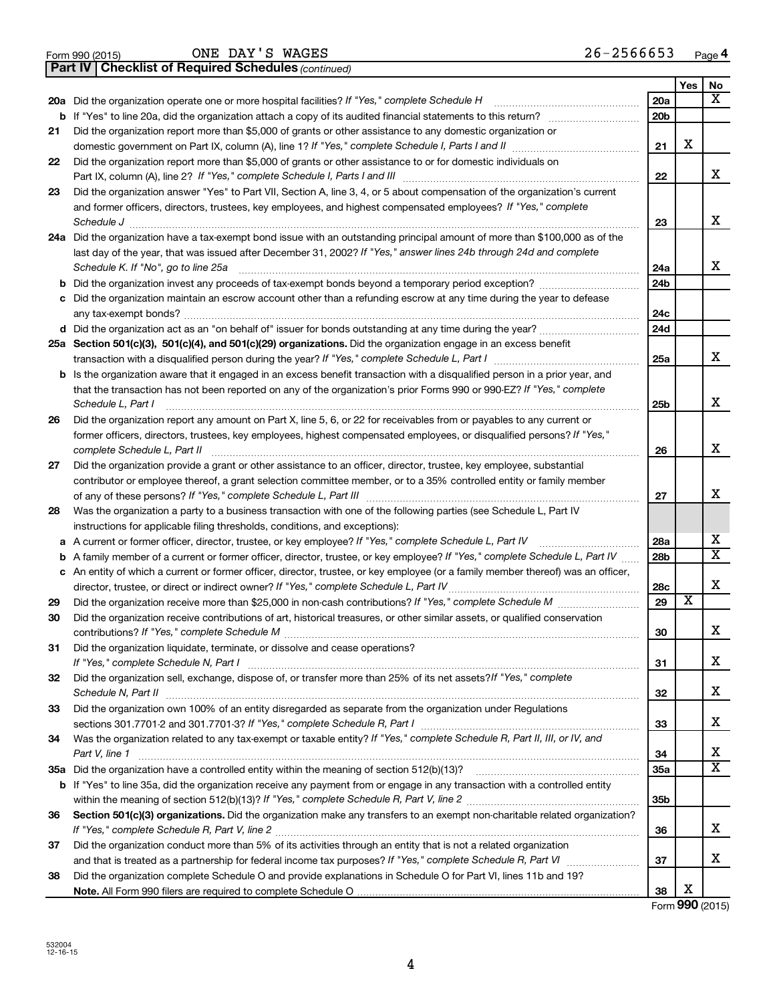|  | Form 990 (2015) |
|--|-----------------|
|  |                 |

**Part IV Checklist of Required Schedules**

ONE DAY'S WAGES 26-2566653

*(continued)*

|    |                                                                                                                                 |                 | Yes                     | No                      |
|----|---------------------------------------------------------------------------------------------------------------------------------|-----------------|-------------------------|-------------------------|
|    | 20a Did the organization operate one or more hospital facilities? If "Yes," complete Schedule H                                 | 20a             |                         | x                       |
|    | <b>b</b> If "Yes" to line 20a, did the organization attach a copy of its audited financial statements to this return?           | 20 <sub>b</sub> |                         |                         |
| 21 | Did the organization report more than \$5,000 of grants or other assistance to any domestic organization or                     |                 |                         |                         |
|    | domestic government on Part IX, column (A), line 1? If "Yes," complete Schedule I, Parts I and II                               | 21              | х                       |                         |
| 22 | Did the organization report more than \$5,000 of grants or other assistance to or for domestic individuals on                   |                 |                         |                         |
|    |                                                                                                                                 | 22              |                         | x                       |
| 23 | Did the organization answer "Yes" to Part VII, Section A, line 3, 4, or 5 about compensation of the organization's current      |                 |                         |                         |
|    | and former officers, directors, trustees, key employees, and highest compensated employees? If "Yes," complete                  |                 |                         |                         |
|    | Schedule J                                                                                                                      | 23              |                         | X                       |
|    | 24a Did the organization have a tax-exempt bond issue with an outstanding principal amount of more than \$100,000 as of the     |                 |                         |                         |
|    | last day of the year, that was issued after December 31, 2002? If "Yes," answer lines 24b through 24d and complete              |                 |                         |                         |
|    | Schedule K. If "No", go to line 25a                                                                                             | 24a             |                         | x                       |
| b  | Did the organization invest any proceeds of tax-exempt bonds beyond a temporary period exception?                               | 24b             |                         |                         |
| с  | Did the organization maintain an escrow account other than a refunding escrow at any time during the year to defease            |                 |                         |                         |
|    |                                                                                                                                 | 24c             |                         |                         |
|    |                                                                                                                                 | 24d             |                         |                         |
|    | 25a Section 501(c)(3), 501(c)(4), and 501(c)(29) organizations. Did the organization engage in an excess benefit                |                 |                         |                         |
|    |                                                                                                                                 | 25a             |                         | х                       |
| b  | Is the organization aware that it engaged in an excess benefit transaction with a disqualified person in a prior year, and      |                 |                         |                         |
|    | that the transaction has not been reported on any of the organization's prior Forms 990 or 990-EZ? If "Yes," complete           |                 |                         |                         |
|    | Schedule L, Part I                                                                                                              | 25b             |                         | х                       |
| 26 | Did the organization report any amount on Part X, line 5, 6, or 22 for receivables from or payables to any current or           |                 |                         |                         |
|    | former officers, directors, trustees, key employees, highest compensated employees, or disqualified persons? If "Yes,"          |                 |                         | x                       |
|    | complete Schedule L, Part II                                                                                                    | 26              |                         |                         |
| 27 | Did the organization provide a grant or other assistance to an officer, director, trustee, key employee, substantial            |                 |                         |                         |
|    | contributor or employee thereof, a grant selection committee member, or to a 35% controlled entity or family member             | 27              |                         | x                       |
|    | Was the organization a party to a business transaction with one of the following parties (see Schedule L, Part IV               |                 |                         |                         |
| 28 | instructions for applicable filing thresholds, conditions, and exceptions):                                                     |                 |                         |                         |
| а  | A current or former officer, director, trustee, or key employee? If "Yes," complete Schedule L, Part IV                         | 28a             |                         | х                       |
| b  | A family member of a current or former officer, director, trustee, or key employee? If "Yes," complete Schedule L, Part IV      | 28 <sub>b</sub> |                         | $\overline{\mathbf{X}}$ |
| с  | An entity of which a current or former officer, director, trustee, or key employee (or a family member thereof) was an officer, |                 |                         |                         |
|    | director, trustee, or direct or indirect owner? If "Yes," complete Schedule L, Part IV                                          | 28c             |                         | х                       |
| 29 |                                                                                                                                 | 29              | $\overline{\textbf{x}}$ |                         |
| 30 | Did the organization receive contributions of art, historical treasures, or other similar assets, or qualified conservation     |                 |                         |                         |
|    |                                                                                                                                 | 30              |                         | X                       |
| 31 | Did the organization liquidate, terminate, or dissolve and cease operations?                                                    |                 |                         |                         |
|    | If "Yes," complete Schedule N, Part I                                                                                           | 31              |                         | х                       |
| 32 | Did the organization sell, exchange, dispose of, or transfer more than 25% of its net assets? If "Yes," complete                |                 |                         |                         |
|    | Schedule N, Part II                                                                                                             | 32              |                         | х                       |
| 33 | Did the organization own 100% of an entity disregarded as separate from the organization under Regulations                      |                 |                         |                         |
|    |                                                                                                                                 | 33              |                         | х                       |
| 34 | Was the organization related to any tax-exempt or taxable entity? If "Yes," complete Schedule R, Part II, III, or IV, and       |                 |                         |                         |
|    | Part V, line 1                                                                                                                  | 34              |                         | х                       |
|    |                                                                                                                                 | 35a             |                         | $\overline{\mathbf{x}}$ |
|    | b If "Yes" to line 35a, did the organization receive any payment from or engage in any transaction with a controlled entity     |                 |                         |                         |
|    |                                                                                                                                 | 35b             |                         |                         |
| 36 | Section 501(c)(3) organizations. Did the organization make any transfers to an exempt non-charitable related organization?      |                 |                         |                         |
|    |                                                                                                                                 | 36              |                         | х                       |
| 37 | Did the organization conduct more than 5% of its activities through an entity that is not a related organization                |                 |                         |                         |
|    |                                                                                                                                 | 37              |                         | х                       |
| 38 | Did the organization complete Schedule O and provide explanations in Schedule O for Part VI, lines 11b and 19?                  |                 |                         |                         |
|    |                                                                                                                                 | 38              | х                       |                         |

Form **990** (2015)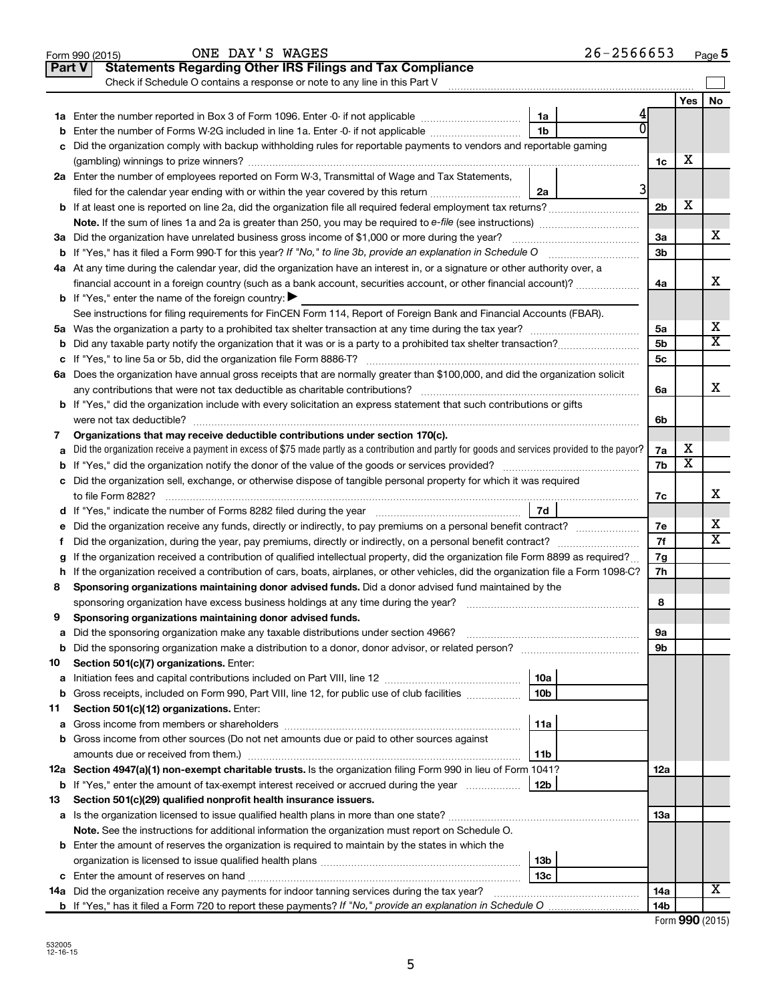|    | ONE DAY'S WAGES<br>Form 990 (2015)                                                                                                                |                 | $26 - 2566653$ |                |                         | Page 5                  |
|----|---------------------------------------------------------------------------------------------------------------------------------------------------|-----------------|----------------|----------------|-------------------------|-------------------------|
|    | <b>Statements Regarding Other IRS Filings and Tax Compliance</b><br><b>Part V</b>                                                                 |                 |                |                |                         |                         |
|    | Check if Schedule O contains a response or note to any line in this Part V                                                                        |                 |                |                |                         |                         |
|    |                                                                                                                                                   |                 |                |                | Yes                     | No                      |
|    |                                                                                                                                                   | 1a              |                |                |                         |                         |
| b  | Enter the number of Forms W-2G included in line 1a. Enter -0- if not applicable <i>manumumumum</i>                                                | 1b              |                |                |                         |                         |
| c  | Did the organization comply with backup withholding rules for reportable payments to vendors and reportable gaming                                |                 |                |                |                         |                         |
|    |                                                                                                                                                   |                 |                | 1c             | х                       |                         |
|    | 2a Enter the number of employees reported on Form W-3, Transmittal of Wage and Tax Statements,                                                    |                 |                |                |                         |                         |
|    | filed for the calendar year ending with or within the year covered by this return                                                                 | 2a              | 3              |                |                         |                         |
|    |                                                                                                                                                   |                 |                | 2 <sub>b</sub> | X                       |                         |
|    |                                                                                                                                                   |                 |                |                |                         |                         |
|    | 3a Did the organization have unrelated business gross income of \$1,000 or more during the year?                                                  |                 |                | За             |                         | x                       |
|    |                                                                                                                                                   |                 |                | 3 <sub>b</sub> |                         |                         |
|    | 4a At any time during the calendar year, did the organization have an interest in, or a signature or other authority over, a                      |                 |                |                |                         |                         |
|    | financial account in a foreign country (such as a bank account, securities account, or other financial account)?                                  |                 |                | 4a             |                         | X                       |
|    | <b>b</b> If "Yes," enter the name of the foreign country: $\blacktriangleright$                                                                   |                 |                |                |                         |                         |
|    | See instructions for filing requirements for FinCEN Form 114, Report of Foreign Bank and Financial Accounts (FBAR).                               |                 |                |                |                         |                         |
|    |                                                                                                                                                   |                 |                | 5a             |                         | х                       |
|    | <b>b</b> Did any taxable party notify the organization that it was or is a party to a prohibited tax shelter transaction?                         |                 |                | 5b             |                         | $\overline{\textbf{x}}$ |
|    |                                                                                                                                                   |                 |                | 5c             |                         |                         |
|    | 6a Does the organization have annual gross receipts that are normally greater than \$100,000, and did the organization solicit                    |                 |                |                |                         |                         |
|    | any contributions that were not tax deductible as charitable contributions?                                                                       |                 |                | 6a             |                         | X                       |
|    | <b>b</b> If "Yes," did the organization include with every solicitation an express statement that such contributions or gifts                     |                 |                |                |                         |                         |
|    | were not tax deductible?                                                                                                                          |                 |                | 6b             |                         |                         |
| 7  | Organizations that may receive deductible contributions under section 170(c).                                                                     |                 |                |                |                         |                         |
|    | a Did the organization receive a payment in excess of \$75 made partly as a contribution and partly for goods and services provided to the payor? |                 |                | 7a             | х                       |                         |
|    |                                                                                                                                                   |                 |                | 7b             | $\overline{\texttt{x}}$ |                         |
|    |                                                                                                                                                   |                 |                |                |                         |                         |
|    | c Did the organization sell, exchange, or otherwise dispose of tangible personal property for which it was required                               |                 |                |                |                         | х                       |
|    | to file Form 8282?                                                                                                                                | 7d              |                | 7c             |                         |                         |
|    | d If "Yes," indicate the number of Forms 8282 filed during the year manufactured intervent in the set of the N                                    |                 |                |                |                         | х                       |
| е  | Did the organization receive any funds, directly or indirectly, to pay premiums on a personal benefit contract?                                   |                 |                | 7e             |                         | $\overline{\text{x}}$   |
| f. | Did the organization, during the year, pay premiums, directly or indirectly, on a personal benefit contract?                                      |                 |                | 7f             |                         |                         |
| g  | If the organization received a contribution of qualified intellectual property, did the organization file Form 8899 as required?                  |                 |                | 7g             |                         |                         |
|    | h If the organization received a contribution of cars, boats, airplanes, or other vehicles, did the organization file a Form 1098-C?              |                 |                | 7h             |                         |                         |
| 8  | Sponsoring organizations maintaining donor advised funds. Did a donor advised fund maintained by the                                              |                 |                |                |                         |                         |
|    | sponsoring organization have excess business holdings at any time during the year?                                                                |                 |                | 8              |                         |                         |
| 9  | Sponsoring organizations maintaining donor advised funds.                                                                                         |                 |                |                |                         |                         |
| а  | Did the sponsoring organization make any taxable distributions under section 4966?                                                                |                 |                | 9а             |                         |                         |
| b  |                                                                                                                                                   |                 |                | 9b             |                         |                         |
| 10 | Section 501(c)(7) organizations. Enter:                                                                                                           |                 |                |                |                         |                         |
| а  |                                                                                                                                                   | 10a             |                |                |                         |                         |
| b  | Gross receipts, included on Form 990, Part VIII, line 12, for public use of club facilities                                                       | 10b             |                |                |                         |                         |
| 11 | Section 501(c)(12) organizations. Enter:                                                                                                          |                 |                |                |                         |                         |
| а  |                                                                                                                                                   | 11a             |                |                |                         |                         |
| b  | Gross income from other sources (Do not net amounts due or paid to other sources against                                                          |                 |                |                |                         |                         |
|    |                                                                                                                                                   | 11b             |                |                |                         |                         |
|    | 12a Section 4947(a)(1) non-exempt charitable trusts. Is the organization filing Form 990 in lieu of Form 1041?                                    |                 |                | 12a            |                         |                         |
| b  | If "Yes," enter the amount of tax-exempt interest received or accrued during the year                                                             | 12b             |                |                |                         |                         |
| 13 | Section 501(c)(29) qualified nonprofit health insurance issuers.                                                                                  |                 |                |                |                         |                         |
|    |                                                                                                                                                   |                 |                | 13a            |                         |                         |
|    | Note. See the instructions for additional information the organization must report on Schedule O.                                                 |                 |                |                |                         |                         |
|    | <b>b</b> Enter the amount of reserves the organization is required to maintain by the states in which the                                         |                 |                |                |                         |                         |
|    |                                                                                                                                                   | 13 <sub>b</sub> |                |                |                         |                         |
|    |                                                                                                                                                   | 13с             |                |                |                         |                         |
|    | <b>14a</b> Did the organization receive any payments for indoor tanning services during the tax year?                                             |                 |                | 14a            |                         | х                       |
|    |                                                                                                                                                   |                 |                | 14b            |                         |                         |

| Form 990 (2015) |  |
|-----------------|--|
|-----------------|--|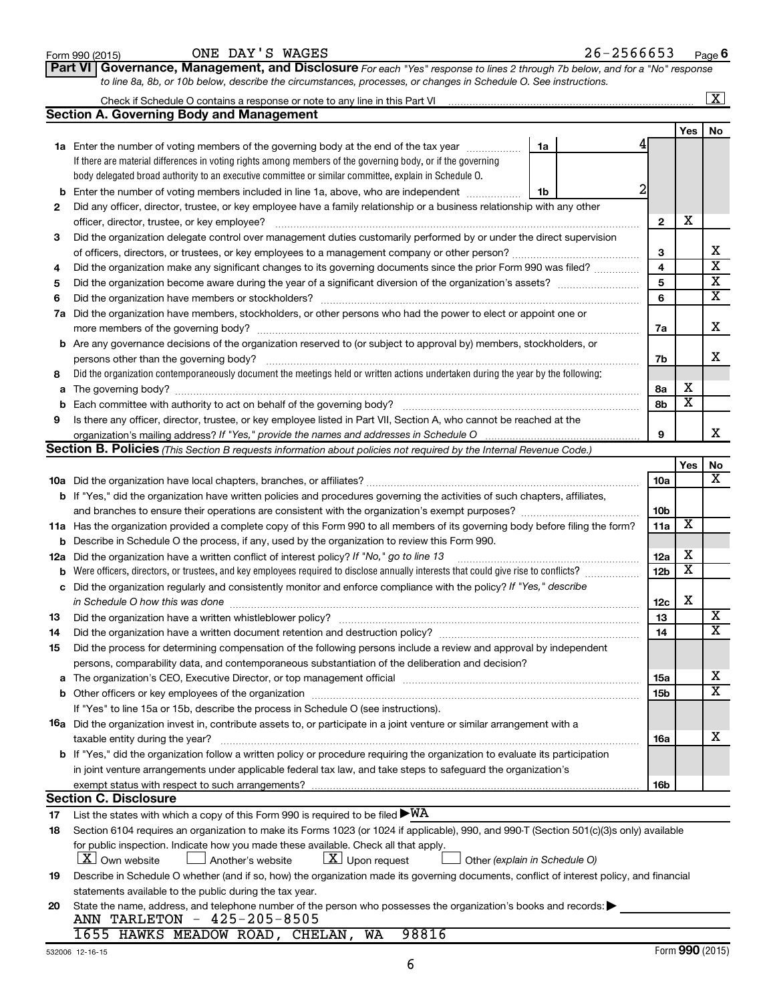|     | Check if Schedule O contains a response or note to any line in this Part VI [11] [12] Check if Schedule O contains a response or note to any line in this Part VI                                                              |                 |                         | $\mathbf{X}$            |
|-----|--------------------------------------------------------------------------------------------------------------------------------------------------------------------------------------------------------------------------------|-----------------|-------------------------|-------------------------|
|     | <b>Section A. Governing Body and Management</b>                                                                                                                                                                                |                 |                         |                         |
|     |                                                                                                                                                                                                                                |                 | Yes                     | No                      |
|     | 1a Enter the number of voting members of the governing body at the end of the tax year<br>1a                                                                                                                                   |                 |                         |                         |
|     | If there are material differences in voting rights among members of the governing body, or if the governing                                                                                                                    |                 |                         |                         |
|     | body delegated broad authority to an executive committee or similar committee, explain in Schedule O.                                                                                                                          |                 |                         |                         |
| b   | Enter the number of voting members included in line 1a, above, who are independent<br>1b                                                                                                                                       |                 |                         |                         |
| 2   | Did any officer, director, trustee, or key employee have a family relationship or a business relationship with any other                                                                                                       |                 |                         |                         |
|     |                                                                                                                                                                                                                                | $\mathbf{2}$    | X                       |                         |
| З   | Did the organization delegate control over management duties customarily performed by or under the direct supervision                                                                                                          |                 |                         |                         |
|     |                                                                                                                                                                                                                                | 3               |                         | х                       |
| 4   | Did the organization make any significant changes to its governing documents since the prior Form 990 was filed?                                                                                                               | $\overline{4}$  |                         | $\overline{\mathbf{x}}$ |
| 5   |                                                                                                                                                                                                                                | 5               |                         | $\overline{\mathbf{X}}$ |
| 6   |                                                                                                                                                                                                                                | 6               |                         | $\overline{\mathbf{X}}$ |
|     | 7a Did the organization have members, stockholders, or other persons who had the power to elect or appoint one or                                                                                                              |                 |                         |                         |
|     |                                                                                                                                                                                                                                | 7a              |                         | х                       |
|     | <b>b</b> Are any governance decisions of the organization reserved to (or subject to approval by) members, stockholders, or                                                                                                    |                 |                         |                         |
|     |                                                                                                                                                                                                                                | 7b              |                         | х                       |
| 8   | Did the organization contemporaneously document the meetings held or written actions undertaken during the year by the following:                                                                                              |                 |                         |                         |
| а   |                                                                                                                                                                                                                                | 8a              | х                       |                         |
|     |                                                                                                                                                                                                                                | 8b              | $\overline{\textbf{x}}$ |                         |
| 9   | Is there any officer, director, trustee, or key employee listed in Part VII, Section A, who cannot be reached at the                                                                                                           |                 |                         |                         |
|     |                                                                                                                                                                                                                                | 9               |                         | х                       |
|     | Section B. Policies (This Section B requests information about policies not required by the Internal Revenue Code.)                                                                                                            |                 |                         |                         |
|     |                                                                                                                                                                                                                                |                 | Yes                     | No                      |
|     |                                                                                                                                                                                                                                | <b>10a</b>      |                         | х                       |
|     | <b>b</b> If "Yes," did the organization have written policies and procedures governing the activities of such chapters, affiliates,                                                                                            |                 |                         |                         |
|     |                                                                                                                                                                                                                                | 10 <sub>b</sub> |                         |                         |
|     | 11a Has the organization provided a complete copy of this Form 990 to all members of its governing body before filing the form?                                                                                                | 11a             | $\overline{\mathbf{X}}$ |                         |
|     | <b>b</b> Describe in Schedule O the process, if any, used by the organization to review this Form 990.                                                                                                                         |                 |                         |                         |
| 12a | Did the organization have a written conflict of interest policy? If "No," go to line 13                                                                                                                                        | 12a             | х                       |                         |
| b   | Were officers, directors, or trustees, and key employees required to disclose annually interests that could give rise to conflicts?                                                                                            | 12 <sub>b</sub> | $\overline{\textbf{x}}$ |                         |
| с   | Did the organization regularly and consistently monitor and enforce compliance with the policy? If "Yes," describe                                                                                                             |                 |                         |                         |
|     | in Schedule O how this was done                                                                                                                                                                                                | 12c             | х                       |                         |
| 13  |                                                                                                                                                                                                                                | 13              |                         | х                       |
| 14  | Did the organization have a written document retention and destruction policy? [11] manufaction manufaction in                                                                                                                 | 14              |                         | $\overline{\mathbf{X}}$ |
| 15  | Did the process for determining compensation of the following persons include a review and approval by independent                                                                                                             |                 |                         |                         |
|     | persons, comparability data, and contemporaneous substantiation of the deliberation and decision?                                                                                                                              |                 |                         |                         |
|     | The organization's CEO, Executive Director, or top management official manufactured content of the organization's CEO, Executive Director, or top management official manufactured content of the organization's CEO, Executiv | 15a             |                         | х                       |
|     |                                                                                                                                                                                                                                | 15b             |                         | $\overline{\mathbf{X}}$ |
|     | If "Yes" to line 15a or 15b, describe the process in Schedule O (see instructions).                                                                                                                                            |                 |                         |                         |
|     | <b>16a</b> Did the organization invest in, contribute assets to, or participate in a joint venture or similar arrangement with a                                                                                               |                 |                         |                         |
|     | taxable entity during the year?                                                                                                                                                                                                | 16a             |                         | х                       |
|     | b If "Yes," did the organization follow a written policy or procedure requiring the organization to evaluate its participation                                                                                                 |                 |                         |                         |
|     | in joint venture arrangements under applicable federal tax law, and take steps to safeguard the organization's                                                                                                                 |                 |                         |                         |
|     | exempt status with respect to such arrangements?                                                                                                                                                                               | 16b             |                         |                         |
|     | <b>Section C. Disclosure</b>                                                                                                                                                                                                   |                 |                         |                         |
| 17  | List the states with which a copy of this Form 990 is required to be filed $\blacktriangleright\texttt{WA}$                                                                                                                    |                 |                         |                         |
| 18  | Section 6104 requires an organization to make its Forms 1023 (or 1024 if applicable), 990, and 990-T (Section 501(c)(3)s only) available                                                                                       |                 |                         |                         |
|     | for public inspection. Indicate how you made these available. Check all that apply.                                                                                                                                            |                 |                         |                         |
|     | $X$ Upon request<br>  X   Own website<br>Another's website<br>Other (explain in Schedule O)                                                                                                                                    |                 |                         |                         |
| 19  | Describe in Schedule O whether (and if so, how) the organization made its governing documents, conflict of interest policy, and financial                                                                                      |                 |                         |                         |
|     | statements available to the public during the tax year.                                                                                                                                                                        |                 |                         |                         |
| 20  | State the name, address, and telephone number of the person who possesses the organization's books and records:                                                                                                                |                 |                         |                         |
|     | ANN TARLETON - 425-205-8505                                                                                                                                                                                                    |                 |                         |                         |
|     | 98816<br>1655 HAWKS MEADOW ROAD, CHELAN, WA                                                                                                                                                                                    |                 |                         |                         |

|--|

Form 990 (2015) Page ONE DAY'S WAGES 26-2566653

*to line 8a, 8b, or 10b below, describe the circumstances, processes, or changes in Schedule O. See instructions.*

| orm 990 (2015) |  |  |
|----------------|--|--|
| $D = 11110$    |  |  |

|  |  | Part VI   Governance, Management, and Disclosure For each "Yes" response to lines 2 through 7b below, and for a "No" response |  |  |
|--|--|-------------------------------------------------------------------------------------------------------------------------------|--|--|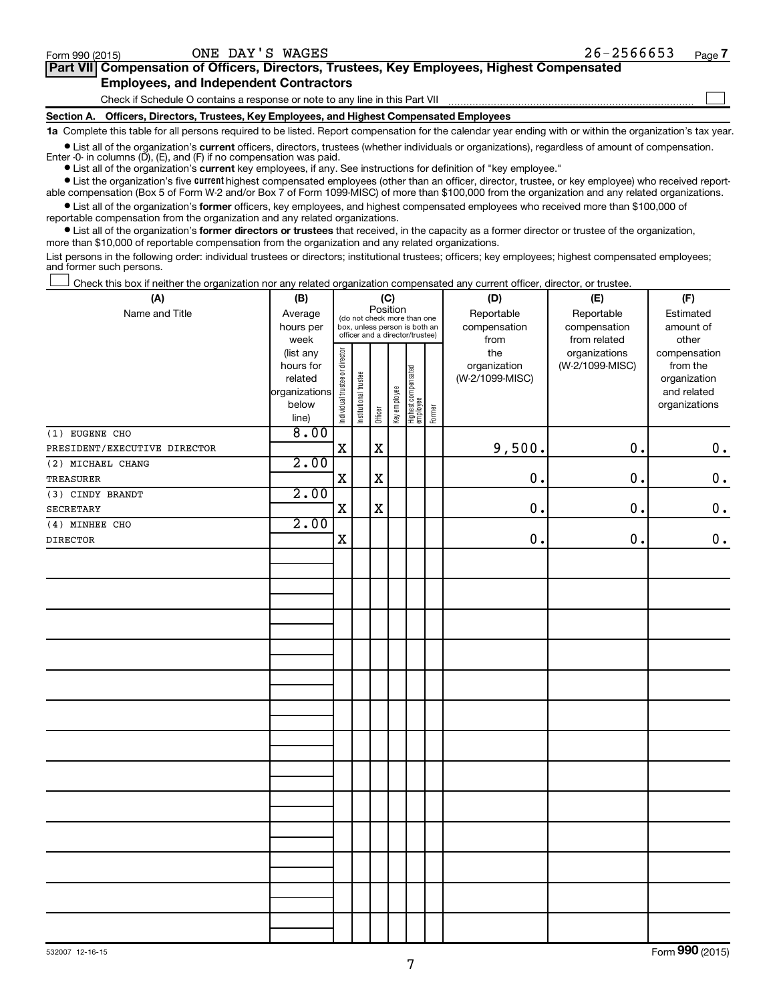$\Box$ 

| Part VII Compensation of Officers, Directors, Trustees, Key Employees, Highest Compensated |
|--------------------------------------------------------------------------------------------|
| <b>Employees, and Independent Contractors</b>                                              |

Check if Schedule O contains a response or note to any line in this Part VII

**Section A. Officers, Directors, Trustees, Key Employees, and Highest Compensated Employees**

**1a**  Complete this table for all persons required to be listed. Report compensation for the calendar year ending with or within the organization's tax year.

**•** List all of the organization's current officers, directors, trustees (whether individuals or organizations), regardless of amount of compensation. Enter -0- in columns  $(D)$ ,  $(E)$ , and  $(F)$  if no compensation was paid.

**•** List all of the organization's **current** key employees, if any. See instructions for definition of "key employee."

**•** List the organization's five current highest compensated employees (other than an officer, director, trustee, or key employee) who received reportable compensation (Box 5 of Form W-2 and/or Box 7 of Form 1099-MISC) of more than \$100,000 from the organization and any related organizations.

**•** List all of the organization's former officers, key employees, and highest compensated employees who received more than \$100,000 of reportable compensation from the organization and any related organizations.

**•** List all of the organization's former directors or trustees that received, in the capacity as a former director or trustee of the organization, more than \$10,000 of reportable compensation from the organization and any related organizations.

List persons in the following order: individual trustees or directors; institutional trustees; officers; key employees; highest compensated employees; and former such persons.

Check this box if neither the organization nor any related organization compensated any current officer, director, or trustee.  $\Box$ 

| (A)                          | (B)                  | (C)                                                              |                                         |             |              |                                 |           | (D)                             | (E)             | (F)                         |  |
|------------------------------|----------------------|------------------------------------------------------------------|-----------------------------------------|-------------|--------------|---------------------------------|-----------|---------------------------------|-----------------|-----------------------------|--|
| Name and Title               | Average              |                                                                  | Position<br>(do not check more than one |             | Reportable   | Reportable                      | Estimated |                                 |                 |                             |  |
|                              | hours per            | box, unless person is both an<br>officer and a director/trustee) |                                         |             |              |                                 |           | compensation                    | compensation    | amount of                   |  |
|                              | week                 |                                                                  |                                         |             |              |                                 |           | from                            | from related    | other                       |  |
|                              | (list any            |                                                                  |                                         |             |              |                                 |           | the                             | organizations   | compensation                |  |
|                              | hours for<br>related |                                                                  |                                         |             |              |                                 |           | organization<br>(W-2/1099-MISC) | (W-2/1099-MISC) | from the                    |  |
|                              | organizations        |                                                                  |                                         |             |              |                                 |           |                                 |                 | organization<br>and related |  |
|                              | below                |                                                                  |                                         |             |              |                                 |           |                                 |                 | organizations               |  |
|                              | line)                | Individual trustee or director                                   | Institutional trustee                   | Officer     | Key employee | Highest compensated<br>employee | Former    |                                 |                 |                             |  |
| (1) EUGENE CHO               | 8.00                 |                                                                  |                                         |             |              |                                 |           |                                 |                 |                             |  |
| PRESIDENT/EXECUTIVE DIRECTOR |                      | $\mathbf X$                                                      |                                         | $\mathbf X$ |              |                                 |           | 9,500.                          | 0.              | $\mathbf 0$ .               |  |
| (2) MICHAEL CHANG            | 2.00                 |                                                                  |                                         |             |              |                                 |           |                                 |                 |                             |  |
| <b>TREASURER</b>             |                      | $\mathbf X$                                                      |                                         | $\mathbf x$ |              |                                 |           | 0.                              | 0.              | $\mathbf 0$ .               |  |
| (3) CINDY BRANDT             | 2.00                 |                                                                  |                                         |             |              |                                 |           |                                 |                 |                             |  |
| <b>SECRETARY</b>             |                      | $\mathbf X$                                                      |                                         | $\mathbf X$ |              |                                 |           | 0.                              | $\mathbf 0$ .   | $\mathbf 0$ .               |  |
| (4) MINHEE CHO               | 2.00                 |                                                                  |                                         |             |              |                                 |           |                                 |                 |                             |  |
| <b>DIRECTOR</b>              |                      | $\mathbf X$                                                      |                                         |             |              |                                 |           | 0.                              | 0.              | $0$ .                       |  |
|                              |                      |                                                                  |                                         |             |              |                                 |           |                                 |                 |                             |  |
|                              |                      |                                                                  |                                         |             |              |                                 |           |                                 |                 |                             |  |
|                              |                      |                                                                  |                                         |             |              |                                 |           |                                 |                 |                             |  |
|                              |                      |                                                                  |                                         |             |              |                                 |           |                                 |                 |                             |  |
|                              |                      |                                                                  |                                         |             |              |                                 |           |                                 |                 |                             |  |
|                              |                      |                                                                  |                                         |             |              |                                 |           |                                 |                 |                             |  |
|                              |                      |                                                                  |                                         |             |              |                                 |           |                                 |                 |                             |  |
|                              |                      |                                                                  |                                         |             |              |                                 |           |                                 |                 |                             |  |
|                              |                      |                                                                  |                                         |             |              |                                 |           |                                 |                 |                             |  |
|                              |                      |                                                                  |                                         |             |              |                                 |           |                                 |                 |                             |  |
|                              |                      |                                                                  |                                         |             |              |                                 |           |                                 |                 |                             |  |
|                              |                      |                                                                  |                                         |             |              |                                 |           |                                 |                 |                             |  |
|                              |                      |                                                                  |                                         |             |              |                                 |           |                                 |                 |                             |  |
|                              |                      |                                                                  |                                         |             |              |                                 |           |                                 |                 |                             |  |
|                              |                      |                                                                  |                                         |             |              |                                 |           |                                 |                 |                             |  |
|                              |                      |                                                                  |                                         |             |              |                                 |           |                                 |                 |                             |  |
|                              |                      |                                                                  |                                         |             |              |                                 |           |                                 |                 |                             |  |
|                              |                      |                                                                  |                                         |             |              |                                 |           |                                 |                 |                             |  |
|                              |                      |                                                                  |                                         |             |              |                                 |           |                                 |                 |                             |  |
|                              |                      |                                                                  |                                         |             |              |                                 |           |                                 |                 |                             |  |
|                              |                      |                                                                  |                                         |             |              |                                 |           |                                 |                 |                             |  |
|                              |                      |                                                                  |                                         |             |              |                                 |           |                                 |                 |                             |  |
|                              |                      |                                                                  |                                         |             |              |                                 |           |                                 |                 |                             |  |
|                              |                      |                                                                  |                                         |             |              |                                 |           |                                 |                 |                             |  |
|                              |                      |                                                                  |                                         |             |              |                                 |           |                                 |                 |                             |  |

Form (2015) **990**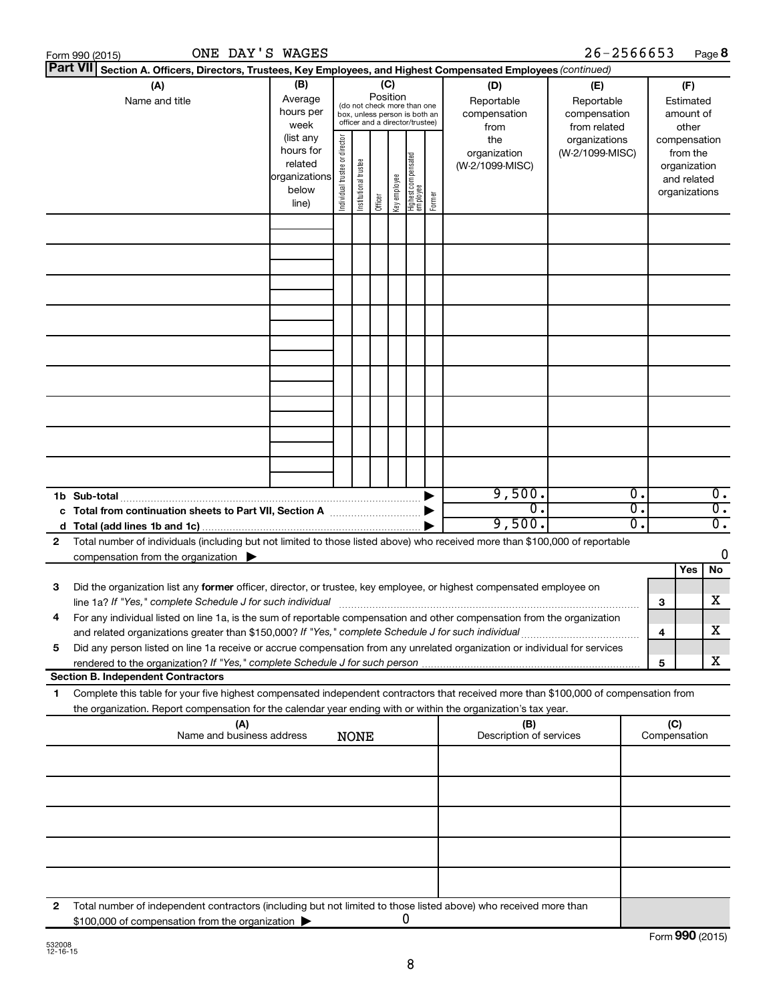|    | ONE DAY'S WAGES<br>Form 990 (2015)                                                                                                                                                                                              |                                                                      |                                |                       |         |                                                                                                                    |                                   |        |                                           | 26-2566653                                        |              |                                                                          | Page 8                               |
|----|---------------------------------------------------------------------------------------------------------------------------------------------------------------------------------------------------------------------------------|----------------------------------------------------------------------|--------------------------------|-----------------------|---------|--------------------------------------------------------------------------------------------------------------------|-----------------------------------|--------|-------------------------------------------|---------------------------------------------------|--------------|--------------------------------------------------------------------------|--------------------------------------|
|    | Part VII Section A. Officers, Directors, Trustees, Key Employees, and Highest Compensated Employees (continued)                                                                                                                 |                                                                      |                                |                       |         |                                                                                                                    |                                   |        |                                           |                                                   |              |                                                                          |                                      |
|    | (A)<br>Name and title                                                                                                                                                                                                           | (B)<br>Average<br>hours per<br>week                                  |                                |                       |         | (C)<br>Position<br>(do not check more than one<br>box, unless person is both an<br>officer and a director/trustee) |                                   |        | (D)<br>Reportable<br>compensation<br>from | (E)<br>Reportable<br>compensation<br>from related |              | (F)<br>Estimated<br>amount of<br>other                                   |                                      |
|    |                                                                                                                                                                                                                                 | (list any<br>hours for<br>related<br>organizations<br>below<br>line) | Individual trustee or director | Institutional trustee | Officer | Key employee                                                                                                       | Highest compensated<br>  employee | Former | the<br>organization<br>(W-2/1099-MISC)    | organizations<br>(W-2/1099-MISC)                  |              | compensation<br>from the<br>organization<br>and related<br>organizations |                                      |
|    |                                                                                                                                                                                                                                 |                                                                      |                                |                       |         |                                                                                                                    |                                   |        |                                           |                                                   |              |                                                                          |                                      |
|    |                                                                                                                                                                                                                                 |                                                                      |                                |                       |         |                                                                                                                    |                                   |        |                                           |                                                   |              |                                                                          |                                      |
|    |                                                                                                                                                                                                                                 |                                                                      |                                |                       |         |                                                                                                                    |                                   |        |                                           |                                                   |              |                                                                          |                                      |
|    |                                                                                                                                                                                                                                 |                                                                      |                                |                       |         |                                                                                                                    |                                   |        |                                           |                                                   |              |                                                                          |                                      |
|    |                                                                                                                                                                                                                                 |                                                                      |                                |                       |         |                                                                                                                    |                                   |        |                                           |                                                   |              |                                                                          |                                      |
|    |                                                                                                                                                                                                                                 |                                                                      |                                |                       |         |                                                                                                                    |                                   |        |                                           |                                                   |              |                                                                          |                                      |
|    |                                                                                                                                                                                                                                 |                                                                      |                                |                       |         |                                                                                                                    |                                   |        |                                           |                                                   |              |                                                                          |                                      |
|    |                                                                                                                                                                                                                                 |                                                                      |                                |                       |         |                                                                                                                    |                                   |        |                                           |                                                   |              |                                                                          |                                      |
|    | 1b Sub-total                                                                                                                                                                                                                    |                                                                      |                                |                       |         |                                                                                                                    |                                   |        | 9,500.                                    | $\overline{\mathbf{0}}$ .                         |              |                                                                          | $\overline{0}$ .                     |
|    |                                                                                                                                                                                                                                 |                                                                      |                                |                       |         |                                                                                                                    |                                   |        | $\overline{0}$ .<br>9,500.                | 0.<br>0.                                          |              |                                                                          | $\overline{0}$ .<br>$\overline{0}$ . |
| 2  | Total number of individuals (including but not limited to those listed above) who received more than \$100,000 of reportable<br>compensation from the organization $\blacktriangleright$                                        |                                                                      |                                |                       |         |                                                                                                                    |                                   |        |                                           |                                                   |              |                                                                          | $\mathbf 0$                          |
| 3  | Did the organization list any former officer, director, or trustee, key employee, or highest compensated employee on                                                                                                            |                                                                      |                                |                       |         |                                                                                                                    |                                   |        |                                           |                                                   |              | Yes                                                                      | No                                   |
|    | line 1a? If "Yes," complete Schedule J for such individual manufacture content to the set of the set of the such that the set of the set of the set of the set of the set of the set of the set of the set of the set of the s  |                                                                      |                                |                       |         |                                                                                                                    |                                   |        |                                           |                                                   | з            |                                                                          | х                                    |
|    | For any individual listed on line 1a, is the sum of reportable compensation and other compensation from the organization<br>and related organizations greater than \$150,000? If "Yes," complete Schedule J for such individual |                                                                      |                                |                       |         |                                                                                                                    |                                   |        |                                           |                                                   | 4            |                                                                          | x                                    |
| 5  | Did any person listed on line 1a receive or accrue compensation from any unrelated organization or individual for services<br><b>Section B. Independent Contractors</b>                                                         |                                                                      |                                |                       |         |                                                                                                                    |                                   |        |                                           |                                                   | 5            |                                                                          | x                                    |
| 1. | Complete this table for your five highest compensated independent contractors that received more than \$100,000 of compensation from                                                                                            |                                                                      |                                |                       |         |                                                                                                                    |                                   |        |                                           |                                                   |              |                                                                          |                                      |
|    | the organization. Report compensation for the calendar year ending with or within the organization's tax year.<br>(A)                                                                                                           |                                                                      |                                |                       |         |                                                                                                                    |                                   |        | (B)                                       |                                                   |              | (C)                                                                      |                                      |
|    | Name and business address                                                                                                                                                                                                       |                                                                      |                                | <b>NONE</b>           |         |                                                                                                                    |                                   |        | Description of services                   |                                                   | Compensation |                                                                          |                                      |
|    |                                                                                                                                                                                                                                 |                                                                      |                                |                       |         |                                                                                                                    |                                   |        |                                           |                                                   |              |                                                                          |                                      |
|    |                                                                                                                                                                                                                                 |                                                                      |                                |                       |         |                                                                                                                    |                                   |        |                                           |                                                   |              |                                                                          |                                      |
|    |                                                                                                                                                                                                                                 |                                                                      |                                |                       |         |                                                                                                                    |                                   |        |                                           |                                                   |              |                                                                          |                                      |
|    |                                                                                                                                                                                                                                 |                                                                      |                                |                       |         |                                                                                                                    |                                   |        |                                           |                                                   |              |                                                                          |                                      |
| 2  | Total number of independent contractors (including but not limited to those listed above) who received more than<br>\$100,000 of compensation from the organization                                                             |                                                                      |                                |                       |         |                                                                                                                    | O                                 |        |                                           |                                                   |              |                                                                          |                                      |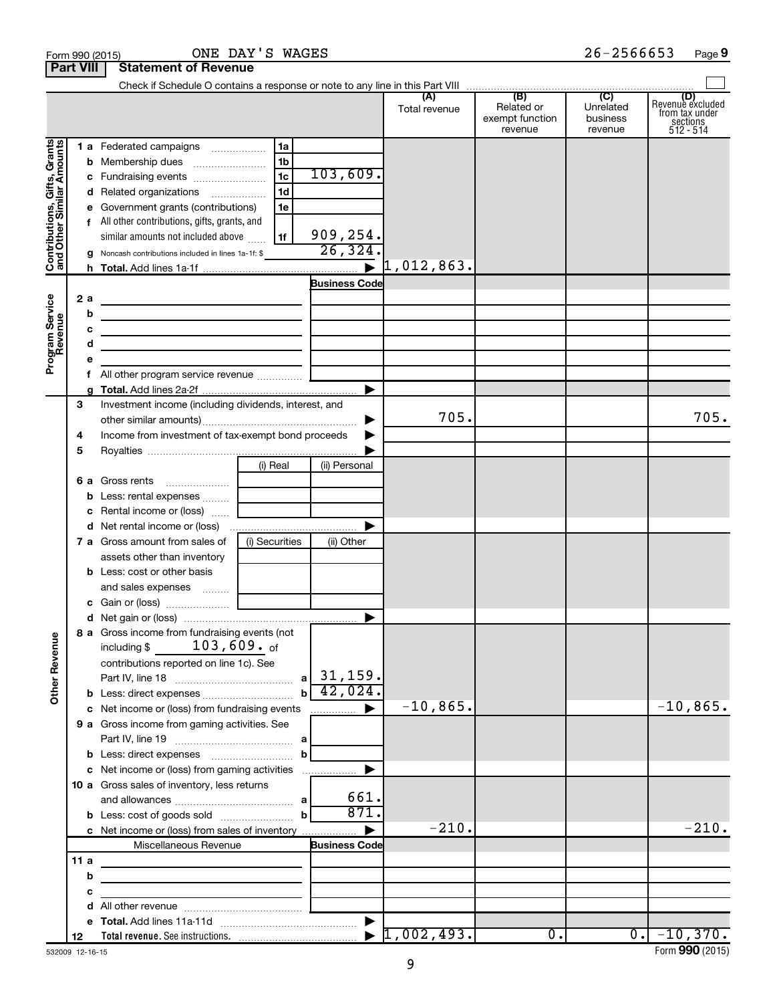| ONE DAY'S WAGES<br>Form 990 (2015)                        |                  |                                                                                                                                                               |                |                      |                      |                                                 | $26 - 2566653$<br>Page 9                |                                                             |  |
|-----------------------------------------------------------|------------------|---------------------------------------------------------------------------------------------------------------------------------------------------------------|----------------|----------------------|----------------------|-------------------------------------------------|-----------------------------------------|-------------------------------------------------------------|--|
|                                                           | <b>Part VIII</b> | <b>Statement of Revenue</b>                                                                                                                                   |                |                      |                      |                                                 |                                         |                                                             |  |
|                                                           |                  |                                                                                                                                                               |                |                      |                      |                                                 |                                         |                                                             |  |
|                                                           |                  |                                                                                                                                                               |                |                      | (A)<br>Total revenue | (B)<br>Related or<br>exempt function<br>revenue | (C)<br>Unrelated<br>business<br>revenue | Revenue excluded<br>from tax under<br>sections<br>512 - 514 |  |
|                                                           |                  | 1 a Federated campaigns                                                                                                                                       | 1a             |                      |                      |                                                 |                                         |                                                             |  |
| Contributions, Gifts, Grants<br>and Other Similar Amounts |                  | <b>b</b> Membership dues                                                                                                                                      | 1b             |                      |                      |                                                 |                                         |                                                             |  |
|                                                           |                  | c Fundraising events                                                                                                                                          | 1 <sub>c</sub> | 103,609.             |                      |                                                 |                                         |                                                             |  |
|                                                           |                  | d Related organizations                                                                                                                                       | 1 <sub>d</sub> |                      |                      |                                                 |                                         |                                                             |  |
|                                                           |                  | e Government grants (contributions)                                                                                                                           | 1e             |                      |                      |                                                 |                                         |                                                             |  |
|                                                           |                  | f All other contributions, gifts, grants, and                                                                                                                 |                |                      |                      |                                                 |                                         |                                                             |  |
|                                                           |                  | similar amounts not included above                                                                                                                            | 1f             | 909,254.<br>26, 324. |                      |                                                 |                                         |                                                             |  |
|                                                           |                  | g Noncash contributions included in lines 1a-1f: \$                                                                                                           |                |                      |                      |                                                 |                                         |                                                             |  |
|                                                           |                  |                                                                                                                                                               |                | <b>Business Code</b> |                      |                                                 |                                         |                                                             |  |
|                                                           | 2a               |                                                                                                                                                               |                |                      |                      |                                                 |                                         |                                                             |  |
|                                                           | b                | the control of the control of the control of the control of the control of                                                                                    |                |                      |                      |                                                 |                                         |                                                             |  |
|                                                           | с                | <u> 1989 - Johann Barbara, martxa alemaniar arg</u>                                                                                                           |                |                      |                      |                                                 |                                         |                                                             |  |
|                                                           | d                | the contract of the contract of the contract of the contract of the contract of<br>the control of the control of the control of the control of the control of |                |                      |                      |                                                 |                                         |                                                             |  |
| Program Service<br>Revenue                                | е                |                                                                                                                                                               |                |                      |                      |                                                 |                                         |                                                             |  |
|                                                           | Ť.               |                                                                                                                                                               |                |                      |                      |                                                 |                                         |                                                             |  |
|                                                           |                  |                                                                                                                                                               |                | ▶                    |                      |                                                 |                                         |                                                             |  |
|                                                           | 3                | Investment income (including dividends, interest, and                                                                                                         |                |                      |                      |                                                 |                                         |                                                             |  |
|                                                           |                  |                                                                                                                                                               |                | ▶                    | 705.                 |                                                 |                                         | 705.                                                        |  |
|                                                           | 4                | Income from investment of tax-exempt bond proceeds                                                                                                            |                | ▶                    |                      |                                                 |                                         |                                                             |  |
|                                                           | 5                |                                                                                                                                                               |                |                      |                      |                                                 |                                         |                                                             |  |
|                                                           |                  |                                                                                                                                                               | (i) Real       | (ii) Personal        |                      |                                                 |                                         |                                                             |  |
|                                                           |                  | 6 a Gross rents                                                                                                                                               |                |                      |                      |                                                 |                                         |                                                             |  |
|                                                           |                  | <b>b</b> Less: rental expenses                                                                                                                                |                |                      |                      |                                                 |                                         |                                                             |  |
|                                                           |                  | c Rental income or (loss)                                                                                                                                     |                |                      |                      |                                                 |                                         |                                                             |  |
|                                                           |                  |                                                                                                                                                               |                |                      |                      |                                                 |                                         |                                                             |  |
|                                                           |                  | 7 a Gross amount from sales of                                                                                                                                | (i) Securities | (ii) Other           |                      |                                                 |                                         |                                                             |  |
|                                                           |                  | assets other than inventory<br><b>b</b> Less: cost or other basis                                                                                             |                |                      |                      |                                                 |                                         |                                                             |  |
|                                                           |                  | and sales expenses                                                                                                                                            |                |                      |                      |                                                 |                                         |                                                             |  |
|                                                           |                  | c Gain or (loss)                                                                                                                                              |                |                      |                      |                                                 |                                         |                                                             |  |
|                                                           |                  |                                                                                                                                                               |                |                      |                      |                                                 |                                         |                                                             |  |
|                                                           |                  | 8 a Gross income from fundraising events (not                                                                                                                 |                |                      |                      |                                                 |                                         |                                                             |  |
| <b>Other Revenue</b>                                      |                  | including \$103,609. of                                                                                                                                       |                |                      |                      |                                                 |                                         |                                                             |  |
|                                                           |                  | contributions reported on line 1c). See                                                                                                                       |                |                      |                      |                                                 |                                         |                                                             |  |
|                                                           |                  |                                                                                                                                                               |                | $a$   31,159.        |                      |                                                 |                                         |                                                             |  |
|                                                           |                  |                                                                                                                                                               | $\mathbf{b}$   | 42,024.              |                      |                                                 |                                         |                                                             |  |
|                                                           |                  | c Net income or (loss) from fundraising events                                                                                                                |                | .                    | $-10,865$ .          |                                                 |                                         | $-10,865.$                                                  |  |
|                                                           |                  | 9 a Gross income from gaming activities. See                                                                                                                  |                |                      |                      |                                                 |                                         |                                                             |  |
|                                                           |                  |                                                                                                                                                               |                |                      |                      |                                                 |                                         |                                                             |  |
|                                                           |                  | c Net income or (loss) from gaming activities                                                                                                                 | b              | ▶                    |                      |                                                 |                                         |                                                             |  |
|                                                           |                  | 10 a Gross sales of inventory, less returns                                                                                                                   |                |                      |                      |                                                 |                                         |                                                             |  |
|                                                           |                  |                                                                                                                                                               |                | 661.                 |                      |                                                 |                                         |                                                             |  |
|                                                           |                  |                                                                                                                                                               | b              | 871.                 |                      |                                                 |                                         |                                                             |  |
|                                                           |                  | c Net income or (loss) from sales of inventory                                                                                                                |                |                      | $-210.$              |                                                 |                                         | $-210.$                                                     |  |
|                                                           |                  | Miscellaneous Revenue                                                                                                                                         |                | <b>Business Code</b> |                      |                                                 |                                         |                                                             |  |
|                                                           | 11a              |                                                                                                                                                               |                |                      |                      |                                                 |                                         |                                                             |  |
|                                                           | b                | the control of the control of the control of the control of the control of                                                                                    |                |                      |                      |                                                 |                                         |                                                             |  |
|                                                           | с                | <u> 1980 - John Harry Harry Harry Harry Harry Harry Harry Harry Harry Harry Harry Harry Harry Harry Harry Harry H</u>                                         |                |                      |                      |                                                 |                                         |                                                             |  |
|                                                           | d                |                                                                                                                                                               |                |                      |                      |                                                 |                                         |                                                             |  |
|                                                           |                  |                                                                                                                                                               |                | ▶                    |                      |                                                 |                                         |                                                             |  |
|                                                           | 12               |                                                                                                                                                               |                |                      | 1,002,493.           | $\overline{0}$ .                                | $\overline{0}$ .                        | $-10,370.$                                                  |  |

Form (2015) **990**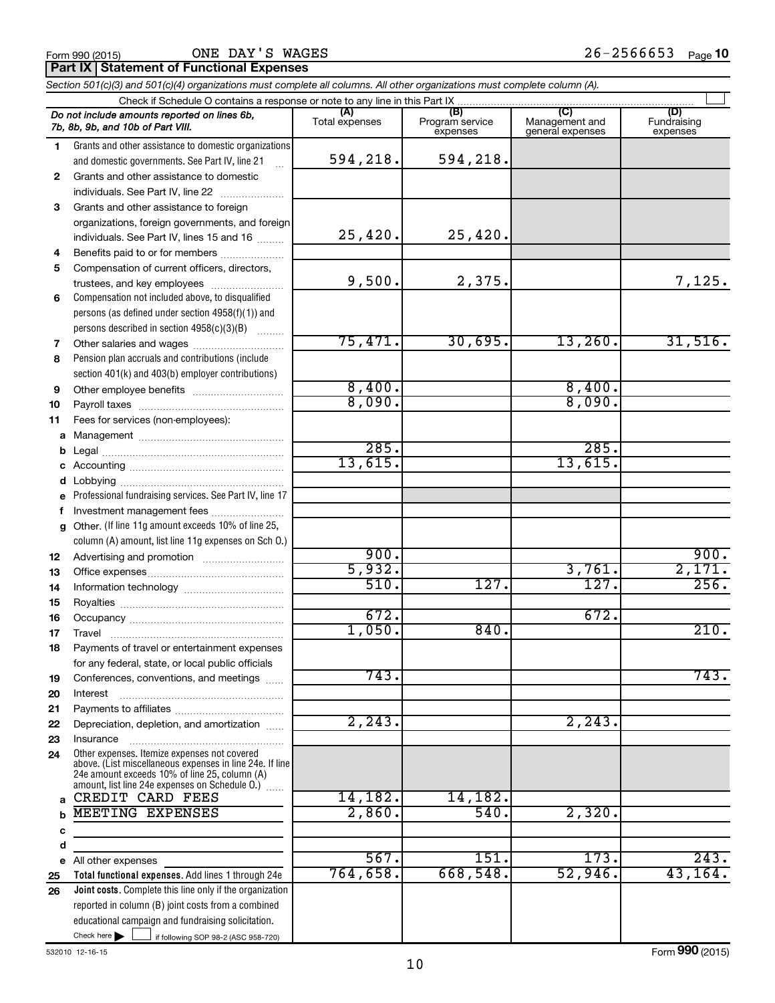ONE DAY'S WAGES

**Part IX | Statement of Functional Expenses** 

|              | Section 501(c)(3) and 501(c)(4) organizations must complete all columns. All other organizations must complete column (A).                                                                                    |                |                             |                                    |                         |
|--------------|---------------------------------------------------------------------------------------------------------------------------------------------------------------------------------------------------------------|----------------|-----------------------------|------------------------------------|-------------------------|
|              | Check if Schedule O contains a response or note to any line in this Part IX                                                                                                                                   | (A)            | (B)                         | (C)                                | (D)                     |
|              | Do not include amounts reported on lines 6b,<br>7b, 8b, 9b, and 10b of Part VIII.                                                                                                                             | Total expenses | Program service<br>expenses | Management and<br>general expenses | Fundraising<br>expenses |
| 1            | Grants and other assistance to domestic organizations                                                                                                                                                         |                |                             |                                    |                         |
|              | and domestic governments. See Part IV, line 21<br>$\sim$                                                                                                                                                      | 594,218.       | 594,218.                    |                                    |                         |
| $\mathbf{2}$ | Grants and other assistance to domestic                                                                                                                                                                       |                |                             |                                    |                         |
|              | individuals. See Part IV, line 22                                                                                                                                                                             |                |                             |                                    |                         |
| 3            | Grants and other assistance to foreign                                                                                                                                                                        |                |                             |                                    |                         |
|              | organizations, foreign governments, and foreign                                                                                                                                                               |                |                             |                                    |                         |
|              | individuals. See Part IV, lines 15 and 16                                                                                                                                                                     | 25,420.        | 25,420.                     |                                    |                         |
| 4            |                                                                                                                                                                                                               |                |                             |                                    |                         |
| 5            | Compensation of current officers, directors,                                                                                                                                                                  |                |                             |                                    |                         |
|              | trustees, and key employees                                                                                                                                                                                   | 9,500.         | 2,375.                      |                                    | 7,125.                  |
| 6            | Compensation not included above, to disqualified                                                                                                                                                              |                |                             |                                    |                         |
|              | persons (as defined under section 4958(f)(1)) and                                                                                                                                                             |                |                             |                                    |                         |
|              | persons described in section 4958(c)(3)(B)<br><b>Concert</b>                                                                                                                                                  | 75,471.        | 30,695.                     | 13,260.                            | 31,516.                 |
| 7            |                                                                                                                                                                                                               |                |                             |                                    |                         |
| 8            | Pension plan accruals and contributions (include                                                                                                                                                              |                |                             |                                    |                         |
|              | section 401(k) and 403(b) employer contributions)                                                                                                                                                             | 8,400.         |                             | 8,400.                             |                         |
| 9            |                                                                                                                                                                                                               | 8,090.         |                             | 8,090.                             |                         |
| 10           |                                                                                                                                                                                                               |                |                             |                                    |                         |
| 11           | Fees for services (non-employees):                                                                                                                                                                            |                |                             |                                    |                         |
| а            |                                                                                                                                                                                                               | 285.           |                             | 285.                               |                         |
| b            |                                                                                                                                                                                                               | 13,615.        |                             | 13,615.                            |                         |
| с            |                                                                                                                                                                                                               |                |                             |                                    |                         |
| d<br>е       | Professional fundraising services. See Part IV, line 17                                                                                                                                                       |                |                             |                                    |                         |
| f            | Investment management fees                                                                                                                                                                                    |                |                             |                                    |                         |
| g            | Other. (If line 11g amount exceeds 10% of line 25,                                                                                                                                                            |                |                             |                                    |                         |
|              | column (A) amount, list line 11g expenses on Sch O.)                                                                                                                                                          |                |                             |                                    |                         |
| 12           |                                                                                                                                                                                                               | 900.           |                             |                                    | 900.                    |
| 13           |                                                                                                                                                                                                               | 5,932.         |                             | 3,761.                             | 2,171.                  |
| 14           |                                                                                                                                                                                                               | 510.           | 127.                        | 127.                               | 256.                    |
| 15           |                                                                                                                                                                                                               |                |                             |                                    |                         |
| 16           |                                                                                                                                                                                                               | 672.           |                             | 672.                               |                         |
| 17           |                                                                                                                                                                                                               | 1,050.         | 840.                        |                                    | 210.                    |
| 18           | Payments of travel or entertainment expenses                                                                                                                                                                  |                |                             |                                    |                         |
|              | for any federal, state, or local public officials                                                                                                                                                             |                |                             |                                    |                         |
| 19           | Conferences, conventions, and meetings                                                                                                                                                                        | 743.           |                             |                                    | 743.                    |
| 20           | Interest                                                                                                                                                                                                      |                |                             |                                    |                         |
| 21           |                                                                                                                                                                                                               |                |                             |                                    |                         |
| 22           | Depreciation, depletion, and amortization                                                                                                                                                                     | 2, 243.        |                             | 2, 243.                            |                         |
| 23           | Insurance                                                                                                                                                                                                     |                |                             |                                    |                         |
| 24           | Other expenses. Itemize expenses not covered<br>above. (List miscellaneous expenses in line 24e. If line<br>24e amount exceeds 10% of line 25, column (A)<br>amount, list line 24e expenses on Schedule O.) [ |                |                             |                                    |                         |
| a            | CREDIT CARD FEES                                                                                                                                                                                              | 14,182.        | 14,182.                     |                                    |                         |
| b            | MEETING EXPENSES                                                                                                                                                                                              | 2,860.         | 540.                        | 2,320.                             |                         |
| с            |                                                                                                                                                                                                               |                |                             |                                    |                         |
| d            |                                                                                                                                                                                                               |                |                             |                                    |                         |
| е            | All other expenses                                                                                                                                                                                            | 567.           | 151.                        | 173.                               | 243.                    |
| 25           | Total functional expenses. Add lines 1 through 24e                                                                                                                                                            | 764,658.       | 668,548.                    | 52,946.                            | 43, 164.                |
| 26           | Joint costs. Complete this line only if the organization                                                                                                                                                      |                |                             |                                    |                         |
|              | reported in column (B) joint costs from a combined                                                                                                                                                            |                |                             |                                    |                         |
|              | educational campaign and fundraising solicitation.                                                                                                                                                            |                |                             |                                    |                         |
|              | Check here $\blacktriangleright$<br>if following SOP 98-2 (ASC 958-720)                                                                                                                                       |                |                             |                                    |                         |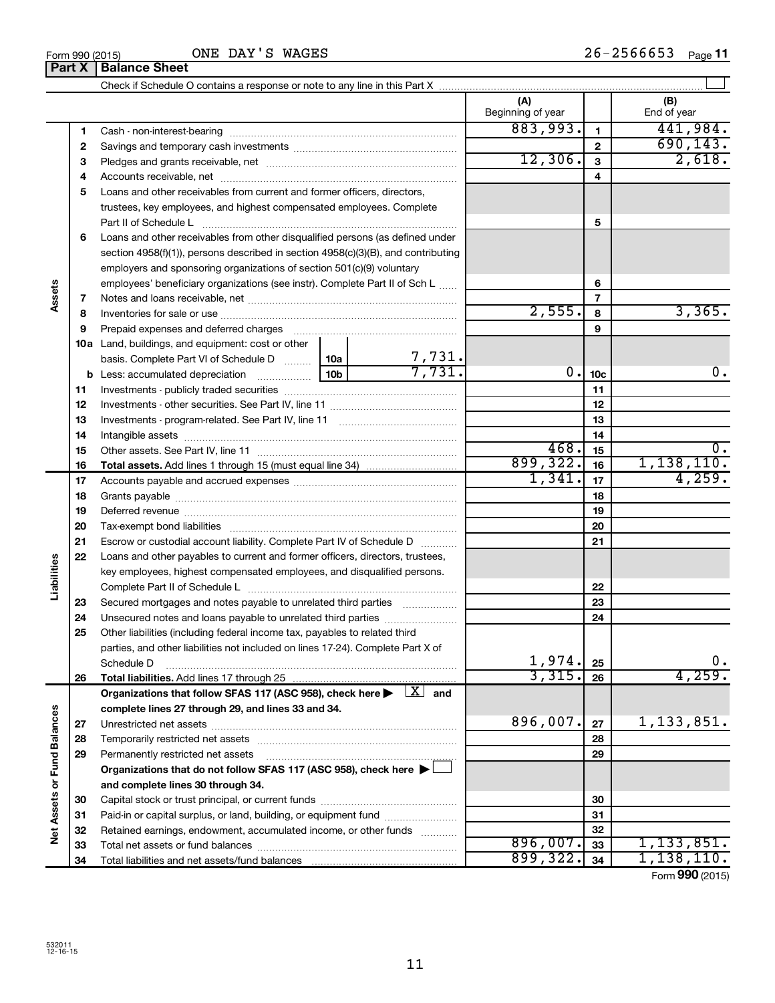|   | ONE DAY'S WAGES<br>Form 990 (2015)                                                                                                               |                          |   | $26 - 2566653$<br>Page 11 |
|---|--------------------------------------------------------------------------------------------------------------------------------------------------|--------------------------|---|---------------------------|
|   | <b>Part X   Balance Sheet</b>                                                                                                                    |                          |   |                           |
|   |                                                                                                                                                  |                          |   |                           |
|   |                                                                                                                                                  | (A)<br>Beginning of year |   | (B)<br>End of year        |
|   | Cash - non-interest-bearing                                                                                                                      | 883,993.                 |   | 441,984.                  |
| 2 |                                                                                                                                                  |                          | 2 | 690, 143.                 |
| з |                                                                                                                                                  | 12, 306.                 | 3 | 2,618.                    |
| 4 |                                                                                                                                                  |                          | 4 |                           |
| 5 | Loans and other receivables from current and former officers, directors,<br>trustees, key employees, and highest compensated employees. Complete |                          |   |                           |
|   | Part II of Schedule L                                                                                                                            |                          | 5 |                           |
| 6 | Loans and other receivables from other disqualified persons (as defined under                                                                    |                          |   |                           |
|   | $\mathcal{A} \cap \mathcal{A} \cap (\mathcal{A} \setminus \mathcal{A})$                                                                          |                          |   |                           |

|                             |          |                                                                                                                                                                                                                                |      |            | (A)<br>Beginning of year |                 | (B)<br>End of year |
|-----------------------------|----------|--------------------------------------------------------------------------------------------------------------------------------------------------------------------------------------------------------------------------------|------|------------|--------------------------|-----------------|--------------------|
|                             | 1        |                                                                                                                                                                                                                                |      |            | 883,993.                 | 1               | 441,984.           |
|                             | 2        |                                                                                                                                                                                                                                |      |            |                          | $\mathbf{2}$    | 690, 143.          |
|                             | з        |                                                                                                                                                                                                                                |      |            | 12,306.                  | 3               | 2,618.             |
|                             | 4        |                                                                                                                                                                                                                                |      |            |                          | 4               |                    |
|                             | 5        | Loans and other receivables from current and former officers, directors,                                                                                                                                                       |      |            |                          |                 |                    |
|                             |          | trustees, key employees, and highest compensated employees. Complete                                                                                                                                                           |      |            |                          |                 |                    |
|                             |          |                                                                                                                                                                                                                                |      |            |                          | 5               |                    |
|                             | 6        | Loans and other receivables from other disqualified persons (as defined under                                                                                                                                                  |      |            |                          |                 |                    |
|                             |          | section 4958(f)(1)), persons described in section 4958(c)(3)(B), and contributing                                                                                                                                              |      |            |                          |                 |                    |
|                             |          | employers and sponsoring organizations of section 501(c)(9) voluntary                                                                                                                                                          |      |            |                          |                 |                    |
|                             |          | employees' beneficiary organizations (see instr). Complete Part II of Sch L                                                                                                                                                    |      | 6          |                          |                 |                    |
| Assets                      | 7        |                                                                                                                                                                                                                                |      |            |                          | 7               |                    |
|                             | 8        |                                                                                                                                                                                                                                |      |            | 2,555.                   | 8               | 3,365.             |
|                             | 9        | Prepaid expenses and deferred charges [11] matter continuum matter and referred charges [11] matter continuum matter continuum matter and continuum matter continuum matter continuum matter continuum matter continuum matter |      |            |                          | 9               |                    |
|                             |          | <b>10a</b> Land, buildings, and equipment: cost or other                                                                                                                                                                       |      |            |                          |                 |                    |
|                             |          | basis. Complete Part VI of Schedule D  10a                                                                                                                                                                                     |      | 7,731.     |                          |                 |                    |
|                             |          |                                                                                                                                                                                                                                |      | 7,731.     | 0.                       | 10 <sub>c</sub> | 0.                 |
|                             | 11       |                                                                                                                                                                                                                                |      |            |                          | 11              |                    |
|                             | 12       |                                                                                                                                                                                                                                |      |            | 12                       |                 |                    |
|                             | 13       |                                                                                                                                                                                                                                |      |            |                          | 13              |                    |
|                             | 14       |                                                                                                                                                                                                                                |      |            | 14                       |                 |                    |
|                             | 15       |                                                                                                                                                                                                                                | 468. | 15         | 0.                       |                 |                    |
|                             | 16       |                                                                                                                                                                                                                                |      |            | 899, 322.                | 16              | 1,138,110.         |
|                             | 17       |                                                                                                                                                                                                                                |      |            | 1,341.                   | 17              | 4,259.             |
|                             | 18       |                                                                                                                                                                                                                                |      |            | 18                       |                 |                    |
|                             | 19       |                                                                                                                                                                                                                                |      |            |                          | 19              |                    |
|                             | 20       |                                                                                                                                                                                                                                |      |            |                          | 20              |                    |
|                             | 21       | Escrow or custodial account liability. Complete Part IV of Schedule D                                                                                                                                                          |      |            |                          | 21              |                    |
|                             |          |                                                                                                                                                                                                                                |      |            |                          |                 |                    |
| Liabilities                 | 22       | Loans and other payables to current and former officers, directors, trustees,                                                                                                                                                  |      |            |                          |                 |                    |
|                             |          | key employees, highest compensated employees, and disqualified persons.                                                                                                                                                        |      |            |                          |                 |                    |
|                             |          |                                                                                                                                                                                                                                |      |            |                          | 22              |                    |
|                             | 23       | Secured mortgages and notes payable to unrelated third parties <i>manumum</i>                                                                                                                                                  |      |            |                          | 23              |                    |
|                             | 24<br>25 |                                                                                                                                                                                                                                |      |            |                          | 24              |                    |
|                             |          | Other liabilities (including federal income tax, payables to related third                                                                                                                                                     |      |            |                          |                 |                    |
|                             |          | parties, and other liabilities not included on lines 17-24). Complete Part X of<br>Schedule D                                                                                                                                  |      |            | 1,974.                   | 25              | 0.                 |
|                             | 26       | Total liabilities. Add lines 17 through 25                                                                                                                                                                                     |      |            | 3,315.                   | 26              | 4,259.             |
|                             |          | Organizations that follow SFAS 117 (ASC 958), check here $\blacktriangleright \lfloor X \rfloor$ and                                                                                                                           |      | . <u>.</u> |                          |                 |                    |
|                             |          | complete lines 27 through 29, and lines 33 and 34.                                                                                                                                                                             |      |            |                          |                 |                    |
|                             | 27       |                                                                                                                                                                                                                                |      |            | 896,007.                 | 27              | 1,133,851.         |
|                             |          |                                                                                                                                                                                                                                |      |            |                          | 28              |                    |
|                             | 28       |                                                                                                                                                                                                                                |      |            |                          |                 |                    |
| Net Assets or Fund Balances | 29       | Permanently restricted net assets<br>Organizations that do not follow SFAS 117 (ASC 958), check here ▶                                                                                                                         |      |            |                          | 29              |                    |
|                             |          | and complete lines 30 through 34.                                                                                                                                                                                              |      |            |                          |                 |                    |
|                             |          |                                                                                                                                                                                                                                |      |            |                          | 30              |                    |
|                             | 30       | Paid-in or capital surplus, or land, building, or equipment fund <i>www.www.www.</i>                                                                                                                                           |      |            |                          | 31              |                    |
|                             | 31<br>32 |                                                                                                                                                                                                                                |      |            |                          | 32              |                    |
|                             | 33       | Retained earnings, endowment, accumulated income, or other funds                                                                                                                                                               |      |            | 896,007.                 | 33              | 1, 133, 851.       |
|                             | 34       |                                                                                                                                                                                                                                |      |            | 899,322.                 | 34              | 1,138,110.         |
|                             |          |                                                                                                                                                                                                                                |      |            |                          |                 |                    |

Form (2015) **990**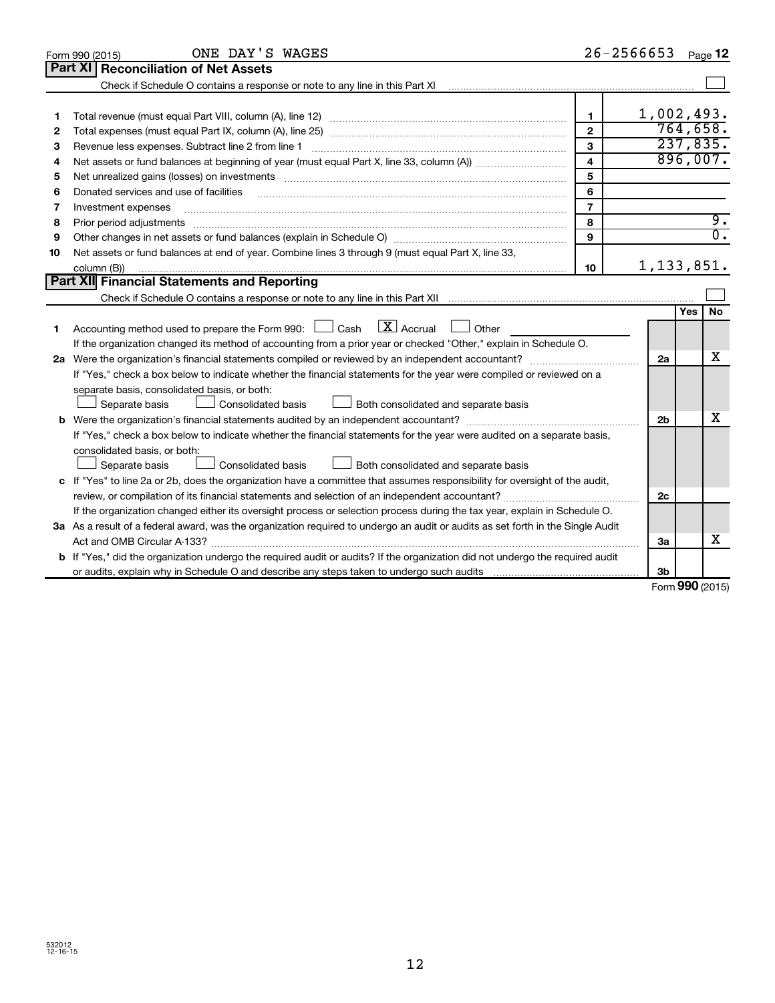|    | ONE DAY'S WAGES<br>Form 990 (2015)                                                                                                                                                                                                                                                                                                                                                                                                                                      |                         | 26-2566653 | Page 12          |
|----|-------------------------------------------------------------------------------------------------------------------------------------------------------------------------------------------------------------------------------------------------------------------------------------------------------------------------------------------------------------------------------------------------------------------------------------------------------------------------|-------------------------|------------|------------------|
|    | Part XI<br><b>Reconciliation of Net Assets</b>                                                                                                                                                                                                                                                                                                                                                                                                                          |                         |            |                  |
|    | Check if Schedule O contains a response or note to any line in this Part XI                                                                                                                                                                                                                                                                                                                                                                                             |                         |            |                  |
|    |                                                                                                                                                                                                                                                                                                                                                                                                                                                                         |                         |            |                  |
| 1  |                                                                                                                                                                                                                                                                                                                                                                                                                                                                         | $\mathbf{1}$            |            | 1,002,493.       |
| 2  |                                                                                                                                                                                                                                                                                                                                                                                                                                                                         | $\overline{2}$          |            | 764,658.         |
| 3  | Revenue less expenses. Subtract line 2 from line 1                                                                                                                                                                                                                                                                                                                                                                                                                      | 3                       |            | 237,835.         |
| 4  |                                                                                                                                                                                                                                                                                                                                                                                                                                                                         | $\overline{\mathbf{4}}$ |            | 896,007.         |
| 5  | Net unrealized gains (losses) on investments [11] matter than the control of the state of the state of the state of the state of the state of the state of the state of the state of the state of the state of the state of th                                                                                                                                                                                                                                          | 5                       |            |                  |
| 6  | Donated services and use of facilities                                                                                                                                                                                                                                                                                                                                                                                                                                  | 6                       |            |                  |
| 7  | Investment expenses                                                                                                                                                                                                                                                                                                                                                                                                                                                     | $\overline{7}$          |            |                  |
| 8  | Prior period adjustments<br>$\begin{minipage}{0.5\textwidth} \begin{tabular}{ l l l } \hline \multicolumn{1}{ l l l } \hline \multicolumn{1}{ l l } \multicolumn{1}{ l } \multicolumn{1}{ l } \multicolumn{1}{ l } \multicolumn{1}{ l } \multicolumn{1}{ l } \multicolumn{1}{ l } \multicolumn{1}{ l } \multicolumn{1}{ l } \multicolumn{1}{ l } \multicolumn{1}{ l } \multicolumn{1}{ l } \multicolumn{1}{ l } \multicolumn{1}{ l } \multicolumn{1}{ l } \multicolumn$ | 8                       |            | 9.               |
| 9  |                                                                                                                                                                                                                                                                                                                                                                                                                                                                         | $\mathbf{Q}$            |            | $\overline{0}$ . |
| 10 | Net assets or fund balances at end of year. Combine lines 3 through 9 (must equal Part X, line 33,                                                                                                                                                                                                                                                                                                                                                                      |                         |            |                  |
|    | column (B))                                                                                                                                                                                                                                                                                                                                                                                                                                                             | 10                      |            | 1, 133, 851.     |
|    | Part XII Financial Statements and Reporting                                                                                                                                                                                                                                                                                                                                                                                                                             |                         |            |                  |
|    |                                                                                                                                                                                                                                                                                                                                                                                                                                                                         |                         |            |                  |
|    |                                                                                                                                                                                                                                                                                                                                                                                                                                                                         |                         |            | <b>No</b><br>Yes |
| 1  | $\lfloor \mathbf{X} \rfloor$ Accrual<br>Accounting method used to prepare the Form 990: $\Box$ Cash<br>Other                                                                                                                                                                                                                                                                                                                                                            |                         |            |                  |
|    | If the organization changed its method of accounting from a prior year or checked "Other," explain in Schedule O.                                                                                                                                                                                                                                                                                                                                                       |                         |            |                  |
|    |                                                                                                                                                                                                                                                                                                                                                                                                                                                                         |                         | 2a         | x                |
|    | If "Yes," check a box below to indicate whether the financial statements for the year were compiled or reviewed on a                                                                                                                                                                                                                                                                                                                                                    |                         |            |                  |
|    | separate basis, consolidated basis, or both:                                                                                                                                                                                                                                                                                                                                                                                                                            |                         |            |                  |
|    | Both consolidated and separate basis<br>Separate basis<br>Consolidated basis                                                                                                                                                                                                                                                                                                                                                                                            |                         |            |                  |
|    |                                                                                                                                                                                                                                                                                                                                                                                                                                                                         |                         | 2b         | х                |
|    | If "Yes," check a box below to indicate whether the financial statements for the year were audited on a separate basis,                                                                                                                                                                                                                                                                                                                                                 |                         |            |                  |
|    | consolidated basis, or both:                                                                                                                                                                                                                                                                                                                                                                                                                                            |                         |            |                  |
|    | Separate basis<br>Consolidated basis<br>Both consolidated and separate basis                                                                                                                                                                                                                                                                                                                                                                                            |                         |            |                  |
|    | c If "Yes" to line 2a or 2b, does the organization have a committee that assumes responsibility for oversight of the audit,                                                                                                                                                                                                                                                                                                                                             |                         |            |                  |
|    |                                                                                                                                                                                                                                                                                                                                                                                                                                                                         |                         | 2c         |                  |
|    | If the organization changed either its oversight process or selection process during the tax year, explain in Schedule O.                                                                                                                                                                                                                                                                                                                                               |                         |            |                  |
|    | 3a As a result of a federal award, was the organization required to undergo an audit or audits as set forth in the Single Audit                                                                                                                                                                                                                                                                                                                                         |                         |            |                  |
|    | Act and OMB Circular A-133?                                                                                                                                                                                                                                                                                                                                                                                                                                             |                         | За         | x                |
|    | b If "Yes," did the organization undergo the required audit or audits? If the organization did not undergo the required audit                                                                                                                                                                                                                                                                                                                                           |                         |            |                  |
|    | or audits, explain why in Schedule O and describe any steps taken to undergo such audits material content conte                                                                                                                                                                                                                                                                                                                                                         |                         | Зb         | $\sim$           |

Form (2015) **990**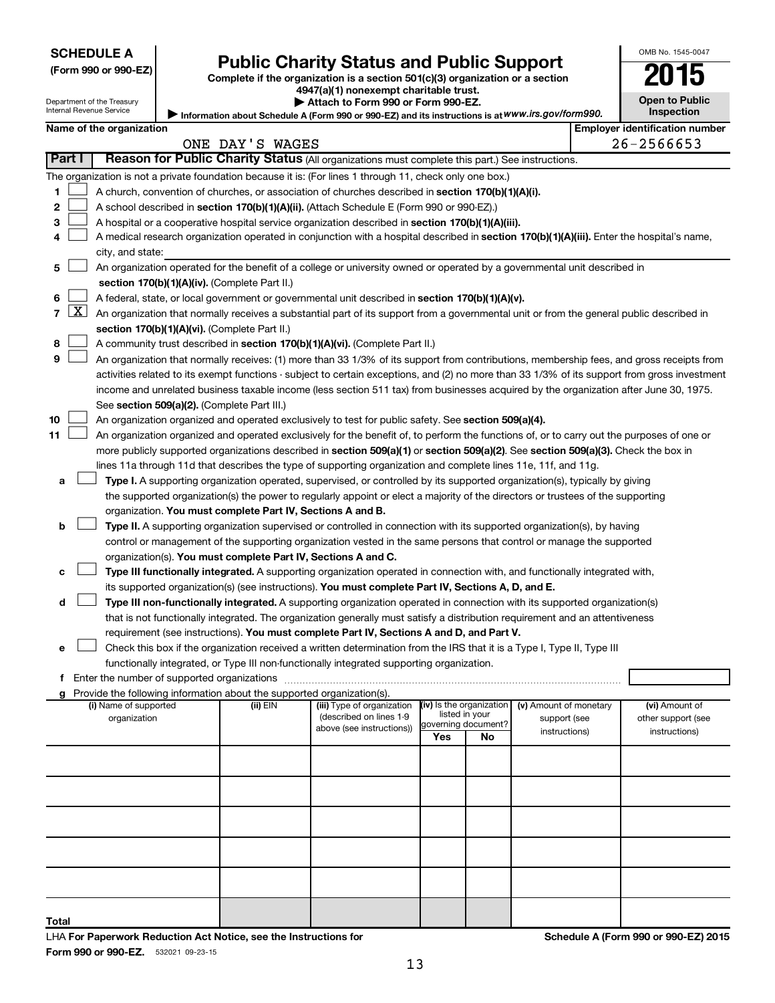Department of the Treasury

| (Form 990 or 990-EZ) |  |  |  |  |
|----------------------|--|--|--|--|
|----------------------|--|--|--|--|

# Form 990 or 990-EZ) **Public Charity Status and Public Support**<br>
Complete if the organization is a section 501(c)(3) organization or a section<br> **2015**

**4947(a)(1) nonexempt charitable trust.**  $\blacktriangleright$  At

|  |  |  | ttach to Form 990 or Form 990-EZ. |  |  |
|--|--|--|-----------------------------------|--|--|
|  |  |  |                                   |  |  |
|  |  |  |                                   |  |  |

| U                                   |
|-------------------------------------|
| <b>Open to Public</b><br>Inspection |
| er identification numbo             |

OMB No. 1545-0047

|               |            | Internal Revenue Service |                                             |                                                                        | Information about Schedule A (Form 990 or 990-EZ) and its instructions is at WWW.irs.gov/form990.                                                                                                                        |                     |                          |                        | Inspection                            |
|---------------|------------|--------------------------|---------------------------------------------|------------------------------------------------------------------------|--------------------------------------------------------------------------------------------------------------------------------------------------------------------------------------------------------------------------|---------------------|--------------------------|------------------------|---------------------------------------|
|               |            | Name of the organization |                                             |                                                                        |                                                                                                                                                                                                                          |                     |                          |                        | <b>Employer identification number</b> |
|               |            |                          |                                             | ONE DAY'S WAGES                                                        |                                                                                                                                                                                                                          |                     |                          |                        | 26-2566653                            |
| <b>Part I</b> |            |                          |                                             |                                                                        | Reason for Public Charity Status (All organizations must complete this part.) See instructions.                                                                                                                          |                     |                          |                        |                                       |
|               |            |                          |                                             |                                                                        | The organization is not a private foundation because it is: (For lines 1 through 11, check only one box.)                                                                                                                |                     |                          |                        |                                       |
| 1.            |            |                          |                                             |                                                                        | A church, convention of churches, or association of churches described in <b>section 170(b)(1)(A)(i).</b>                                                                                                                |                     |                          |                        |                                       |
| 2             |            |                          |                                             |                                                                        | A school described in section 170(b)(1)(A)(ii). (Attach Schedule E (Form 990 or 990-EZ).)                                                                                                                                |                     |                          |                        |                                       |
| з             |            |                          |                                             |                                                                        | A hospital or a cooperative hospital service organization described in section 170(b)(1)(A)(iii).                                                                                                                        |                     |                          |                        |                                       |
| 4             |            |                          |                                             |                                                                        | A medical research organization operated in conjunction with a hospital described in section 170(b)(1)(A)(iii). Enter the hospital's name,                                                                               |                     |                          |                        |                                       |
|               |            | city, and state:         |                                             |                                                                        |                                                                                                                                                                                                                          |                     |                          |                        |                                       |
| 5             |            |                          |                                             |                                                                        | An organization operated for the benefit of a college or university owned or operated by a governmental unit described in                                                                                                |                     |                          |                        |                                       |
|               |            |                          |                                             | section 170(b)(1)(A)(iv). (Complete Part II.)                          |                                                                                                                                                                                                                          |                     |                          |                        |                                       |
| 6             |            |                          |                                             |                                                                        | A federal, state, or local government or governmental unit described in section 170(b)(1)(A)(v).                                                                                                                         |                     |                          |                        |                                       |
| 7             | <u>x  </u> |                          |                                             |                                                                        | An organization that normally receives a substantial part of its support from a governmental unit or from the general public described in                                                                                |                     |                          |                        |                                       |
|               |            |                          |                                             | section 170(b)(1)(A)(vi). (Complete Part II.)                          |                                                                                                                                                                                                                          |                     |                          |                        |                                       |
| 8             |            |                          |                                             |                                                                        | A community trust described in section 170(b)(1)(A)(vi). (Complete Part II.)                                                                                                                                             |                     |                          |                        |                                       |
| 9             |            |                          |                                             |                                                                        | An organization that normally receives: (1) more than 33 1/3% of its support from contributions, membership fees, and gross receipts from                                                                                |                     |                          |                        |                                       |
|               |            |                          |                                             |                                                                        | activities related to its exempt functions - subject to certain exceptions, and (2) no more than 33 1/3% of its support from gross investment                                                                            |                     |                          |                        |                                       |
|               |            |                          |                                             |                                                                        | income and unrelated business taxable income (less section 511 tax) from businesses acquired by the organization after June 30, 1975.                                                                                    |                     |                          |                        |                                       |
|               |            |                          |                                             | See section 509(a)(2). (Complete Part III.)                            |                                                                                                                                                                                                                          |                     |                          |                        |                                       |
| 10            |            |                          |                                             |                                                                        | An organization organized and operated exclusively to test for public safety. See section 509(a)(4).                                                                                                                     |                     |                          |                        |                                       |
| 11            |            |                          |                                             |                                                                        | An organization organized and operated exclusively for the benefit of, to perform the functions of, or to carry out the purposes of one or                                                                               |                     |                          |                        |                                       |
|               |            |                          |                                             |                                                                        | more publicly supported organizations described in section 509(a)(1) or section 509(a)(2). See section 509(a)(3). Check the box in                                                                                       |                     |                          |                        |                                       |
|               |            |                          |                                             |                                                                        | lines 11a through 11d that describes the type of supporting organization and complete lines 11e, 11f, and 11g.                                                                                                           |                     |                          |                        |                                       |
| а             |            |                          |                                             |                                                                        | Type I. A supporting organization operated, supervised, or controlled by its supported organization(s), typically by giving                                                                                              |                     |                          |                        |                                       |
|               |            |                          |                                             |                                                                        | the supported organization(s) the power to regularly appoint or elect a majority of the directors or trustees of the supporting                                                                                          |                     |                          |                        |                                       |
|               |            |                          |                                             | organization. You must complete Part IV, Sections A and B.             |                                                                                                                                                                                                                          |                     |                          |                        |                                       |
| b             |            |                          |                                             |                                                                        | Type II. A supporting organization supervised or controlled in connection with its supported organization(s), by having                                                                                                  |                     |                          |                        |                                       |
|               |            |                          |                                             |                                                                        | control or management of the supporting organization vested in the same persons that control or manage the supported                                                                                                     |                     |                          |                        |                                       |
|               |            |                          |                                             | organization(s). You must complete Part IV, Sections A and C.          |                                                                                                                                                                                                                          |                     |                          |                        |                                       |
| c             |            |                          |                                             |                                                                        | Type III functionally integrated. A supporting organization operated in connection with, and functionally integrated with,                                                                                               |                     |                          |                        |                                       |
|               |            |                          |                                             |                                                                        | its supported organization(s) (see instructions). You must complete Part IV, Sections A, D, and E.                                                                                                                       |                     |                          |                        |                                       |
| d             |            |                          |                                             |                                                                        | Type III non-functionally integrated. A supporting organization operated in connection with its supported organization(s)                                                                                                |                     |                          |                        |                                       |
|               |            |                          |                                             |                                                                        | that is not functionally integrated. The organization generally must satisfy a distribution requirement and an attentiveness<br>requirement (see instructions). You must complete Part IV, Sections A and D, and Part V. |                     |                          |                        |                                       |
| e             |            |                          |                                             |                                                                        | Check this box if the organization received a written determination from the IRS that it is a Type I, Type II, Type III                                                                                                  |                     |                          |                        |                                       |
|               |            |                          |                                             |                                                                        | functionally integrated, or Type III non-functionally integrated supporting organization.                                                                                                                                |                     |                          |                        |                                       |
| f.            |            |                          | Enter the number of supported organizations |                                                                        |                                                                                                                                                                                                                          |                     |                          |                        |                                       |
|               |            |                          |                                             | Provide the following information about the supported organization(s). |                                                                                                                                                                                                                          |                     |                          |                        |                                       |
|               |            | (i) Name of supported    |                                             | (ii) EIN                                                               | (iii) Type of organization                                                                                                                                                                                               |                     | (iv) is the organization | (v) Amount of monetary | (vi) Amount of                        |
|               |            | organization             |                                             |                                                                        | (described on lines 1-9                                                                                                                                                                                                  | governing document? | listed in your           | support (see           | other support (see                    |
|               |            |                          |                                             |                                                                        | above (see instructions))                                                                                                                                                                                                | Yes                 | No                       | instructions)          | instructions)                         |
|               |            |                          |                                             |                                                                        |                                                                                                                                                                                                                          |                     |                          |                        |                                       |
|               |            |                          |                                             |                                                                        |                                                                                                                                                                                                                          |                     |                          |                        |                                       |
|               |            |                          |                                             |                                                                        |                                                                                                                                                                                                                          |                     |                          |                        |                                       |
|               |            |                          |                                             |                                                                        |                                                                                                                                                                                                                          |                     |                          |                        |                                       |
|               |            |                          |                                             |                                                                        |                                                                                                                                                                                                                          |                     |                          |                        |                                       |

**Total**

 $\exists$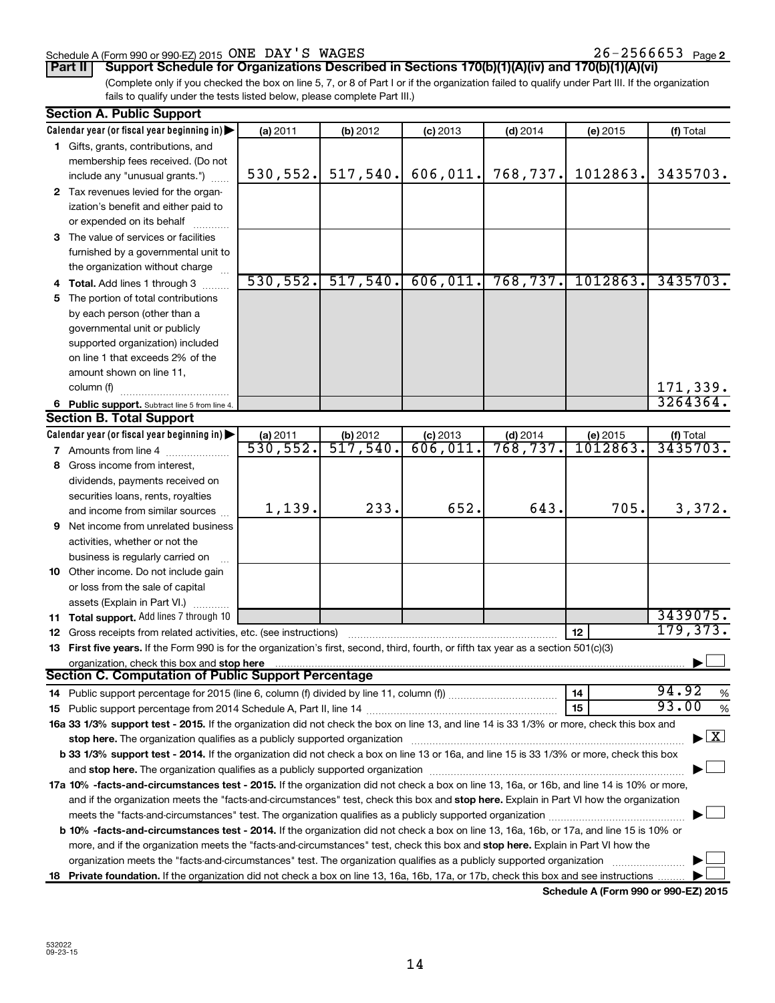### Schedule A (Form 990 or 990-EZ) 2015  $\overline{ONE}$   $\overline{DAY'S}$   $\overline{WAGES}$   $\overline{S}$   $\overline{S}$   $\overline{S}$   $\overline{S}$   $\overline{S}$   $\overline{S}$   $\overline{S}$   $\overline{S}$   $\overline{S}$   $\overline{S}$   $\overline{S}$   $\overline{S}$   $\overline{S}$   $\overline{S}$   $\overline{S}$   $\overline{S}$   $\overline{S}$

26-2566653 Page 2

**Part II Support Schedule for Organizations Described in Sections 170(b)(1)(A)(iv) and 170(b)(1)(A)(vi)**

(Complete only if you checked the box on line 5, 7, or 8 of Part I or if the organization failed to qualify under Part III. If the organization fails to qualify under the tests listed below, please complete Part III.)

|    | <b>Section A. Public Support</b>                                                                                                           |                                    |                      |                        |                         |                      |                                          |
|----|--------------------------------------------------------------------------------------------------------------------------------------------|------------------------------------|----------------------|------------------------|-------------------------|----------------------|------------------------------------------|
|    | Calendar year (or fiscal year beginning in)                                                                                                | (a) 2011                           | (b) 2012             | $(c)$ 2013             | $(d)$ 2014              | (e) 2015             | (f) Total                                |
|    | 1 Gifts, grants, contributions, and                                                                                                        |                                    |                      |                        |                         |                      |                                          |
|    | membership fees received. (Do not                                                                                                          |                                    |                      |                        |                         |                      |                                          |
|    | include any "unusual grants.")                                                                                                             | 530, 552.                          | 517,540.             | 606,011.               | 768,737.                | 1012863.             | 3435703.                                 |
|    | 2 Tax revenues levied for the organ-                                                                                                       |                                    |                      |                        |                         |                      |                                          |
|    | ization's benefit and either paid to                                                                                                       |                                    |                      |                        |                         |                      |                                          |
|    | or expended on its behalf                                                                                                                  |                                    |                      |                        |                         |                      |                                          |
|    | 3 The value of services or facilities                                                                                                      |                                    |                      |                        |                         |                      |                                          |
|    | furnished by a governmental unit to                                                                                                        |                                    |                      |                        |                         |                      |                                          |
|    | the organization without charge                                                                                                            |                                    |                      |                        |                         |                      |                                          |
|    | 4 Total. Add lines 1 through 3                                                                                                             | 530, 552.                          | 517,540.             | 606,011.               | 768, 737.               | 1012863.             | 3435703.                                 |
| 5. | The portion of total contributions                                                                                                         |                                    |                      |                        |                         |                      |                                          |
|    | by each person (other than a                                                                                                               |                                    |                      |                        |                         |                      |                                          |
|    | governmental unit or publicly                                                                                                              |                                    |                      |                        |                         |                      |                                          |
|    | supported organization) included                                                                                                           |                                    |                      |                        |                         |                      |                                          |
|    | on line 1 that exceeds 2% of the                                                                                                           |                                    |                      |                        |                         |                      |                                          |
|    | amount shown on line 11,                                                                                                                   |                                    |                      |                        |                         |                      |                                          |
|    | column (f)                                                                                                                                 |                                    |                      |                        |                         |                      | 171,339.                                 |
|    |                                                                                                                                            |                                    |                      |                        |                         |                      | 3264364.                                 |
|    | 6 Public support. Subtract line 5 from line 4.<br><b>Section B. Total Support</b>                                                          |                                    |                      |                        |                         |                      |                                          |
|    |                                                                                                                                            |                                    |                      |                        |                         |                      |                                          |
|    | Calendar year (or fiscal year beginning in)                                                                                                | (a) 2011<br>$\overline{530,552}$ . | (b) 2012<br>517,540. | $(c)$ 2013<br>606,011. | $(d)$ 2014<br>768, 737. | (e) 2015<br>1012863. | (f) Total<br>3435703.                    |
|    | <b>7</b> Amounts from line 4                                                                                                               |                                    |                      |                        |                         |                      |                                          |
| 8  | Gross income from interest,                                                                                                                |                                    |                      |                        |                         |                      |                                          |
|    | dividends, payments received on                                                                                                            |                                    |                      |                        |                         |                      |                                          |
|    | securities loans, rents, royalties                                                                                                         |                                    |                      |                        |                         |                      |                                          |
|    | and income from similar sources                                                                                                            | 1,139.                             | 233.                 | 652.                   | 643.                    | 705.                 | 3,372.                                   |
|    | 9 Net income from unrelated business                                                                                                       |                                    |                      |                        |                         |                      |                                          |
|    | activities, whether or not the                                                                                                             |                                    |                      |                        |                         |                      |                                          |
|    | business is regularly carried on                                                                                                           |                                    |                      |                        |                         |                      |                                          |
|    | 10 Other income. Do not include gain                                                                                                       |                                    |                      |                        |                         |                      |                                          |
|    | or loss from the sale of capital                                                                                                           |                                    |                      |                        |                         |                      |                                          |
|    | assets (Explain in Part VI.)                                                                                                               |                                    |                      |                        |                         |                      |                                          |
|    | 11 Total support. Add lines 7 through 10                                                                                                   |                                    |                      |                        |                         |                      | 3439075.                                 |
|    | <b>12</b> Gross receipts from related activities, etc. (see instructions)                                                                  |                                    |                      |                        |                         | 12                   | 179, 373.                                |
|    | 13 First five years. If the Form 990 is for the organization's first, second, third, fourth, or fifth tax year as a section 501(c)(3)      |                                    |                      |                        |                         |                      |                                          |
|    | organization, check this box and stop here                                                                                                 |                                    |                      |                        |                         |                      |                                          |
|    | Section C. Computation of Public Support Percentage                                                                                        |                                    |                      |                        |                         |                      |                                          |
|    |                                                                                                                                            |                                    |                      |                        |                         | 14                   | 94.92<br>%                               |
|    |                                                                                                                                            |                                    |                      |                        |                         | 15                   | 93.00<br>$\%$                            |
|    | 16a 33 1/3% support test - 2015. If the organization did not check the box on line 13, and line 14 is 33 1/3% or more, check this box and  |                                    |                      |                        |                         |                      |                                          |
|    |                                                                                                                                            |                                    |                      |                        |                         |                      | $\blacktriangleright$ $\boxed{\text{X}}$ |
|    | b 33 1/3% support test - 2014. If the organization did not check a box on line 13 or 16a, and line 15 is 33 1/3% or more, check this box   |                                    |                      |                        |                         |                      |                                          |
|    |                                                                                                                                            |                                    |                      |                        |                         |                      |                                          |
|    | 17a 10% -facts-and-circumstances test - 2015. If the organization did not check a box on line 13, 16a, or 16b, and line 14 is 10% or more, |                                    |                      |                        |                         |                      |                                          |
|    | and if the organization meets the "facts-and-circumstances" test, check this box and stop here. Explain in Part VI how the organization    |                                    |                      |                        |                         |                      |                                          |
|    | meets the "facts-and-circumstances" test. The organization qualifies as a publicly supported organization <i>manumumumum</i>               |                                    |                      |                        |                         |                      |                                          |
|    | b 10% -facts-and-circumstances test - 2014. If the organization did not check a box on line 13, 16a, 16b, or 17a, and line 15 is 10% or    |                                    |                      |                        |                         |                      |                                          |
|    |                                                                                                                                            |                                    |                      |                        |                         |                      |                                          |
|    | more, and if the organization meets the "facts-and-circumstances" test, check this box and stop here. Explain in Part VI how the           |                                    |                      |                        |                         |                      |                                          |
|    | organization meets the "facts-and-circumstances" test. The organization qualifies as a publicly supported organization                     |                                    |                      |                        |                         |                      |                                          |
|    | 18 Private foundation. If the organization did not check a box on line 13, 16a, 16b, 17a, or 17b, check this box and see instructions      |                                    |                      |                        |                         |                      |                                          |

**Schedule A (Form 990 or 990-EZ) 2015**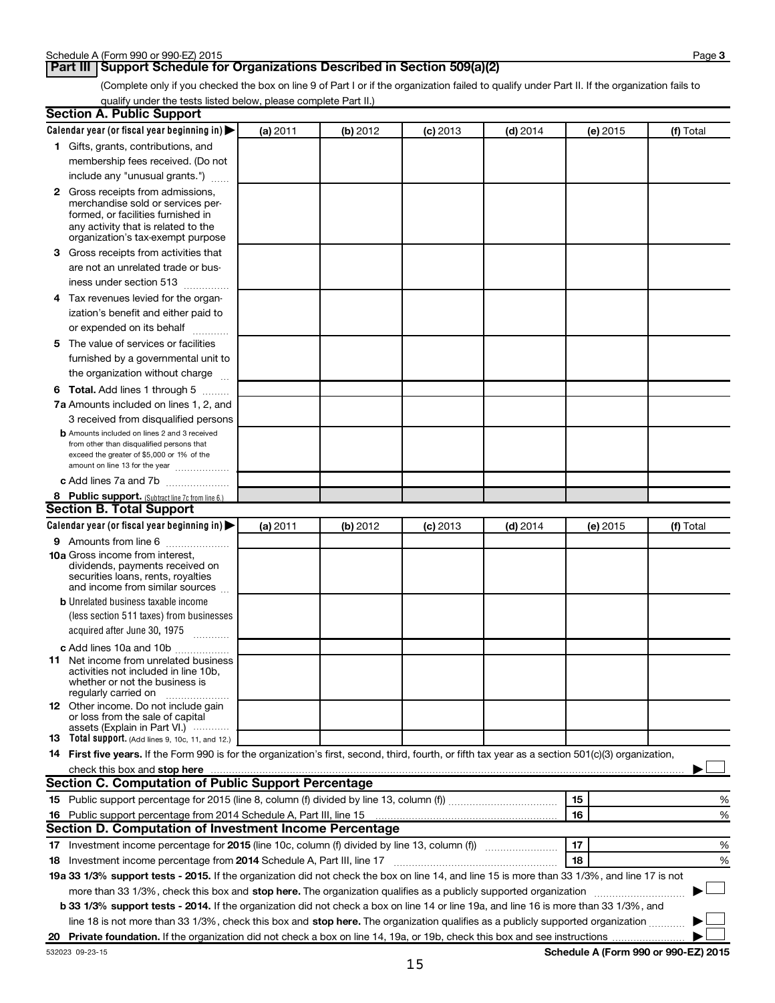**Page 3** 

(Complete only if you checked the box on line 9 of Part I or if the organization failed to qualify under Part II. If the organization fails to qualify under the tests listed below, please complete Part II.)

| <b>Section A. Public Support</b>                                                                                                                                                                                               |          |          |            |            |          |                                      |
|--------------------------------------------------------------------------------------------------------------------------------------------------------------------------------------------------------------------------------|----------|----------|------------|------------|----------|--------------------------------------|
| Calendar year (or fiscal year beginning in)                                                                                                                                                                                    | (a) 2011 | (b) 2012 | $(c)$ 2013 | $(d)$ 2014 | (e) 2015 | (f) Total                            |
| 1 Gifts, grants, contributions, and                                                                                                                                                                                            |          |          |            |            |          |                                      |
| membership fees received. (Do not                                                                                                                                                                                              |          |          |            |            |          |                                      |
| include any "unusual grants.")                                                                                                                                                                                                 |          |          |            |            |          |                                      |
| 2 Gross receipts from admissions,<br>merchandise sold or services per-<br>formed, or facilities furnished in<br>any activity that is related to the<br>organization's tax-exempt purpose                                       |          |          |            |            |          |                                      |
| 3 Gross receipts from activities that                                                                                                                                                                                          |          |          |            |            |          |                                      |
| are not an unrelated trade or bus-<br>iness under section 513                                                                                                                                                                  |          |          |            |            |          |                                      |
| 4 Tax revenues levied for the organ-                                                                                                                                                                                           |          |          |            |            |          |                                      |
| ization's benefit and either paid to<br>or expended on its behalf                                                                                                                                                              |          |          |            |            |          |                                      |
| 5 The value of services or facilities                                                                                                                                                                                          |          |          |            |            |          |                                      |
| furnished by a governmental unit to<br>the organization without charge                                                                                                                                                         |          |          |            |            |          |                                      |
| <b>6 Total.</b> Add lines 1 through 5                                                                                                                                                                                          |          |          |            |            |          |                                      |
| 7a Amounts included on lines 1, 2, and                                                                                                                                                                                         |          |          |            |            |          |                                      |
| 3 received from disqualified persons                                                                                                                                                                                           |          |          |            |            |          |                                      |
| <b>b</b> Amounts included on lines 2 and 3 received<br>from other than disqualified persons that<br>exceed the greater of \$5,000 or 1% of the<br>amount on line 13 for the year                                               |          |          |            |            |          |                                      |
| c Add lines 7a and 7b                                                                                                                                                                                                          |          |          |            |            |          |                                      |
| 8 Public support. (Subtract line 7c from line 6.)                                                                                                                                                                              |          |          |            |            |          |                                      |
| <b>Section B. Total Support</b>                                                                                                                                                                                                |          |          |            |            |          |                                      |
| Calendar year (or fiscal year beginning in)                                                                                                                                                                                    | (a) 2011 | (b) 2012 | $(c)$ 2013 | $(d)$ 2014 | (e) 2015 | (f) Total                            |
| <b>9</b> Amounts from line 6                                                                                                                                                                                                   |          |          |            |            |          |                                      |
| <b>10a</b> Gross income from interest,<br>dividends, payments received on<br>securities loans, rents, royalties<br>and income from similar sources                                                                             |          |          |            |            |          |                                      |
| <b>b</b> Unrelated business taxable income                                                                                                                                                                                     |          |          |            |            |          |                                      |
| (less section 511 taxes) from businesses<br>acquired after June 30, 1975<br>$\mathcal{L}$ . The contract of $\mathcal{L}$                                                                                                      |          |          |            |            |          |                                      |
| c Add lines 10a and 10b                                                                                                                                                                                                        |          |          |            |            |          |                                      |
| <b>11</b> Net income from unrelated business<br>activities not included in line 10b.<br>whether or not the business is<br>regularly carried on                                                                                 |          |          |            |            |          |                                      |
| 12 Other income. Do not include gain<br>or loss from the sale of capital<br>assets (Explain in Part VI.)                                                                                                                       |          |          |            |            |          |                                      |
| <b>13</b> Total support. (Add lines 9, 10c, 11, and 12.)                                                                                                                                                                       |          |          |            |            |          |                                      |
| 14 First five years. If the Form 990 is for the organization's first, second, third, fourth, or fifth tax year as a section 501(c)(3) organization,                                                                            |          |          |            |            |          |                                      |
| check this box and stop here Mathematical Communication and stop here Mathematical Communication and stop here Mathematical Communication and Stop here Mathematical Communication and Stop here Mathematical Communication an |          |          |            |            |          |                                      |
| <b>Section C. Computation of Public Support Percentage</b>                                                                                                                                                                     |          |          |            |            |          |                                      |
|                                                                                                                                                                                                                                |          |          |            |            | 15       | %                                    |
| 16 Public support percentage from 2014 Schedule A, Part III, line 15                                                                                                                                                           |          |          |            |            | 16       | %                                    |
| Section D. Computation of Investment Income Percentage                                                                                                                                                                         |          |          |            |            |          |                                      |
|                                                                                                                                                                                                                                |          |          |            |            | 17       | %                                    |
| 18 Investment income percentage from 2014 Schedule A, Part III, line 17                                                                                                                                                        |          |          |            |            | 18       | %                                    |
| 19a 33 1/3% support tests - 2015. If the organization did not check the box on line 14, and line 15 is more than 33 1/3%, and line 17 is not                                                                                   |          |          |            |            |          |                                      |
| more than 33 1/3%, check this box and stop here. The organization qualifies as a publicly supported organization                                                                                                               |          |          |            |            |          |                                      |
| <b>b 33 1/3% support tests - 2014.</b> If the organization did not check a box on line 14 or line 19a, and line 16 is more than 33 1/3%, and                                                                                   |          |          |            |            |          |                                      |
| line 18 is not more than 33 1/3%, check this box and stop here. The organization qualifies as a publicly supported organization                                                                                                |          |          |            |            |          |                                      |
|                                                                                                                                                                                                                                |          |          |            |            |          |                                      |
| 532023 09-23-15                                                                                                                                                                                                                |          |          |            |            |          | Schedule A (Form 990 or 990-EZ) 2015 |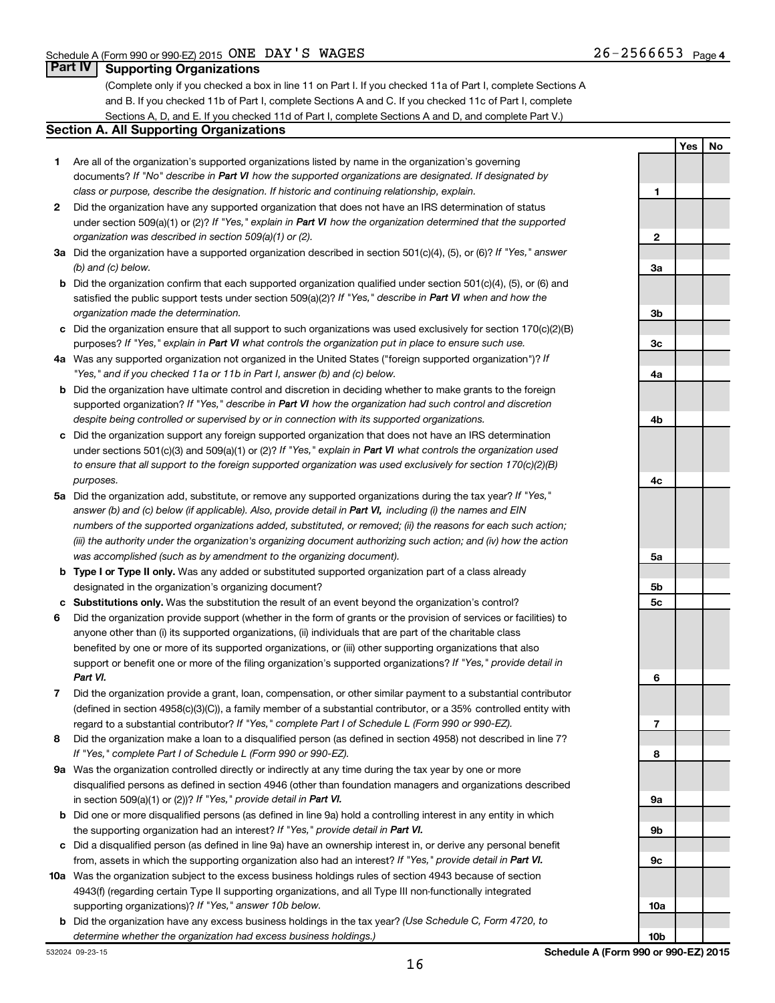**Yes No**

### **Part IV Supporting Organizations**

(Complete only if you checked a box in line 11 on Part I. If you checked 11a of Part I, complete Sections A and B. If you checked 11b of Part I, complete Sections A and C. If you checked 11c of Part I, complete Sections A, D, and E. If you checked 11d of Part I, complete Sections A and D, and complete Part V.)

### **Section A. All Supporting Organizations**

- **1** Are all of the organization's supported organizations listed by name in the organization's governing documents? If "No" describe in Part VI how the supported organizations are designated. If designated by *class or purpose, describe the designation. If historic and continuing relationship, explain.*
- **2** Did the organization have any supported organization that does not have an IRS determination of status under section 509(a)(1) or (2)? If "Yes," explain in Part VI how the organization determined that the supported *organization was described in section 509(a)(1) or (2).*
- **3a** Did the organization have a supported organization described in section 501(c)(4), (5), or (6)? If "Yes," answer *(b) and (c) below.*
- **b** Did the organization confirm that each supported organization qualified under section 501(c)(4), (5), or (6) and satisfied the public support tests under section 509(a)(2)? If "Yes," describe in Part VI when and how the *organization made the determination.*
- **c** Did the organization ensure that all support to such organizations was used exclusively for section 170(c)(2)(B) purposes? If "Yes," explain in Part VI what controls the organization put in place to ensure such use.
- **4 a** *If* Was any supported organization not organized in the United States ("foreign supported organization")? *"Yes," and if you checked 11a or 11b in Part I, answer (b) and (c) below.*
- **b** Did the organization have ultimate control and discretion in deciding whether to make grants to the foreign supported organization? If "Yes," describe in Part VI how the organization had such control and discretion *despite being controlled or supervised by or in connection with its supported organizations.*
- **c** Did the organization support any foreign supported organization that does not have an IRS determination under sections 501(c)(3) and 509(a)(1) or (2)? If "Yes," explain in Part VI what controls the organization used *to ensure that all support to the foreign supported organization was used exclusively for section 170(c)(2)(B) purposes.*
- **5a** Did the organization add, substitute, or remove any supported organizations during the tax year? If "Yes," answer (b) and (c) below (if applicable). Also, provide detail in Part VI, including (i) the names and EIN *numbers of the supported organizations added, substituted, or removed; (ii) the reasons for each such action; (iii) the authority under the organization's organizing document authorizing such action; and (iv) how the action was accomplished (such as by amendment to the organizing document).*
- **b** Type I or Type II only. Was any added or substituted supported organization part of a class already designated in the organization's organizing document?
- **c Substitutions only.**  Was the substitution the result of an event beyond the organization's control?
- **6** Did the organization provide support (whether in the form of grants or the provision of services or facilities) to support or benefit one or more of the filing organization's supported organizations? If "Yes," provide detail in anyone other than (i) its supported organizations, (ii) individuals that are part of the charitable class benefited by one or more of its supported organizations, or (iii) other supporting organizations that also *Part VI.*
- **7** Did the organization provide a grant, loan, compensation, or other similar payment to a substantial contributor regard to a substantial contributor? If "Yes," complete Part I of Schedule L (Form 990 or 990-EZ). (defined in section 4958(c)(3)(C)), a family member of a substantial contributor, or a 35% controlled entity with
- **8** Did the organization make a loan to a disqualified person (as defined in section 4958) not described in line 7? *If "Yes," complete Part I of Schedule L (Form 990 or 990-EZ).*
- **9 a** Was the organization controlled directly or indirectly at any time during the tax year by one or more in section 509(a)(1) or (2))? If "Yes," provide detail in Part VI. disqualified persons as defined in section 4946 (other than foundation managers and organizations described
- **b** Did one or more disqualified persons (as defined in line 9a) hold a controlling interest in any entity in which the supporting organization had an interest? If "Yes," provide detail in Part VI.
- **c** Did a disqualified person (as defined in line 9a) have an ownership interest in, or derive any personal benefit from, assets in which the supporting organization also had an interest? If "Yes," provide detail in Part VI.
- **10 a** Was the organization subject to the excess business holdings rules of section 4943 because of section supporting organizations)? If "Yes," answer 10b below. 4943(f) (regarding certain Type II supporting organizations, and all Type III non-functionally integrated
- **b** Did the organization have any excess business holdings in the tax year? (Use Schedule C, Form 4720, to *determine whether the organization had excess business holdings.)*

**1 2 3a 3b 3c 4a 4b 4c 5a 5b 5c 6 7 8 9a 9b 9c 10a**

**10b**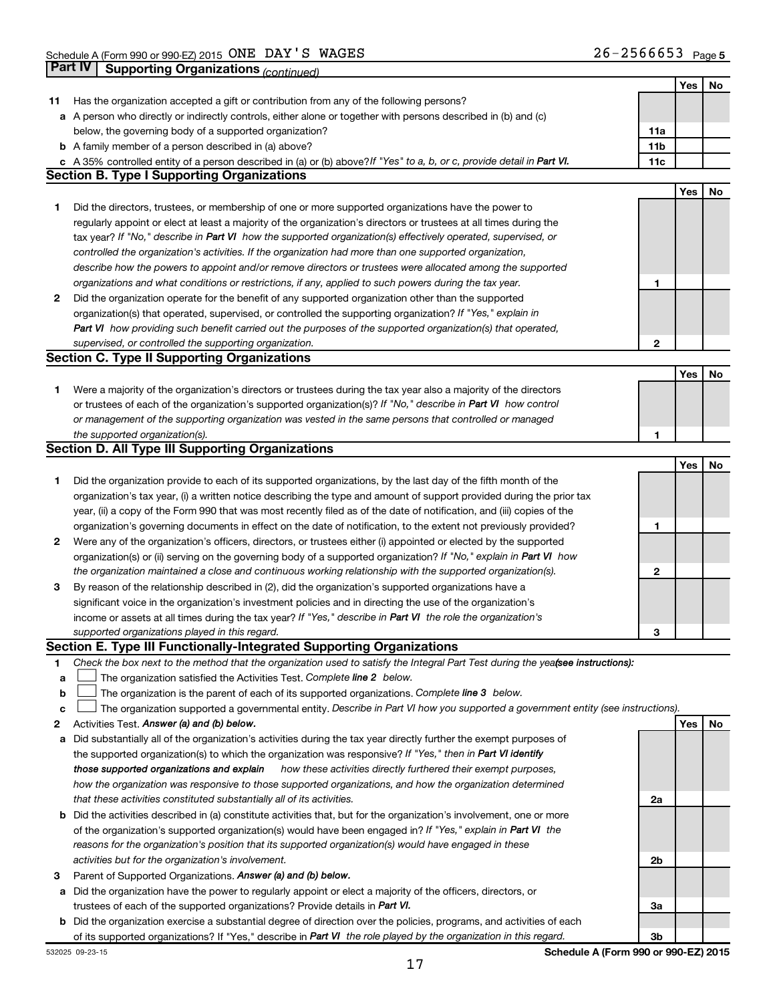|    |                                                                                                                                 |                | Yes | No |
|----|---------------------------------------------------------------------------------------------------------------------------------|----------------|-----|----|
| 11 | Has the organization accepted a gift or contribution from any of the following persons?                                         |                |     |    |
|    | a A person who directly or indirectly controls, either alone or together with persons described in (b) and (c)                  |                |     |    |
|    | below, the governing body of a supported organization?                                                                          | 11a            |     |    |
|    | <b>b</b> A family member of a person described in (a) above?                                                                    | 11b            |     |    |
|    | c A 35% controlled entity of a person described in (a) or (b) above? If "Yes" to a, b, or c, provide detail in Part VI.         | 11c            |     |    |
|    | <b>Section B. Type I Supporting Organizations</b>                                                                               |                |     |    |
|    |                                                                                                                                 |                | Yes | No |
| 1  | Did the directors, trustees, or membership of one or more supported organizations have the power to                             |                |     |    |
|    | regularly appoint or elect at least a majority of the organization's directors or trustees at all times during the              |                |     |    |
|    | tax year? If "No," describe in Part VI how the supported organization(s) effectively operated, supervised, or                   |                |     |    |
|    | controlled the organization's activities. If the organization had more than one supported organization,                         |                |     |    |
|    | describe how the powers to appoint and/or remove directors or trustees were allocated among the supported                       |                |     |    |
|    | organizations and what conditions or restrictions, if any, applied to such powers during the tax year.                          | 1              |     |    |
| 2  | Did the organization operate for the benefit of any supported organization other than the supported                             |                |     |    |
|    | organization(s) that operated, supervised, or controlled the supporting organization? If "Yes," explain in                      |                |     |    |
|    | Part VI how providing such benefit carried out the purposes of the supported organization(s) that operated,                     |                |     |    |
|    | supervised, or controlled the supporting organization.                                                                          | 2              |     |    |
|    | <b>Section C. Type II Supporting Organizations</b>                                                                              |                |     |    |
|    |                                                                                                                                 |                | Yes | No |
| 1  | Were a majority of the organization's directors or trustees during the tax year also a majority of the directors                |                |     |    |
|    | or trustees of each of the organization's supported organization(s)? If "No," describe in Part VI how control                   |                |     |    |
|    | or management of the supporting organization was vested in the same persons that controlled or managed                          |                |     |    |
|    | the supported organization(s).                                                                                                  | 1              |     |    |
|    | <b>Section D. All Type III Supporting Organizations</b>                                                                         |                |     |    |
|    |                                                                                                                                 |                | Yes | No |
| 1  | Did the organization provide to each of its supported organizations, by the last day of the fifth month of the                  |                |     |    |
|    | organization's tax year, (i) a written notice describing the type and amount of support provided during the prior tax           |                |     |    |
|    | year, (ii) a copy of the Form 990 that was most recently filed as of the date of notification, and (iii) copies of the          |                |     |    |
|    | organization's governing documents in effect on the date of notification, to the extent not previously provided?                | 1              |     |    |
| 2  | Were any of the organization's officers, directors, or trustees either (i) appointed or elected by the supported                |                |     |    |
|    | organization(s) or (ii) serving on the governing body of a supported organization? If "No," explain in Part VI how              |                |     |    |
|    | the organization maintained a close and continuous working relationship with the supported organization(s).                     | 2              |     |    |
| 3  | By reason of the relationship described in (2), did the organization's supported organizations have a                           |                |     |    |
|    | significant voice in the organization's investment policies and in directing the use of the organization's                      |                |     |    |
|    | income or assets at all times during the tax year? If "Yes," describe in Part VI the role the organization's                    |                |     |    |
|    | supported organizations played in this regard.                                                                                  | З              |     |    |
|    | Section E. Type III Functionally-Integrated Supporting Organizations                                                            |                |     |    |
| 1  | Check the box next to the method that the organization used to satisfy the Integral Part Test during the yealsee instructions): |                |     |    |
| а  | The organization satisfied the Activities Test. Complete line 2 below.                                                          |                |     |    |
| b  | The organization is the parent of each of its supported organizations. Complete line 3 below.                                   |                |     |    |
| c  | The organization supported a governmental entity. Describe in Part VI how you supported a government entity (see instructions). |                |     |    |
| 2  | Activities Test. Answer (a) and (b) below.                                                                                      |                | Yes | No |
| а  | Did substantially all of the organization's activities during the tax year directly further the exempt purposes of              |                |     |    |
|    | the supported organization(s) to which the organization was responsive? If "Yes," then in Part VI identify                      |                |     |    |
|    | those supported organizations and explain how these activities directly furthered their exempt purposes,                        |                |     |    |
|    | how the organization was responsive to those supported organizations, and how the organization determined                       |                |     |    |
|    | that these activities constituted substantially all of its activities.                                                          | 2a             |     |    |
| b  | Did the activities described in (a) constitute activities that, but for the organization's involvement, one or more             |                |     |    |
|    | of the organization's supported organization(s) would have been engaged in? If "Yes," explain in Part VI the                    |                |     |    |
|    | reasons for the organization's position that its supported organization(s) would have engaged in these                          |                |     |    |
|    | activities but for the organization's involvement.                                                                              | 2b             |     |    |
| 3  | Parent of Supported Organizations. Answer (a) and (b) below.                                                                    |                |     |    |
| а  | Did the organization have the power to regularly appoint or elect a majority of the officers, directors, or                     |                |     |    |
|    | trustees of each of the supported organizations? Provide details in Part VI.                                                    | За             |     |    |
| b  | Did the organization exercise a substantial degree of direction over the policies, programs, and activities of each             |                |     |    |
|    | of its supported organizations? If "Yes," describe in Part VI the role played by the organization in this regard.               | 3 <sub>b</sub> |     |    |
|    |                                                                                                                                 |                |     |    |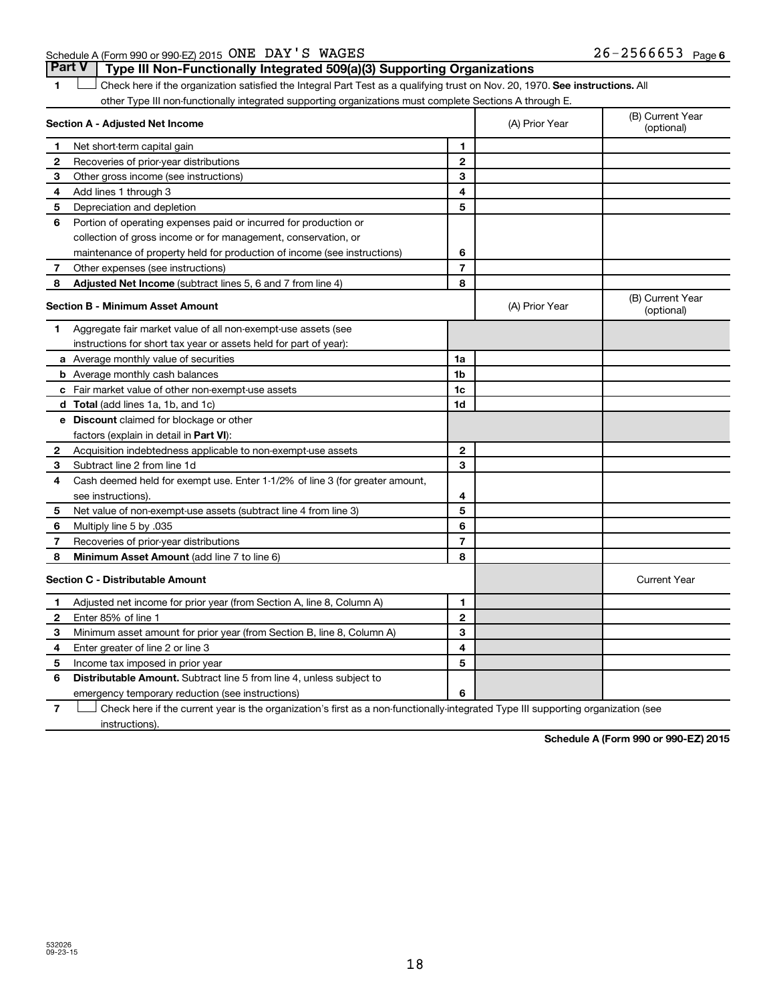### Schedule A (Form 990 or 990-EZ) 2015  $\overline{ONE}$   $\overline{DAY'S}$   $\overline{WAGES}$   $\overline{S}$   $\overline{S}$   $\overline{S}$   $\overline{S}$   $\overline{S}$   $\overline{S}$   $\overline{S}$   $\overline{S}$   $\overline{S}$   $\overline{S}$   $\overline{S}$   $\overline{S}$   $\overline{S}$   $\overline{S}$   $\overline{S}$   $\overline{S}$   $\overline{S}$

1  $\Box$  Check here if the organization satisfied the Integral Part Test as a qualifying trust on Nov. 20, 1970. See instructions. All other Type III non-functionally integrated supporting organizations must complete Sections A through E. **Part V Type III Non-Functionally Integrated 509(a)(3) Supporting Organizations**   $\Box$ 

|              | Section A - Adjusted Net Income                                              | (A) Prior Year | (B) Current Year<br>(optional) |                                |
|--------------|------------------------------------------------------------------------------|----------------|--------------------------------|--------------------------------|
| 1            | Net short-term capital gain                                                  | 1              |                                |                                |
| 2            | Recoveries of prior-year distributions                                       | $\mathbf{2}$   |                                |                                |
| 3            | Other gross income (see instructions)                                        | 3              |                                |                                |
| 4            | Add lines 1 through 3                                                        | 4              |                                |                                |
| 5            | Depreciation and depletion                                                   | 5              |                                |                                |
| 6            | Portion of operating expenses paid or incurred for production or             |                |                                |                                |
|              | collection of gross income or for management, conservation, or               |                |                                |                                |
|              | maintenance of property held for production of income (see instructions)     | 6              |                                |                                |
| 7            | Other expenses (see instructions)                                            | $\overline{7}$ |                                |                                |
| 8            | Adjusted Net Income (subtract lines 5, 6 and 7 from line 4)                  | 8              |                                |                                |
|              | <b>Section B - Minimum Asset Amount</b>                                      |                | (A) Prior Year                 | (B) Current Year<br>(optional) |
| 1            | Aggregate fair market value of all non-exempt-use assets (see                |                |                                |                                |
|              | instructions for short tax year or assets held for part of year):            |                |                                |                                |
|              | a Average monthly value of securities                                        | 1a             |                                |                                |
|              | <b>b</b> Average monthly cash balances                                       | 1 <sub>b</sub> |                                |                                |
|              | c Fair market value of other non-exempt-use assets                           | 1c             |                                |                                |
|              | <b>d</b> Total (add lines 1a, 1b, and 1c)                                    | 1d             |                                |                                |
|              | e Discount claimed for blockage or other                                     |                |                                |                                |
|              | factors (explain in detail in Part VI):                                      |                |                                |                                |
| 2            | Acquisition indebtedness applicable to non-exempt-use assets                 | $\mathbf{2}$   |                                |                                |
| З            | Subtract line 2 from line 1d                                                 | 3              |                                |                                |
| 4            | Cash deemed held for exempt use. Enter 1-1/2% of line 3 (for greater amount, |                |                                |                                |
|              | see instructions).                                                           | 4              |                                |                                |
| 5            | Net value of non-exempt-use assets (subtract line 4 from line 3)             | 5              |                                |                                |
| 6            | Multiply line 5 by .035                                                      | 6              |                                |                                |
| 7            | Recoveries of prior-year distributions                                       | $\overline{7}$ |                                |                                |
| 8            | Minimum Asset Amount (add line 7 to line 6)                                  | 8              |                                |                                |
|              | <b>Section C - Distributable Amount</b>                                      |                |                                | <b>Current Year</b>            |
| 1            | Adjusted net income for prior year (from Section A, line 8, Column A)        | 1              |                                |                                |
| $\mathbf{2}$ | Enter 85% of line 1                                                          | $\mathbf{2}$   |                                |                                |
| З            | Minimum asset amount for prior year (from Section B, line 8, Column A)       | 3              |                                |                                |
| 4            | Enter greater of line 2 or line 3                                            | 4              |                                |                                |
| 5            | Income tax imposed in prior year                                             | 5              |                                |                                |
| 6            | Distributable Amount. Subtract line 5 from line 4, unless subject to         |                |                                |                                |
|              | emergency temporary reduction (see instructions)                             | 6              |                                |                                |
|              |                                                                              |                |                                |                                |

**7** Check here if the current year is the organization's first as a non-functionally-integrated Type III supporting organization (see † instructions).

**Schedule A (Form 990 or 990-EZ) 2015**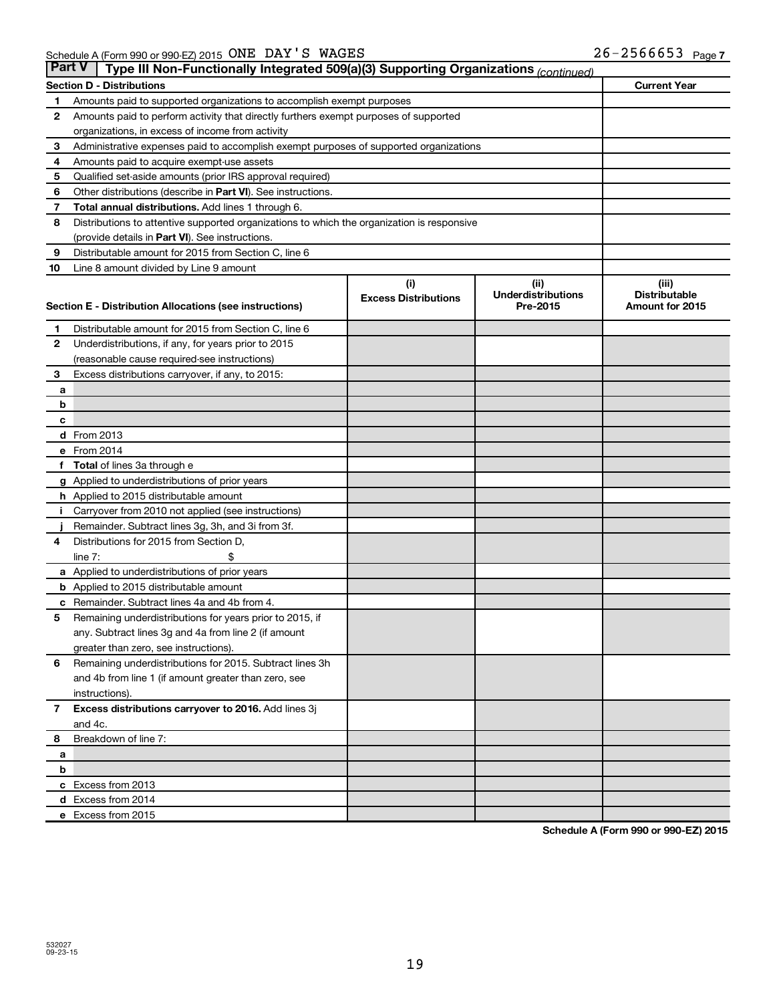| ∣ Part V∣    | Type III Non-Functionally Integrated 509(a)(3) Supporting Organizations (continued)        |                             |                                       |                                         |  |  |  |  |
|--------------|--------------------------------------------------------------------------------------------|-----------------------------|---------------------------------------|-----------------------------------------|--|--|--|--|
|              | Section D - Distributions                                                                  |                             |                                       | <b>Current Year</b>                     |  |  |  |  |
| 1            | Amounts paid to supported organizations to accomplish exempt purposes                      |                             |                                       |                                         |  |  |  |  |
| $\mathbf{2}$ | Amounts paid to perform activity that directly furthers exempt purposes of supported       |                             |                                       |                                         |  |  |  |  |
|              | organizations, in excess of income from activity                                           |                             |                                       |                                         |  |  |  |  |
| 3            | Administrative expenses paid to accomplish exempt purposes of supported organizations      |                             |                                       |                                         |  |  |  |  |
| 4            | Amounts paid to acquire exempt-use assets                                                  |                             |                                       |                                         |  |  |  |  |
| 5            | Qualified set-aside amounts (prior IRS approval required)                                  |                             |                                       |                                         |  |  |  |  |
| 6            | Other distributions (describe in <b>Part VI</b> ). See instructions.                       |                             |                                       |                                         |  |  |  |  |
| 7            | <b>Total annual distributions.</b> Add lines 1 through 6.                                  |                             |                                       |                                         |  |  |  |  |
| 8            | Distributions to attentive supported organizations to which the organization is responsive |                             |                                       |                                         |  |  |  |  |
|              | (provide details in Part VI). See instructions.                                            |                             |                                       |                                         |  |  |  |  |
| 9            | Distributable amount for 2015 from Section C, line 6                                       |                             |                                       |                                         |  |  |  |  |
| 10           | Line 8 amount divided by Line 9 amount                                                     |                             |                                       |                                         |  |  |  |  |
|              |                                                                                            | (i)                         | (ii)                                  | (iii)                                   |  |  |  |  |
|              | Section E - Distribution Allocations (see instructions)                                    | <b>Excess Distributions</b> | <b>Underdistributions</b><br>Pre-2015 | <b>Distributable</b><br>Amount for 2015 |  |  |  |  |
|              |                                                                                            |                             |                                       |                                         |  |  |  |  |
| 1            | Distributable amount for 2015 from Section C, line 6                                       |                             |                                       |                                         |  |  |  |  |
| $\mathbf{2}$ | Underdistributions, if any, for years prior to 2015                                        |                             |                                       |                                         |  |  |  |  |
|              | (reasonable cause required-see instructions)                                               |                             |                                       |                                         |  |  |  |  |
| 3            | Excess distributions carryover, if any, to 2015:                                           |                             |                                       |                                         |  |  |  |  |
| a            |                                                                                            |                             |                                       |                                         |  |  |  |  |
| b            |                                                                                            |                             |                                       |                                         |  |  |  |  |
| c            |                                                                                            |                             |                                       |                                         |  |  |  |  |
|              | <b>d</b> From 2013                                                                         |                             |                                       |                                         |  |  |  |  |
|              | e From 2014                                                                                |                             |                                       |                                         |  |  |  |  |
| f            | <b>Total</b> of lines 3a through e                                                         |                             |                                       |                                         |  |  |  |  |
|              | <b>g</b> Applied to underdistributions of prior years                                      |                             |                                       |                                         |  |  |  |  |
|              | h Applied to 2015 distributable amount                                                     |                             |                                       |                                         |  |  |  |  |
|              | Carryover from 2010 not applied (see instructions)                                         |                             |                                       |                                         |  |  |  |  |
|              | Remainder. Subtract lines 3g, 3h, and 3i from 3f.                                          |                             |                                       |                                         |  |  |  |  |
| 4            | Distributions for 2015 from Section D,                                                     |                             |                                       |                                         |  |  |  |  |
|              | line $7:$                                                                                  |                             |                                       |                                         |  |  |  |  |
|              | a Applied to underdistributions of prior years                                             |                             |                                       |                                         |  |  |  |  |
|              | <b>b</b> Applied to 2015 distributable amount                                              |                             |                                       |                                         |  |  |  |  |
| с            | Remainder. Subtract lines 4a and 4b from 4.                                                |                             |                                       |                                         |  |  |  |  |
| 5            | Remaining underdistributions for years prior to 2015, if                                   |                             |                                       |                                         |  |  |  |  |
|              | any. Subtract lines 3g and 4a from line 2 (if amount                                       |                             |                                       |                                         |  |  |  |  |
|              | greater than zero, see instructions).                                                      |                             |                                       |                                         |  |  |  |  |
| 6            | Remaining underdistributions for 2015. Subtract lines 3h                                   |                             |                                       |                                         |  |  |  |  |
|              | and 4b from line 1 (if amount greater than zero, see                                       |                             |                                       |                                         |  |  |  |  |
|              | instructions).                                                                             |                             |                                       |                                         |  |  |  |  |
| $\mathbf{7}$ | Excess distributions carryover to 2016. Add lines 3j                                       |                             |                                       |                                         |  |  |  |  |
|              | and 4c.                                                                                    |                             |                                       |                                         |  |  |  |  |
| 8            | Breakdown of line 7:                                                                       |                             |                                       |                                         |  |  |  |  |
| a            |                                                                                            |                             |                                       |                                         |  |  |  |  |
| b            |                                                                                            |                             |                                       |                                         |  |  |  |  |
|              | c Excess from 2013                                                                         |                             |                                       |                                         |  |  |  |  |
|              | d Excess from 2014                                                                         |                             |                                       |                                         |  |  |  |  |
|              | e Excess from 2015                                                                         |                             |                                       |                                         |  |  |  |  |

**Schedule A (Form 990 or 990-EZ) 2015**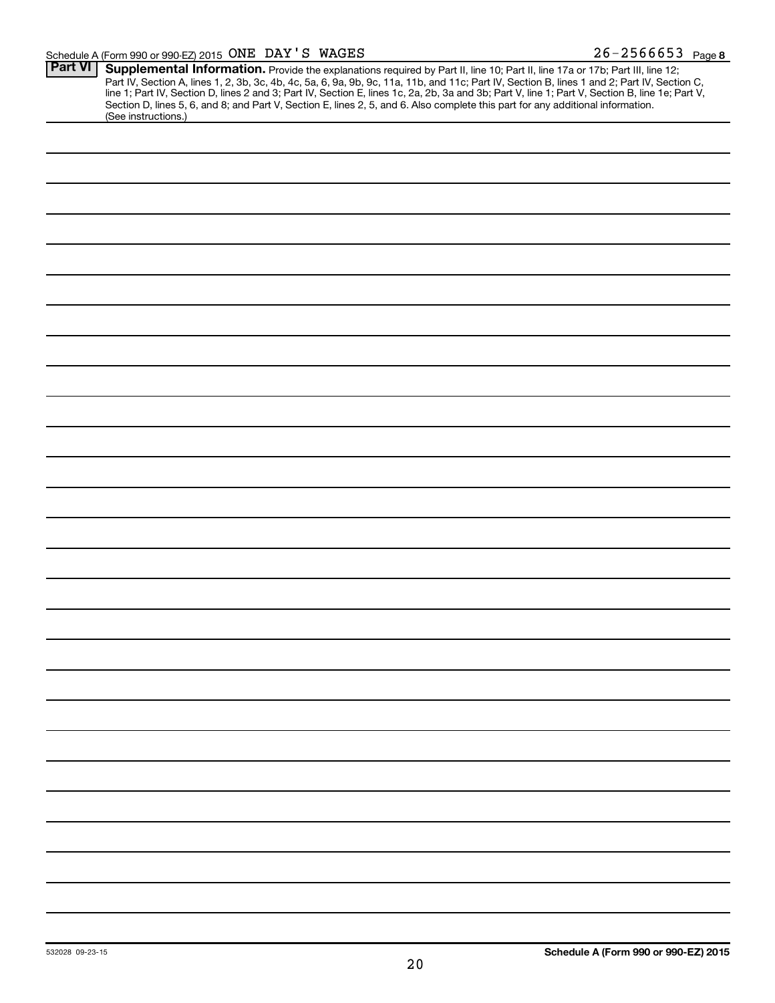| Part VI |                                                                                                                                                                                                                                        |
|---------|----------------------------------------------------------------------------------------------------------------------------------------------------------------------------------------------------------------------------------------|
|         | <b>Supplemental Information.</b> Provide the explanations required by Part II, line 10; Part II, line 17a or 17b; Part III, line 12;<br>Part IV, Section A, lines 1, 2, 3b, 3c, 4b, 4c, 5a, 6, 9a, 9b, 9c, 11a, 11b, and 11c; Part IV, |
|         |                                                                                                                                                                                                                                        |
|         | Section D, lines 5, 6, and 8; and Part V, Section E, lines 2, 5, and 6. Also complete this part for any additional information.                                                                                                        |
|         | (See instructions.)                                                                                                                                                                                                                    |
|         |                                                                                                                                                                                                                                        |
|         |                                                                                                                                                                                                                                        |
|         |                                                                                                                                                                                                                                        |
|         |                                                                                                                                                                                                                                        |
|         |                                                                                                                                                                                                                                        |
|         |                                                                                                                                                                                                                                        |
|         |                                                                                                                                                                                                                                        |
|         |                                                                                                                                                                                                                                        |
|         |                                                                                                                                                                                                                                        |
|         |                                                                                                                                                                                                                                        |
|         |                                                                                                                                                                                                                                        |
|         |                                                                                                                                                                                                                                        |
|         |                                                                                                                                                                                                                                        |
|         |                                                                                                                                                                                                                                        |
|         |                                                                                                                                                                                                                                        |
|         |                                                                                                                                                                                                                                        |
|         |                                                                                                                                                                                                                                        |
|         |                                                                                                                                                                                                                                        |
|         |                                                                                                                                                                                                                                        |
|         |                                                                                                                                                                                                                                        |
|         |                                                                                                                                                                                                                                        |
|         |                                                                                                                                                                                                                                        |
|         |                                                                                                                                                                                                                                        |
|         |                                                                                                                                                                                                                                        |
|         |                                                                                                                                                                                                                                        |
|         |                                                                                                                                                                                                                                        |
|         |                                                                                                                                                                                                                                        |
|         |                                                                                                                                                                                                                                        |
|         |                                                                                                                                                                                                                                        |
|         |                                                                                                                                                                                                                                        |
|         |                                                                                                                                                                                                                                        |
|         |                                                                                                                                                                                                                                        |
|         |                                                                                                                                                                                                                                        |
|         |                                                                                                                                                                                                                                        |
|         |                                                                                                                                                                                                                                        |
|         |                                                                                                                                                                                                                                        |
|         |                                                                                                                                                                                                                                        |
|         |                                                                                                                                                                                                                                        |
|         |                                                                                                                                                                                                                                        |
|         |                                                                                                                                                                                                                                        |
|         |                                                                                                                                                                                                                                        |
|         |                                                                                                                                                                                                                                        |
|         |                                                                                                                                                                                                                                        |
|         |                                                                                                                                                                                                                                        |
|         |                                                                                                                                                                                                                                        |
|         |                                                                                                                                                                                                                                        |
|         |                                                                                                                                                                                                                                        |
|         |                                                                                                                                                                                                                                        |
|         |                                                                                                                                                                                                                                        |
|         |                                                                                                                                                                                                                                        |
|         |                                                                                                                                                                                                                                        |
|         |                                                                                                                                                                                                                                        |
|         |                                                                                                                                                                                                                                        |
|         |                                                                                                                                                                                                                                        |
|         |                                                                                                                                                                                                                                        |
|         |                                                                                                                                                                                                                                        |
|         |                                                                                                                                                                                                                                        |
|         |                                                                                                                                                                                                                                        |
|         |                                                                                                                                                                                                                                        |
|         |                                                                                                                                                                                                                                        |
|         |                                                                                                                                                                                                                                        |
|         |                                                                                                                                                                                                                                        |
|         |                                                                                                                                                                                                                                        |
|         |                                                                                                                                                                                                                                        |
|         |                                                                                                                                                                                                                                        |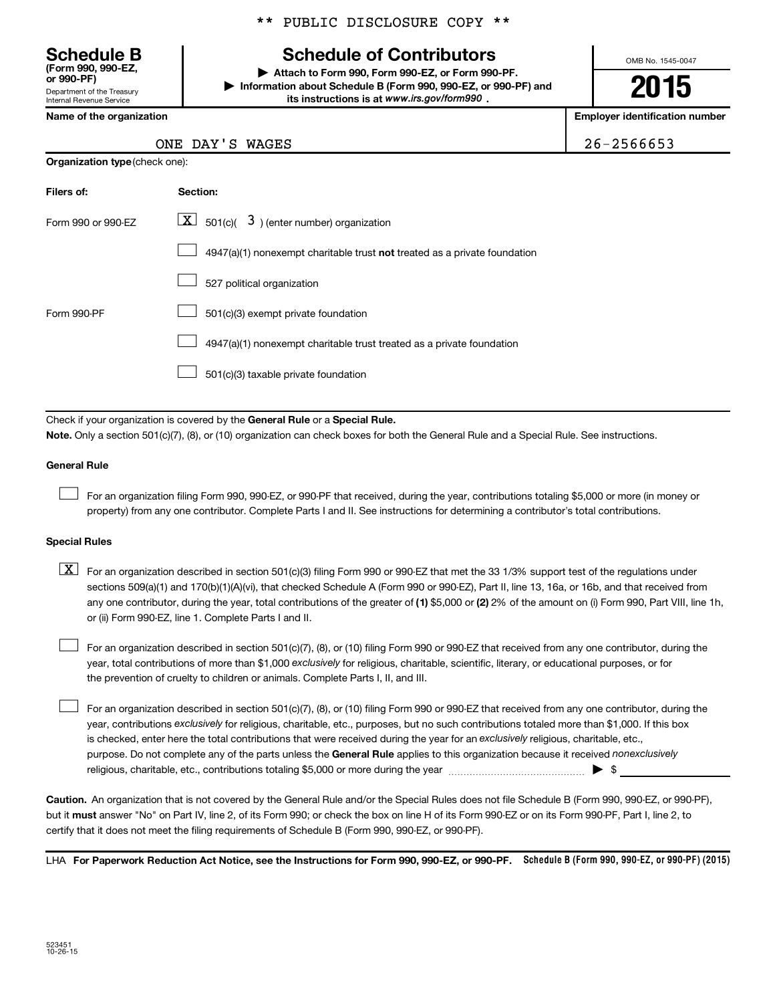Department of the Treasury Internal Revenue Service **(Form 990, 990-EZ,**

### \*\* PUBLIC DISCLOSURE COPY \*\*

### **Schedule B Schedule of Contributors**

**or 990-PF) | Attach to Form 990, Form 990-EZ, or Form 990-PF. | Information about Schedule B (Form 990, 990-EZ, or 990-PF) and** its instructions is at www.irs.gov/form990.

OMB No. 1545-0047

**2015**

**Name of the organization Employer identification number**

 $26 - 2566653$ 

| ONE DAY'S WAGES |  |
|-----------------|--|
|-----------------|--|

| <b>Organization type (check one):</b> |                                                                           |  |  |  |
|---------------------------------------|---------------------------------------------------------------------------|--|--|--|
| Filers of:                            | Section:                                                                  |  |  |  |
| Form 990 or 990-EZ                    | $ \mathbf{X} $ 501(c)( 3) (enter number) organization                     |  |  |  |
|                                       | 4947(a)(1) nonexempt charitable trust not treated as a private foundation |  |  |  |
|                                       | 527 political organization                                                |  |  |  |
| Form 990-PF                           | 501(c)(3) exempt private foundation                                       |  |  |  |
|                                       | 4947(a)(1) nonexempt charitable trust treated as a private foundation     |  |  |  |
|                                       | 501(c)(3) taxable private foundation                                      |  |  |  |

Check if your organization is covered by the General Rule or a Special Rule.

**Note.**  Only a section 501(c)(7), (8), or (10) organization can check boxes for both the General Rule and a Special Rule. See instructions.

### **General Rule**

 $\Box$ 

For an organization filing Form 990, 990-EZ, or 990-PF that received, during the year, contributions totaling \$5,000 or more (in money or property) from any one contributor. Complete Parts I and II. See instructions for determining a contributor's total contributions.

#### **Special Rules**

any one contributor, during the year, total contributions of the greater of **(1)** \$5,000 or **(2)** 2% of the amount on (i) Form 990, Part VIII, line 1h,  $\boxed{\text{X}}$  For an organization described in section 501(c)(3) filing Form 990 or 990-EZ that met the 33 1/3% support test of the regulations under sections 509(a)(1) and 170(b)(1)(A)(vi), that checked Schedule A (Form 990 or 990-EZ), Part II, line 13, 16a, or 16b, and that received from or (ii) Form 990-EZ, line 1. Complete Parts I and II.

year, total contributions of more than \$1,000 *exclusively* for religious, charitable, scientific, literary, or educational purposes, or for For an organization described in section 501(c)(7), (8), or (10) filing Form 990 or 990-EZ that received from any one contributor, during the the prevention of cruelty to children or animals. Complete Parts I, II, and III.  $\Box$ 

purpose. Do not complete any of the parts unless the General Rule applies to this organization because it received nonexclusively year, contributions exclusively for religious, charitable, etc., purposes, but no such contributions totaled more than \$1,000. If this box is checked, enter here the total contributions that were received during the year for an exclusively religious, charitable, etc., For an organization described in section 501(c)(7), (8), or (10) filing Form 990 or 990-EZ that received from any one contributor, during the religious, charitable, etc., contributions totaling \$5,000 or more during the year  $\ldots$  $\ldots$  $\ldots$  $\ldots$  $\ldots$  $\ldots$  $\Box$ 

**Caution.** An organization that is not covered by the General Rule and/or the Special Rules does not file Schedule B (Form 990, 990-EZ, or 990-PF),  **must** but it answer "No" on Part IV, line 2, of its Form 990; or check the box on line H of its Form 990-EZ or on its Form 990-PF, Part I, line 2, to certify that it does not meet the filing requirements of Schedule B (Form 990, 990-EZ, or 990-PF).

LHA For Paperwork Reduction Act Notice, see the Instructions for Form 990, 990-EZ, or 990-PF. Schedule B (Form 990, 990-EZ, or 990-PF) (2015)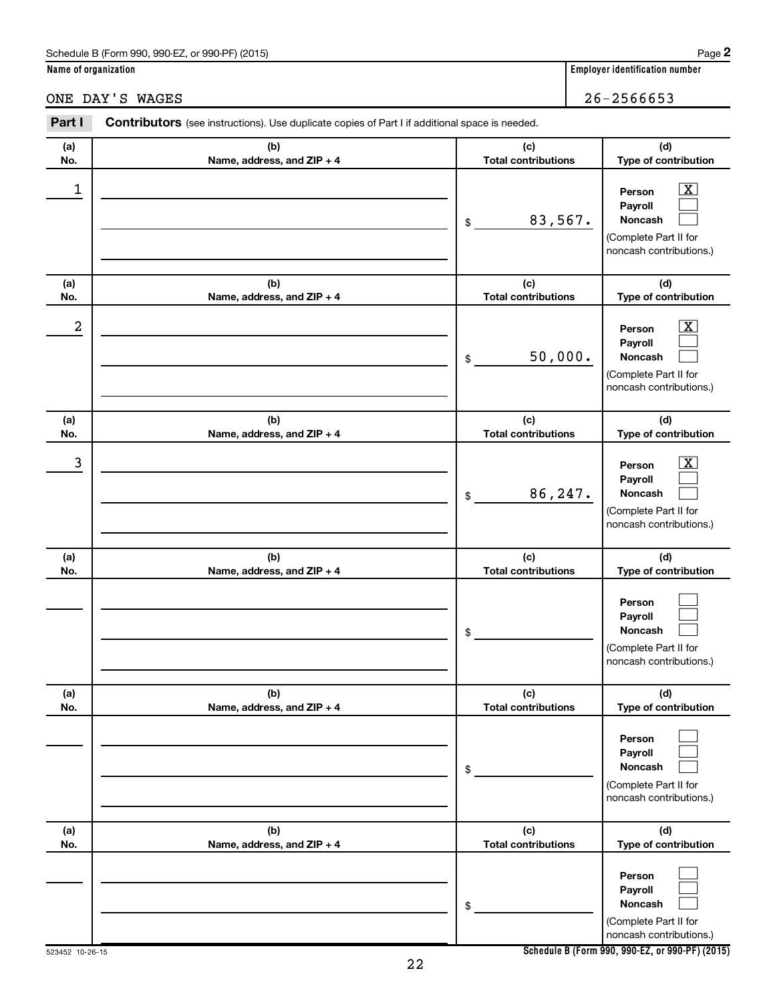#### Schedule B (Form 990, 990-EZ, or 990-PF) (2015)

**Name of organization Employer identification number**

ONE DAY'S WAGES 26-2566653

#### **(a) No. (b) Name, address, and ZIP + 4 (c) Total contributions (d) Type of contribution Person Payroll Noncash (a) No. (b) Name, address, and ZIP + 4 (c) Total contributions (d) Type of contribution Person Payroll Noncash (a) No. (b) Name, address, and ZIP + 4 (c) Total contributions (d) Type of contribution Person Payroll Noncash (a) No. (b) Name, address, and ZIP + 4 (c) Total contributions (d) Type of contribution Person Payroll Noncash (a) No. (b) Name, address, and ZIP + 4 (c) Total contributions (d) Type of contribution Person Payroll Noncash (a) No. (b) Name, address, and ZIP + 4 (c) Total contributions (d) Type of contribution Person Payroll Noncash Part I** Contributors (see instructions). Use duplicate copies of Part I if additional space is needed. \$ (Complete Part II for noncash contributions.) \$ (Complete Part II for noncash contributions.) \$ (Complete Part II for noncash contributions.) \$ (Complete Part II for noncash contributions.) \$ (Complete Part II for noncash contributions.) \$ (Complete Part II for noncash contributions.)  $\boxed{\textbf{X}}$  $\Box$  $\Box$  $\overline{\mathbf{X}}$  $\Box$  $\Box$  $\boxed{\textbf{X}}$  $\Box$  $\Box$  $\Box$  $\Box$  $\Box$  $\Box$  $\Box$  $\Box$  $\Box$  $\Box$  $\Box$  $\begin{array}{|c|c|c|c|c|}\hline \ \text{1} & \text{Person} & \text{X} \ \hline \end{array}$ 83,567.  $2$  Person  $\overline{\text{X}}$ 50,000.  $\begin{array}{|c|c|c|c|c|c|}\hline \text{3} & \text{Person} & \text{X} \ \hline \end{array}$ 86,247.

**Schedule B (Form 990, 990-EZ, or 990-PF) (2015)**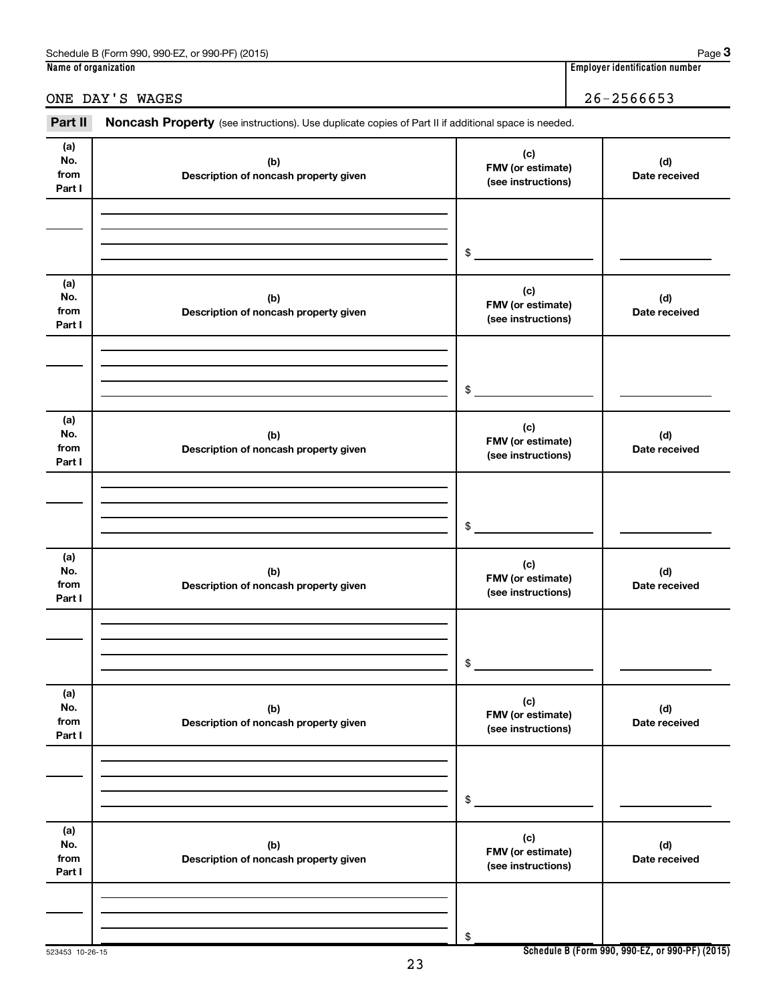## Part II Noncash Property (see instructions). Use duplicate copies of Part II if additional space is needed.

| (a)<br>No.<br>from<br>Part I | (b)<br>Description of noncash property given | (c)<br>FMV (or estimate)<br>(see instructions) | (d)<br>Date received                            |
|------------------------------|----------------------------------------------|------------------------------------------------|-------------------------------------------------|
|                              |                                              | \$                                             |                                                 |
| (a)<br>No.<br>from<br>Part I | (b)<br>Description of noncash property given | (c)<br>FMV (or estimate)<br>(see instructions) | (d)<br>Date received                            |
|                              |                                              | \$                                             |                                                 |
| (a)<br>No.<br>from<br>Part I | (b)<br>Description of noncash property given | (c)<br>FMV (or estimate)<br>(see instructions) | (d)<br>Date received                            |
|                              |                                              | \$                                             |                                                 |
| (a)<br>No.<br>from<br>Part I | (b)<br>Description of noncash property given | (c)<br>FMV (or estimate)<br>(see instructions) | (d)<br>Date received                            |
|                              |                                              | \$                                             |                                                 |
| (a)<br>No.<br>from<br>Part I | (b)<br>Description of noncash property given | (c)<br>FMV (or estimate)<br>(see instructions) | (d)<br>Date received                            |
|                              |                                              | \$                                             |                                                 |
| (a)<br>No.<br>from<br>Part I | (b)<br>Description of noncash property given | (c)<br>FMV (or estimate)<br>(see instructions) | (d)<br>Date received                            |
| 523453 10-26-15              |                                              | \$                                             | Schedule B (Form 990, 990-EZ, or 990-PF) (2015) |

ONE DAY'S WAGES 26-2566653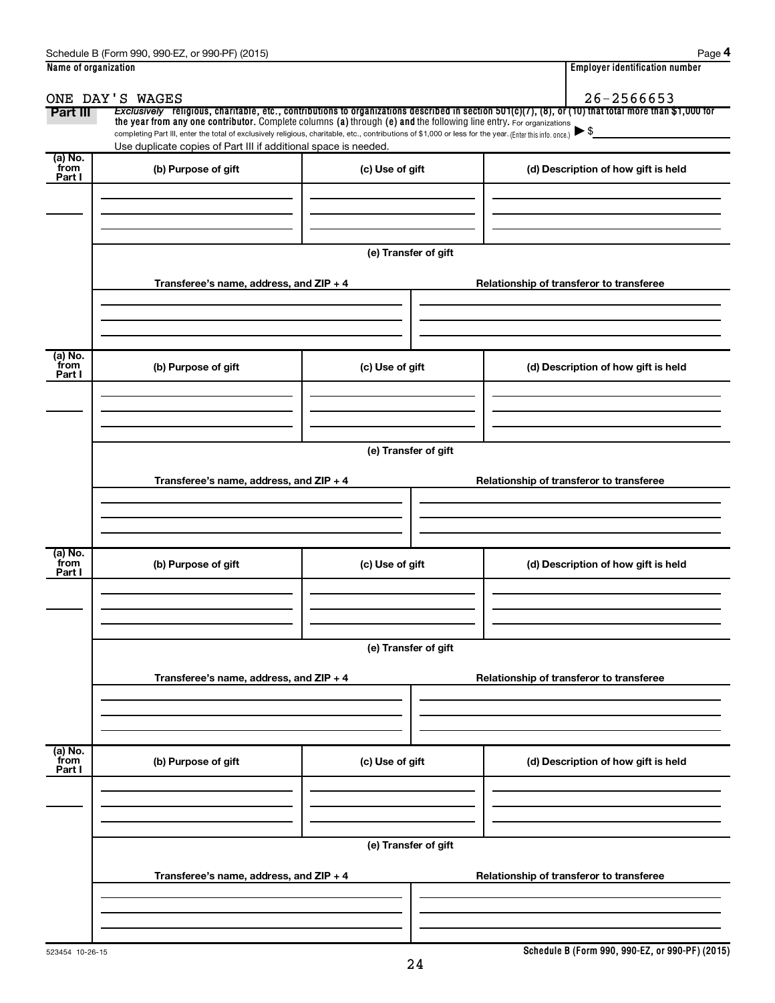| Name of organization |                                                                                                                                                          |                      | <b>Employer identification number</b>                                                                                                                 |
|----------------------|----------------------------------------------------------------------------------------------------------------------------------------------------------|----------------------|-------------------------------------------------------------------------------------------------------------------------------------------------------|
|                      | ONE DAY'S WAGES                                                                                                                                          |                      | $26 - 2566653$                                                                                                                                        |
| <b>Part III</b>      | the year from any one contributor. Complete columns (a) through (e) and the following line entry. For organizations                                      |                      | Exclusively religious, charitable, etc., contributions to organizations described in section 501(c)(7), (8), or (10) that total more than \$1,000 for |
|                      | completing Part III, enter the total of exclusively religious, charitable, etc., contributions of \$1,000 or less for the year. (Enter this info. once.) |                      |                                                                                                                                                       |
| (a) No.              | Use duplicate copies of Part III if additional space is needed.                                                                                          |                      |                                                                                                                                                       |
| from                 | (b) Purpose of gift                                                                                                                                      | (c) Use of gift      | (d) Description of how gift is held                                                                                                                   |
| Part I               |                                                                                                                                                          |                      |                                                                                                                                                       |
|                      |                                                                                                                                                          |                      |                                                                                                                                                       |
|                      |                                                                                                                                                          |                      |                                                                                                                                                       |
|                      |                                                                                                                                                          |                      |                                                                                                                                                       |
|                      |                                                                                                                                                          | (e) Transfer of gift |                                                                                                                                                       |
|                      | Transferee's name, address, and $ZIP + 4$                                                                                                                |                      | Relationship of transferor to transferee                                                                                                              |
|                      |                                                                                                                                                          |                      |                                                                                                                                                       |
|                      |                                                                                                                                                          |                      |                                                                                                                                                       |
|                      |                                                                                                                                                          |                      |                                                                                                                                                       |
| (a) No.              |                                                                                                                                                          |                      |                                                                                                                                                       |
| from<br>Part I       | (b) Purpose of gift                                                                                                                                      | (c) Use of gift      | (d) Description of how gift is held                                                                                                                   |
|                      |                                                                                                                                                          |                      |                                                                                                                                                       |
|                      |                                                                                                                                                          |                      |                                                                                                                                                       |
|                      |                                                                                                                                                          |                      |                                                                                                                                                       |
|                      |                                                                                                                                                          |                      |                                                                                                                                                       |
|                      |                                                                                                                                                          | (e) Transfer of gift |                                                                                                                                                       |
|                      | Transferee's name, address, and ZIP + 4                                                                                                                  |                      | Relationship of transferor to transferee                                                                                                              |
|                      |                                                                                                                                                          |                      |                                                                                                                                                       |
|                      |                                                                                                                                                          |                      |                                                                                                                                                       |
|                      |                                                                                                                                                          |                      |                                                                                                                                                       |
| (a) No.              |                                                                                                                                                          |                      |                                                                                                                                                       |
| from<br>Part I       | (b) Purpose of gift                                                                                                                                      | (c) Use of gift      | (d) Description of how gift is held                                                                                                                   |
|                      |                                                                                                                                                          |                      |                                                                                                                                                       |
|                      |                                                                                                                                                          |                      |                                                                                                                                                       |
|                      |                                                                                                                                                          |                      |                                                                                                                                                       |
|                      |                                                                                                                                                          | (e) Transfer of gift |                                                                                                                                                       |
|                      |                                                                                                                                                          |                      |                                                                                                                                                       |
|                      | Transferee's name, address, and ZIP + 4                                                                                                                  |                      | Relationship of transferor to transferee                                                                                                              |
|                      |                                                                                                                                                          |                      |                                                                                                                                                       |
|                      |                                                                                                                                                          |                      |                                                                                                                                                       |
|                      |                                                                                                                                                          |                      |                                                                                                                                                       |
| (a) No.<br>from      |                                                                                                                                                          |                      |                                                                                                                                                       |
| Part I               | (b) Purpose of gift                                                                                                                                      | (c) Use of gift      | (d) Description of how gift is held                                                                                                                   |
|                      |                                                                                                                                                          |                      |                                                                                                                                                       |
|                      |                                                                                                                                                          |                      |                                                                                                                                                       |
|                      |                                                                                                                                                          |                      |                                                                                                                                                       |
|                      |                                                                                                                                                          | (e) Transfer of gift |                                                                                                                                                       |
|                      |                                                                                                                                                          |                      |                                                                                                                                                       |
|                      | Transferee's name, address, and ZIP + 4                                                                                                                  |                      | Relationship of transferor to transferee                                                                                                              |
|                      |                                                                                                                                                          |                      |                                                                                                                                                       |
|                      |                                                                                                                                                          |                      |                                                                                                                                                       |
|                      |                                                                                                                                                          |                      |                                                                                                                                                       |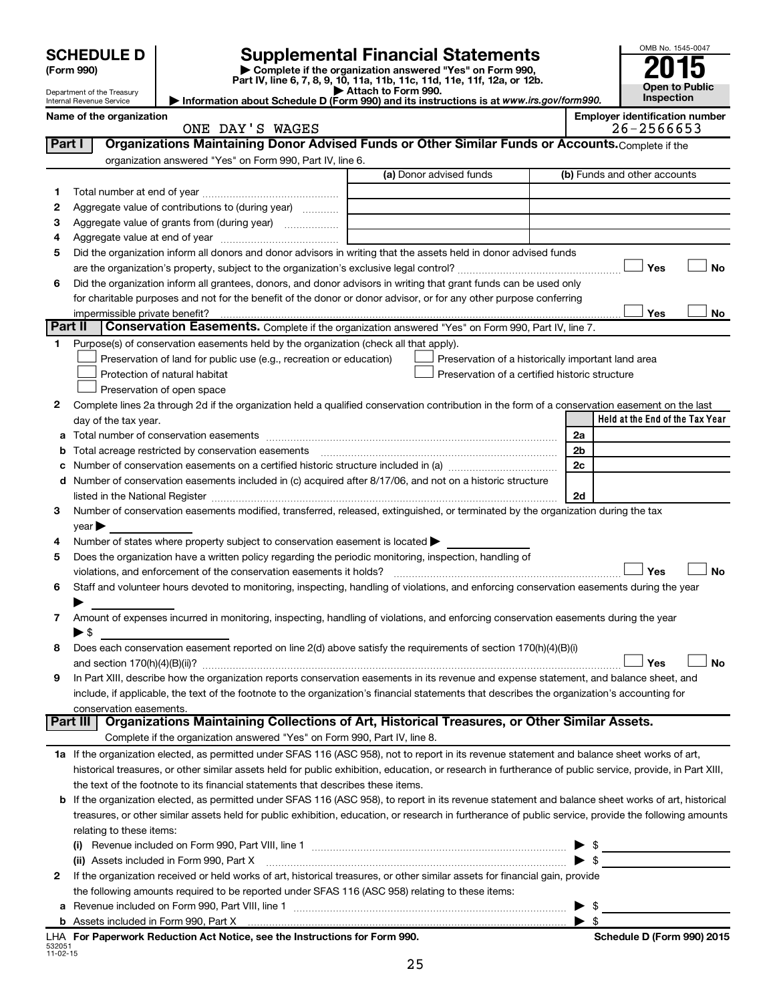|                | <b>SCHEDULE D</b><br>(Form 990)<br>Department of the Treasury |                                                                                                        | <b>Supplemental Financial Statements</b><br>Complete if the organization answered "Yes" on Form 990,<br>Part IV, line 6, 7, 8, 9, 10, 11a, 11b, 11c, 11d, 11e, 11f, 12a, or 12b.<br>Attach to Form 990. |                          | OMB No. 1545-0047<br><b>Open to Public</b>                        |
|----------------|---------------------------------------------------------------|--------------------------------------------------------------------------------------------------------|---------------------------------------------------------------------------------------------------------------------------------------------------------------------------------------------------------|--------------------------|-------------------------------------------------------------------|
|                | Internal Revenue Service                                      |                                                                                                        | Information about Schedule D (Form 990) and its instructions is at www.irs.gov/form990.                                                                                                                 |                          | Inspection                                                        |
|                | Name of the organization                                      |                                                                                                        | <b>Employer identification number</b><br>$26 - 2566653$                                                                                                                                                 |                          |                                                                   |
| Part I         |                                                               |                                                                                                        |                                                                                                                                                                                                         |                          |                                                                   |
|                |                                                               | organization answered "Yes" on Form 990, Part IV, line 6.                                              | Organizations Maintaining Donor Advised Funds or Other Similar Funds or Accounts. Complete if the                                                                                                       |                          |                                                                   |
|                |                                                               |                                                                                                        | (a) Donor advised funds                                                                                                                                                                                 |                          | (b) Funds and other accounts                                      |
| 1.             |                                                               |                                                                                                        |                                                                                                                                                                                                         |                          |                                                                   |
| 2              |                                                               | Aggregate value of contributions to (during year)                                                      |                                                                                                                                                                                                         |                          |                                                                   |
| З              |                                                               | Aggregate value of grants from (during year)                                                           |                                                                                                                                                                                                         |                          |                                                                   |
| 4              |                                                               |                                                                                                        |                                                                                                                                                                                                         |                          |                                                                   |
| 5              |                                                               |                                                                                                        | Did the organization inform all donors and donor advisors in writing that the assets held in donor advised funds                                                                                        |                          |                                                                   |
|                |                                                               |                                                                                                        |                                                                                                                                                                                                         |                          | Yes<br>No                                                         |
| 6              |                                                               |                                                                                                        | Did the organization inform all grantees, donors, and donor advisors in writing that grant funds can be used only                                                                                       |                          |                                                                   |
|                |                                                               |                                                                                                        | for charitable purposes and not for the benefit of the donor or donor advisor, or for any other purpose conferring                                                                                      |                          |                                                                   |
|                | impermissible private benefit?                                |                                                                                                        |                                                                                                                                                                                                         |                          | Yes<br>No                                                         |
| <b>Part II</b> |                                                               |                                                                                                        | Conservation Easements. Complete if the organization answered "Yes" on Form 990, Part IV, line 7.                                                                                                       |                          |                                                                   |
| 1.             |                                                               | Purpose(s) of conservation easements held by the organization (check all that apply).                  |                                                                                                                                                                                                         |                          |                                                                   |
|                |                                                               | Preservation of land for public use (e.g., recreation or education)                                    | Preservation of a historically important land area                                                                                                                                                      |                          |                                                                   |
|                |                                                               | Protection of natural habitat                                                                          | Preservation of a certified historic structure                                                                                                                                                          |                          |                                                                   |
|                |                                                               | Preservation of open space                                                                             |                                                                                                                                                                                                         |                          |                                                                   |
| 2              |                                                               |                                                                                                        | Complete lines 2a through 2d if the organization held a qualified conservation contribution in the form of a conservation easement on the last                                                          |                          |                                                                   |
|                | day of the tax year.                                          |                                                                                                        |                                                                                                                                                                                                         |                          | Held at the End of the Tax Year                                   |
|                |                                                               |                                                                                                        |                                                                                                                                                                                                         | 2a                       |                                                                   |
| $\mathbf b$    |                                                               |                                                                                                        |                                                                                                                                                                                                         | 2 <sub>b</sub>           |                                                                   |
| с              |                                                               |                                                                                                        |                                                                                                                                                                                                         | 2c                       |                                                                   |
| d              |                                                               |                                                                                                        | Number of conservation easements included in (c) acquired after 8/17/06, and not on a historic structure                                                                                                |                          |                                                                   |
|                |                                                               |                                                                                                        |                                                                                                                                                                                                         | 2d                       |                                                                   |
| З              |                                                               |                                                                                                        | Number of conservation easements modified, transferred, released, extinguished, or terminated by the organization during the tax                                                                        |                          |                                                                   |
|                | vear                                                          |                                                                                                        |                                                                                                                                                                                                         |                          |                                                                   |
| 4              |                                                               | Number of states where property subject to conservation easement is located $\blacktriangleright$      |                                                                                                                                                                                                         |                          |                                                                   |
| 5              |                                                               | Does the organization have a written policy regarding the periodic monitoring, inspection, handling of |                                                                                                                                                                                                         |                          | Yes<br>No                                                         |
|                |                                                               | violations, and enforcement of the conservation easements it holds?                                    |                                                                                                                                                                                                         |                          |                                                                   |
| 6              |                                                               |                                                                                                        | Staff and volunteer hours devoted to monitoring, inspecting, handling of violations, and enforcing conservation easements during the year                                                               |                          |                                                                   |
| 7              |                                                               |                                                                                                        | Amount of expenses incurred in monitoring, inspecting, handling of violations, and enforcing conservation easements during the year                                                                     |                          |                                                                   |
|                | ▶ \$                                                          |                                                                                                        |                                                                                                                                                                                                         |                          |                                                                   |
| 8              |                                                               |                                                                                                        | Does each conservation easement reported on line 2(d) above satisfy the requirements of section 170(h)(4)(B)(i)                                                                                         |                          |                                                                   |
|                |                                                               |                                                                                                        |                                                                                                                                                                                                         |                          | Yes<br>No                                                         |
| 9              |                                                               |                                                                                                        | In Part XIII, describe how the organization reports conservation easements in its revenue and expense statement, and balance sheet, and                                                                 |                          |                                                                   |
|                |                                                               |                                                                                                        | include, if applicable, the text of the footnote to the organization's financial statements that describes the organization's accounting for                                                            |                          |                                                                   |
|                | conservation easements.                                       |                                                                                                        |                                                                                                                                                                                                         |                          |                                                                   |
|                | Part III                                                      |                                                                                                        | Organizations Maintaining Collections of Art, Historical Treasures, or Other Similar Assets.                                                                                                            |                          |                                                                   |
|                |                                                               | Complete if the organization answered "Yes" on Form 990, Part IV, line 8.                              |                                                                                                                                                                                                         |                          |                                                                   |
|                |                                                               |                                                                                                        | 1a If the organization elected, as permitted under SFAS 116 (ASC 958), not to report in its revenue statement and balance sheet works of art,                                                           |                          |                                                                   |
|                |                                                               |                                                                                                        | historical treasures, or other similar assets held for public exhibition, education, or research in furtherance of public service, provide, in Part XIII,                                               |                          |                                                                   |
|                |                                                               | the text of the footnote to its financial statements that describes these items.                       |                                                                                                                                                                                                         |                          |                                                                   |
| b              |                                                               |                                                                                                        | If the organization elected, as permitted under SFAS 116 (ASC 958), to report in its revenue statement and balance sheet works of art, historical                                                       |                          |                                                                   |
|                |                                                               |                                                                                                        | treasures, or other similar assets held for public exhibition, education, or research in furtherance of public service, provide the following amounts                                                   |                          |                                                                   |
|                | relating to these items:                                      |                                                                                                        |                                                                                                                                                                                                         |                          |                                                                   |
|                |                                                               |                                                                                                        |                                                                                                                                                                                                         |                          | \$<br>the control of the control of the control of the control of |
|                |                                                               | (ii) Assets included in Form 990, Part X                                                               |                                                                                                                                                                                                         |                          | -\$                                                               |
| 2              |                                                               |                                                                                                        | If the organization received or held works of art, historical treasures, or other similar assets for financial gain, provide                                                                            |                          |                                                                   |
|                |                                                               | the following amounts required to be reported under SFAS 116 (ASC 958) relating to these items:        |                                                                                                                                                                                                         |                          |                                                                   |
|                |                                                               |                                                                                                        |                                                                                                                                                                                                         | $\blacktriangleright$ \$ |                                                                   |

| For Demonstrate Dedication, Ant Notice, and the Instrumitions for Form 000. |  |  |
|-----------------------------------------------------------------------------|--|--|
| Assets included in Form 990. Part X                                         |  |  |

532051 11-02-15

LHA

**b**

**For Paperwork Reduction Act Notice, see the Instructions for Form 990. Schedule D (Form 990) 2015**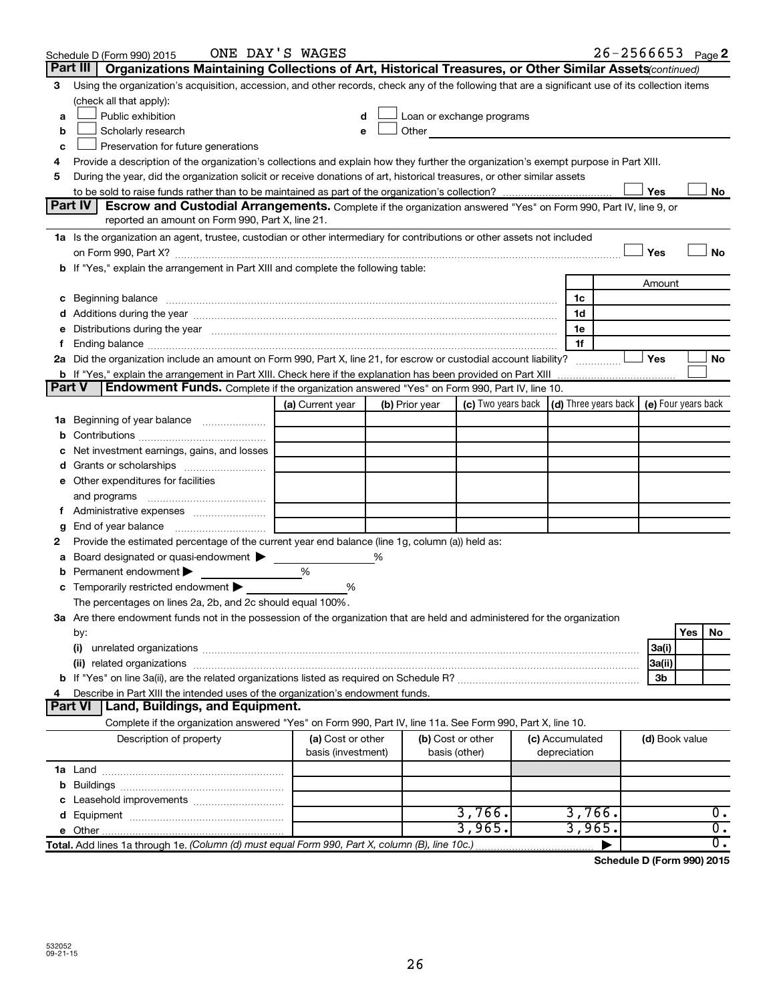|               | Schedule D (Form 990) 2015                                                                                                                                                                                                     | ONE DAY'S WAGES                         |   |                |                                                         |                                 | $26 - 2566653$ Page 2 |                     |     |           |
|---------------|--------------------------------------------------------------------------------------------------------------------------------------------------------------------------------------------------------------------------------|-----------------------------------------|---|----------------|---------------------------------------------------------|---------------------------------|-----------------------|---------------------|-----|-----------|
|               | Part III<br>Organizations Maintaining Collections of Art, Historical Treasures, or Other Similar Assets (continued)                                                                                                            |                                         |   |                |                                                         |                                 |                       |                     |     |           |
| 3             | Using the organization's acquisition, accession, and other records, check any of the following that are a significant use of its collection items                                                                              |                                         |   |                |                                                         |                                 |                       |                     |     |           |
|               | (check all that apply):                                                                                                                                                                                                        |                                         |   |                |                                                         |                                 |                       |                     |     |           |
| a             | Public exhibition                                                                                                                                                                                                              | d                                       |   |                | Loan or exchange programs                               |                                 |                       |                     |     |           |
| b             | Scholarly research                                                                                                                                                                                                             | e                                       |   | Other          |                                                         |                                 |                       |                     |     |           |
| c             | Preservation for future generations                                                                                                                                                                                            |                                         |   |                |                                                         |                                 |                       |                     |     |           |
| 4             | Provide a description of the organization's collections and explain how they further the organization's exempt purpose in Part XIII.                                                                                           |                                         |   |                |                                                         |                                 |                       |                     |     |           |
| 5             | During the year, did the organization solicit or receive donations of art, historical treasures, or other similar assets                                                                                                       |                                         |   |                |                                                         |                                 |                       |                     |     |           |
|               |                                                                                                                                                                                                                                |                                         |   |                |                                                         |                                 |                       | Yes                 |     | No        |
|               | <b>Part IV</b><br>Escrow and Custodial Arrangements. Complete if the organization answered "Yes" on Form 990, Part IV, line 9, or                                                                                              |                                         |   |                |                                                         |                                 |                       |                     |     |           |
|               | reported an amount on Form 990, Part X, line 21.                                                                                                                                                                               |                                         |   |                |                                                         |                                 |                       |                     |     |           |
|               | 1a Is the organization an agent, trustee, custodian or other intermediary for contributions or other assets not included                                                                                                       |                                         |   |                |                                                         |                                 |                       |                     |     |           |
|               |                                                                                                                                                                                                                                |                                         |   |                |                                                         |                                 |                       | Yes                 |     | <b>No</b> |
|               | If "Yes," explain the arrangement in Part XIII and complete the following table:                                                                                                                                               |                                         |   |                |                                                         |                                 |                       |                     |     |           |
|               |                                                                                                                                                                                                                                |                                         |   |                |                                                         |                                 |                       | Amount              |     |           |
| c             | Beginning balance                                                                                                                                                                                                              |                                         |   |                |                                                         | 1c                              |                       |                     |     |           |
|               | Additions during the year manufactured and an account of the year and year and year and year and year and year                                                                                                                 |                                         |   |                |                                                         | 1d                              |                       |                     |     |           |
| е             | Distributions during the year manufactured and an account of the year manufactured and the year manufactured and the year manufactured and the year manufactured and the year manufactured and the year manufactured and the y |                                         |   |                |                                                         | 1e                              |                       |                     |     |           |
|               |                                                                                                                                                                                                                                |                                         |   |                |                                                         | 1f                              |                       |                     |     |           |
|               | 2a Did the organization include an amount on Form 990, Part X, line 21, for escrow or custodial account liability?                                                                                                             |                                         |   |                |                                                         |                                 |                       | Yes                 |     | No        |
| <b>Part V</b> | <b>b</b> If "Yes," explain the arrangement in Part XIII. Check here if the explanation has been provided on Part XIII                                                                                                          |                                         |   |                |                                                         |                                 |                       |                     |     |           |
|               | <b>Endowment Funds.</b> Complete if the organization answered "Yes" on Form 990, Part IV, line 10.                                                                                                                             |                                         |   |                |                                                         |                                 |                       |                     |     |           |
|               |                                                                                                                                                                                                                                | (a) Current year                        |   | (b) Prior year | (c) Two years back $\vert$ (d) Three years back $\vert$ |                                 |                       | (e) Four years back |     |           |
| 1a            | Beginning of year balance                                                                                                                                                                                                      |                                         |   |                |                                                         |                                 |                       |                     |     |           |
|               |                                                                                                                                                                                                                                |                                         |   |                |                                                         |                                 |                       |                     |     |           |
|               | Net investment earnings, gains, and losses                                                                                                                                                                                     |                                         |   |                |                                                         |                                 |                       |                     |     |           |
|               | Grants or scholarships                                                                                                                                                                                                         |                                         |   |                |                                                         |                                 |                       |                     |     |           |
|               | e Other expenditures for facilities                                                                                                                                                                                            |                                         |   |                |                                                         |                                 |                       |                     |     |           |
|               | and programs                                                                                                                                                                                                                   |                                         |   |                |                                                         |                                 |                       |                     |     |           |
|               |                                                                                                                                                                                                                                |                                         |   |                |                                                         |                                 |                       |                     |     |           |
|               | End of year balance<br>Provide the estimated percentage of the current year end balance (line 1g, column (a)) held as:                                                                                                         |                                         |   |                |                                                         |                                 |                       |                     |     |           |
| 2             | Board designated or quasi-endowment                                                                                                                                                                                            |                                         | % |                |                                                         |                                 |                       |                     |     |           |
|               | Permanent endowment                                                                                                                                                                                                            | %                                       |   |                |                                                         |                                 |                       |                     |     |           |
| с             | Temporarily restricted endowment                                                                                                                                                                                               | %                                       |   |                |                                                         |                                 |                       |                     |     |           |
|               | The percentages on lines 2a, 2b, and 2c should equal 100%.                                                                                                                                                                     |                                         |   |                |                                                         |                                 |                       |                     |     |           |
|               | 3a Are there endowment funds not in the possession of the organization that are held and administered for the organization                                                                                                     |                                         |   |                |                                                         |                                 |                       |                     |     |           |
|               | by:                                                                                                                                                                                                                            |                                         |   |                |                                                         |                                 |                       |                     | Yes | No        |
|               | (i)                                                                                                                                                                                                                            |                                         |   |                |                                                         |                                 |                       | 3a(i)               |     |           |
|               |                                                                                                                                                                                                                                |                                         |   |                |                                                         |                                 |                       | 3a(ii)              |     |           |
|               |                                                                                                                                                                                                                                |                                         |   |                |                                                         |                                 |                       | 3b                  |     |           |
|               | Describe in Part XIII the intended uses of the organization's endowment funds.                                                                                                                                                 |                                         |   |                |                                                         |                                 |                       |                     |     |           |
|               | Land, Buildings, and Equipment.<br><b>Part VI</b>                                                                                                                                                                              |                                         |   |                |                                                         |                                 |                       |                     |     |           |
|               | Complete if the organization answered "Yes" on Form 990, Part IV, line 11a. See Form 990, Part X, line 10.                                                                                                                     |                                         |   |                |                                                         |                                 |                       |                     |     |           |
|               | Description of property                                                                                                                                                                                                        | (a) Cost or other<br>basis (investment) |   |                | (b) Cost or other<br>basis (other)                      | (c) Accumulated<br>depreciation |                       | (d) Book value      |     |           |
|               |                                                                                                                                                                                                                                |                                         |   |                |                                                         |                                 |                       |                     |     |           |
| b             |                                                                                                                                                                                                                                |                                         |   |                |                                                         |                                 |                       |                     |     |           |
|               |                                                                                                                                                                                                                                |                                         |   |                |                                                         |                                 |                       |                     |     |           |
| d             |                                                                                                                                                                                                                                |                                         |   |                | 3,766.                                                  | 3,766.                          |                       |                     |     | 0.        |
|               |                                                                                                                                                                                                                                |                                         |   |                | 3,965.                                                  | 3,965.                          |                       |                     |     | Ο.        |
|               | Total. Add lines 1a through 1e. (Column (d) must equal Form 990, Part X, column (B), line 10c.)                                                                                                                                |                                         |   |                |                                                         |                                 |                       |                     |     | σ.        |

**Schedule D (Form 990) 2015**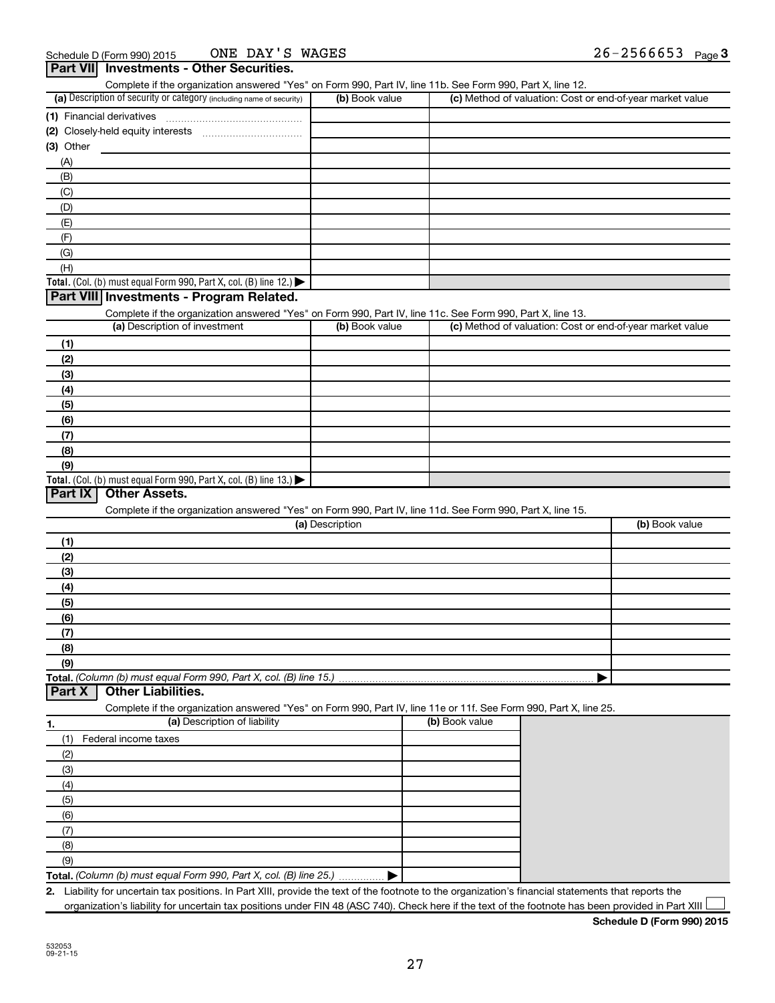| Complete if the organization answered "Yes" on Form 990, Part IV, line 11b. See Form 990, Part X, line 12.                                        |                 |                |                                                                                                                                                      |                                                           |
|---------------------------------------------------------------------------------------------------------------------------------------------------|-----------------|----------------|------------------------------------------------------------------------------------------------------------------------------------------------------|-----------------------------------------------------------|
| (a) Description of security or category (including name of security)                                                                              | (b) Book value  |                |                                                                                                                                                      | (c) Method of valuation: Cost or end-of-year market value |
|                                                                                                                                                   |                 |                |                                                                                                                                                      |                                                           |
|                                                                                                                                                   |                 |                |                                                                                                                                                      |                                                           |
| $(3)$ Other                                                                                                                                       |                 |                |                                                                                                                                                      |                                                           |
| (A)                                                                                                                                               |                 |                |                                                                                                                                                      |                                                           |
| (B)                                                                                                                                               |                 |                |                                                                                                                                                      |                                                           |
| (C)                                                                                                                                               |                 |                |                                                                                                                                                      |                                                           |
| (D)                                                                                                                                               |                 |                |                                                                                                                                                      |                                                           |
| (E)                                                                                                                                               |                 |                |                                                                                                                                                      |                                                           |
| (F)                                                                                                                                               |                 |                |                                                                                                                                                      |                                                           |
| (G)                                                                                                                                               |                 |                |                                                                                                                                                      |                                                           |
| (H)                                                                                                                                               |                 |                |                                                                                                                                                      |                                                           |
| <b>Total.</b> (Col. (b) must equal Form 990, Part X, col. (B) line 12.) $\blacktriangleright$                                                     |                 |                |                                                                                                                                                      |                                                           |
| Part VIII Investments - Program Related.                                                                                                          |                 |                |                                                                                                                                                      |                                                           |
| Complete if the organization answered "Yes" on Form 990, Part IV, line 11c. See Form 990, Part X, line 13.                                        |                 |                |                                                                                                                                                      |                                                           |
| (a) Description of investment                                                                                                                     | (b) Book value  |                |                                                                                                                                                      | (c) Method of valuation: Cost or end-of-year market value |
| (1)                                                                                                                                               |                 |                |                                                                                                                                                      |                                                           |
| (2)                                                                                                                                               |                 |                |                                                                                                                                                      |                                                           |
| (3)                                                                                                                                               |                 |                |                                                                                                                                                      |                                                           |
| (4)                                                                                                                                               |                 |                |                                                                                                                                                      |                                                           |
| (5)                                                                                                                                               |                 |                |                                                                                                                                                      |                                                           |
| (6)                                                                                                                                               |                 |                |                                                                                                                                                      |                                                           |
| (7)                                                                                                                                               |                 |                |                                                                                                                                                      |                                                           |
| (8)                                                                                                                                               |                 |                |                                                                                                                                                      |                                                           |
| (9)                                                                                                                                               |                 |                |                                                                                                                                                      |                                                           |
| <b>Total.</b> (Col. (b) must equal Form 990, Part X, col. (B) line 13.) $\blacktriangleright$                                                     |                 |                |                                                                                                                                                      |                                                           |
| Part IX<br><b>Other Assets.</b>                                                                                                                   |                 |                |                                                                                                                                                      |                                                           |
| Complete if the organization answered "Yes" on Form 990, Part IV, line 11d. See Form 990, Part X, line 15.                                        |                 |                |                                                                                                                                                      |                                                           |
|                                                                                                                                                   | (a) Description |                |                                                                                                                                                      | (b) Book value                                            |
| (1)                                                                                                                                               |                 |                |                                                                                                                                                      |                                                           |
| (2)                                                                                                                                               |                 |                |                                                                                                                                                      |                                                           |
| (3)                                                                                                                                               |                 |                |                                                                                                                                                      |                                                           |
| (4)                                                                                                                                               |                 |                |                                                                                                                                                      |                                                           |
| (5)                                                                                                                                               |                 |                |                                                                                                                                                      |                                                           |
| (6)                                                                                                                                               |                 |                |                                                                                                                                                      |                                                           |
| (7)                                                                                                                                               |                 |                |                                                                                                                                                      |                                                           |
| (8)                                                                                                                                               |                 |                |                                                                                                                                                      |                                                           |
| (9)                                                                                                                                               |                 |                |                                                                                                                                                      |                                                           |
| Total. (Column (b) must equal Form 990, Part X, col. (B) line 15.)<br><b>Other Liabilities.</b><br>Part X                                         |                 |                |                                                                                                                                                      |                                                           |
|                                                                                                                                                   |                 |                |                                                                                                                                                      |                                                           |
| Complete if the organization answered "Yes" on Form 990, Part IV, line 11e or 11f. See Form 990, Part X, line 25.<br>(a) Description of liability |                 |                |                                                                                                                                                      |                                                           |
| 1.                                                                                                                                                |                 | (b) Book value |                                                                                                                                                      |                                                           |
| Federal income taxes<br>(1)                                                                                                                       |                 |                |                                                                                                                                                      |                                                           |
| (2)                                                                                                                                               |                 |                |                                                                                                                                                      |                                                           |
| (3)                                                                                                                                               |                 |                |                                                                                                                                                      |                                                           |
| (4)                                                                                                                                               |                 |                |                                                                                                                                                      |                                                           |
| (5)                                                                                                                                               |                 |                |                                                                                                                                                      |                                                           |
| (6)                                                                                                                                               |                 |                |                                                                                                                                                      |                                                           |
| (7)                                                                                                                                               |                 |                |                                                                                                                                                      |                                                           |
| (8)                                                                                                                                               |                 |                |                                                                                                                                                      |                                                           |
| (9)                                                                                                                                               |                 |                |                                                                                                                                                      |                                                           |
| Total. (Column (b) must equal Form 990, Part X, col. (B) line 25.)                                                                                |                 |                |                                                                                                                                                      |                                                           |
|                                                                                                                                                   |                 |                | 2. Liability for uncertain tax positions. In Part XIII, provide the text of the footnote to the organization's financial statements that reports the |                                                           |

organization's liability for uncertain tax positions under FIN 48 (ASC 740). Check here if the text of the footnote has been provided in Part XIII

**Schedule D (Form 990) 2015**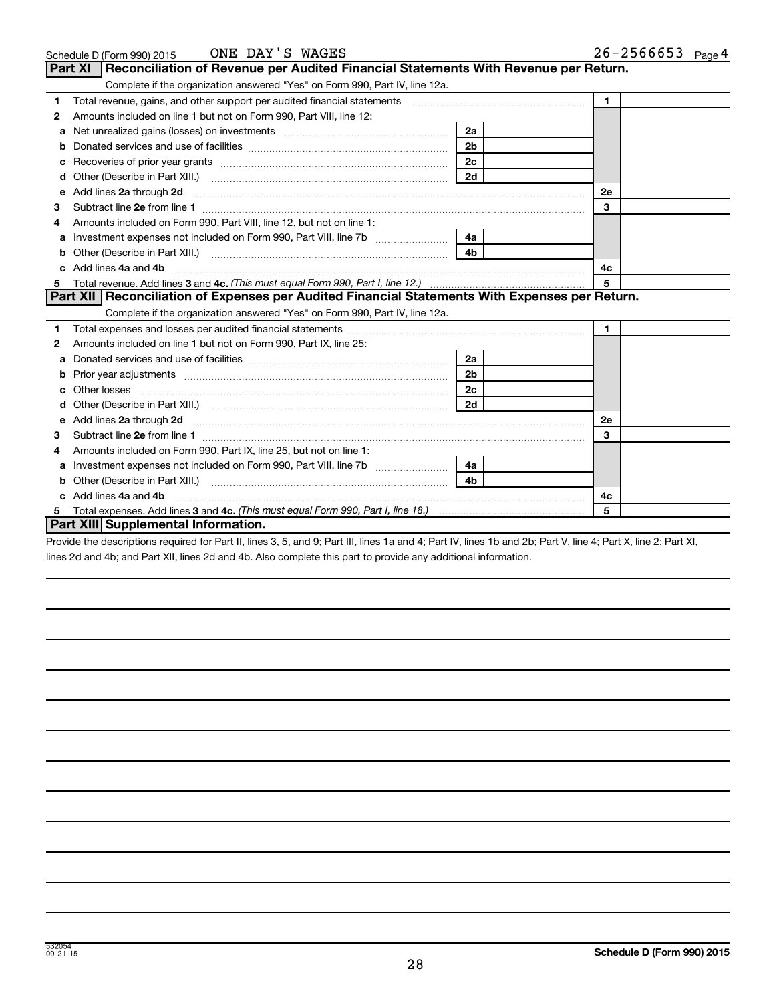|              | ONE DAY'S WAGES<br>Schedule D (Form 990) 2015                                                                                                                                                                                       |                | $26 - 2566653$ Page 4 |
|--------------|-------------------------------------------------------------------------------------------------------------------------------------------------------------------------------------------------------------------------------------|----------------|-----------------------|
|              | Part XI   Reconciliation of Revenue per Audited Financial Statements With Revenue per Return.                                                                                                                                       |                |                       |
|              | Complete if the organization answered "Yes" on Form 990, Part IV, line 12a.                                                                                                                                                         |                |                       |
| $\mathbf{1}$ | Total revenue, gains, and other support per audited financial statements [[[[[[[[[[[[[[[[[[[[[[]]]]]]]]]]]]]]                                                                                                                       |                | $\mathbf{1}$          |
| 2            | Amounts included on line 1 but not on Form 990, Part VIII, line 12:                                                                                                                                                                 |                |                       |
| a            |                                                                                                                                                                                                                                     | 2a             |                       |
| b            |                                                                                                                                                                                                                                     | 2 <sub>b</sub> |                       |
| с            |                                                                                                                                                                                                                                     | 2c             |                       |
| d            | Other (Describe in Part XIII.) <b>Construction (Construction Construction</b> of Chern Construction Construction Const                                                                                                              | 2d             |                       |
| е            | Add lines 2a through 2d                                                                                                                                                                                                             |                | 2е                    |
| з            |                                                                                                                                                                                                                                     |                | 3                     |
| 4            | Amounts included on Form 990, Part VIII, line 12, but not on line 1:                                                                                                                                                                |                |                       |
| а            | Investment expenses not included on Form 990, Part VIII, line 7b                                                                                                                                                                    | 4a             |                       |
| b            |                                                                                                                                                                                                                                     | 4 <sub>b</sub> |                       |
| c            | Add lines 4a and 4b                                                                                                                                                                                                                 | 4c             |                       |
| 5.           |                                                                                                                                                                                                                                     |                | 5                     |
|              | Part XII Reconciliation of Expenses per Audited Financial Statements With Expenses per Return.                                                                                                                                      |                |                       |
|              | Complete if the organization answered "Yes" on Form 990, Part IV, line 12a.                                                                                                                                                         |                |                       |
| 1            |                                                                                                                                                                                                                                     |                | 1                     |
| 2            | Amounts included on line 1 but not on Form 990, Part IX, line 25:                                                                                                                                                                   |                |                       |
| а            |                                                                                                                                                                                                                                     | 2a             |                       |
| b            |                                                                                                                                                                                                                                     | 2 <sub>b</sub> |                       |
|              | Other losses                                                                                                                                                                                                                        | 2 <sub>c</sub> |                       |
| d            |                                                                                                                                                                                                                                     |                |                       |
| е            |                                                                                                                                                                                                                                     |                | 2е                    |
| 3            | Subtract line 2e from line 1                                                                                                                                                                                                        |                | 3                     |
| 4            | Amounts included on Form 990, Part IX, line 25, but not on line 1:                                                                                                                                                                  |                |                       |
| а            |                                                                                                                                                                                                                                     | 4a             |                       |
|              |                                                                                                                                                                                                                                     |                |                       |
|              | Other (Describe in Part XIII.) <b>Construction</b> and the set of the set of the set of the set of the set of the set of the set of the set of the set of the set of the set of the set of the set of the set of the set of the set |                |                       |
| c.           | Add lines 4a and 4b                                                                                                                                                                                                                 |                | 4c                    |
|              | Part XIII Supplemental Information.                                                                                                                                                                                                 |                | 5                     |

Provide the descriptions required for Part II, lines 3, 5, and 9; Part III, lines 1a and 4; Part IV, lines 1b and 2b; Part V, line 4; Part X, line 2; Part XI, lines 2d and 4b; and Part XII, lines 2d and 4b. Also complete this part to provide any additional information.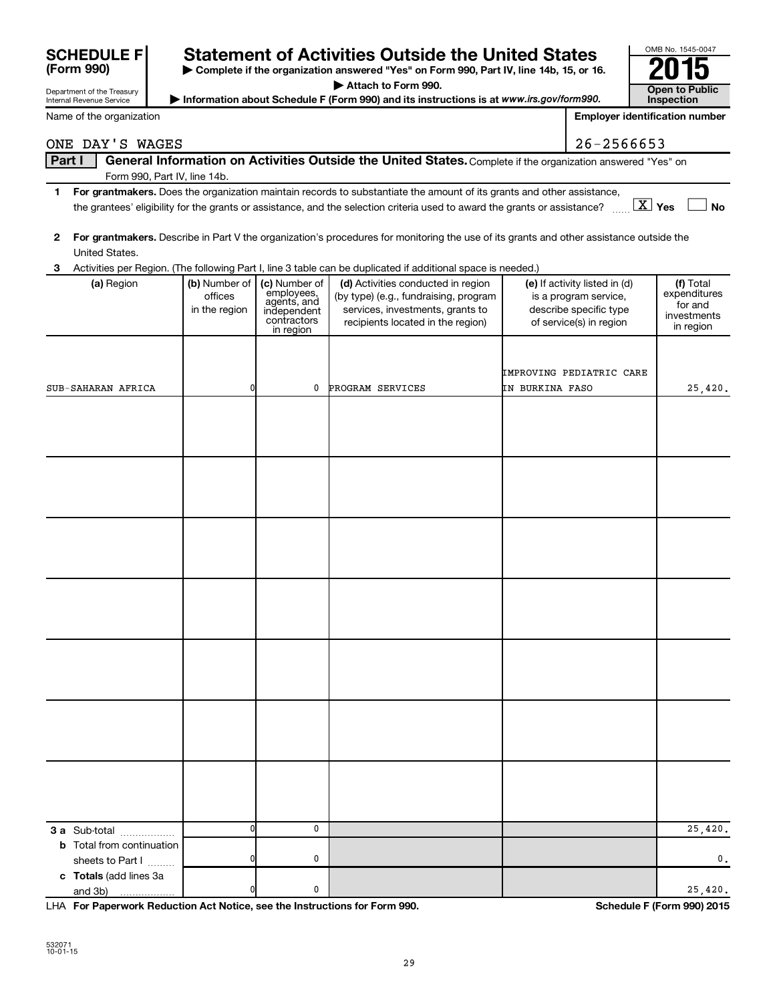### Department of the Treasury Internal Revenue Service **| Complete if the organization answered "Yes" on Form 990, Part IV, line 14b, 15, or 16. | Attach to Form 990.** Information about Schedule F (Form 990) and its instructions is at *www.irs.gov/form990.* **www.irs.gov/form990.** Inspection **Employer identification number For grantmakers.**   $\boxed{\text{X}}$  Yes  $\boxed{\phantom{1}}$  No **For grantmakers. (a)** Region  $\begin{bmatrix} \mathbf{b} \end{bmatrix}$  Number of  $\begin{bmatrix} \mathbf{c} \end{bmatrix}$  Number of  $\begin{bmatrix} \mathbf{d} \end{bmatrix}$  Activities conducted in region  $\begin{bmatrix} \mathbf{e} \end{bmatrix}$  if activity listed in (d)  $\begin{bmatrix} \mathbf{f} \end{bmatrix}$ Name of the organization Part I | General Information on Activities Outside the United States. Complete if the organization answered "Yes" on Form 990, Part IV, line 14b. Does the organization maintain records to substantiate the amount of its grants and other assistance, the grantees' eligibility for the grants or assistance, and the selection criteria used to award the grants or assistance?  $\quad....$ Describe in Part V the organization's procedures for monitoring the use of its grants and other assistance outside the United States. Activities per Region. (The following Part I, line 3 table can be duplicated if additional space is needed.) Region **(b)** Number of offices in the region Number of employees, agents, and independent contractors in region Activities conducted in region (by type) (e.g., fundraising, program services, investments, grants to recipients located in the region) If activity listed in (d) is a program service, describe specific type of service(s) in region expenditures investments in region **(Form 990)** Statement of Activities Outside the United States<br> **Depromplete if the organization answered "Yes" on Form 990, Part IV, line 14b, 15, or 16.** ONE DAY'S WAGES 26-2566653 IMPROVING PEDIATRIC CARE SUB-SAHARAN AFRICA  $\begin{array}{|c|c|c|c|c|c|}\n\hline\n & & & 0 & & 0 & \text{PROGRAM SERVICES} & & \text{IN BURKINA FASO} & & \text{25,420.} \end{array}$

29

**For Paperwork Reduction Act Notice, see the Instructions for Form 990. Schedule F (Form 990) 2015** LHA

OMB No. 1545-0047 **Open to Public<br>Inspection** 

|              | Form 990, Part IV, line 14b.     |               |                           |                                                                                                                                         |                               |                        |
|--------------|----------------------------------|---------------|---------------------------|-----------------------------------------------------------------------------------------------------------------------------------------|-------------------------------|------------------------|
| 1.           |                                  |               |                           | For grantmakers. Does the organization maintain records to substantiate the amount of its grants and other assistance,                  |                               |                        |
|              |                                  |               |                           | the grantees' eligibility for the grants or assistance, and the selection criteria used to award the grants or assistance?              | $\boxed{\text{X}}$ Yes        | <b>No</b>              |
|              |                                  |               |                           |                                                                                                                                         |                               |                        |
| $\mathbf{2}$ |                                  |               |                           | For grantmakers. Describe in Part V the organization's procedures for monitoring the use of its grants and other assistance outside the |                               |                        |
|              | United States.                   |               |                           |                                                                                                                                         |                               |                        |
| 3            |                                  |               |                           | Activities per Region. (The following Part I, line 3 table can be duplicated if additional space is needed.)                            |                               |                        |
|              | (a) Region                       | (b) Number of | (c) Number of             | (d) Activities conducted in region                                                                                                      | (e) If activity listed in (d) | (f) Total              |
|              |                                  | offices       | employees,<br>agents, and | (by type) (e.g., fundraising, program                                                                                                   | is a program service,         | expenditures           |
|              |                                  | in the region | independent               | services, investments, grants to                                                                                                        | describe specific type        | for and<br>investments |
|              |                                  |               | contractors<br>in region  | recipients located in the region)                                                                                                       | of service(s) in region       | in region              |
|              |                                  |               |                           |                                                                                                                                         |                               |                        |
|              |                                  |               |                           |                                                                                                                                         |                               |                        |
|              |                                  |               |                           |                                                                                                                                         | IMPROVING PEDIATRIC CARE      |                        |
|              | SUB-SAHARAN AFRICA               | 0             | 0                         | PROGRAM SERVICES                                                                                                                        | IN BURKINA FASO               | 25,420.                |
|              |                                  |               |                           |                                                                                                                                         |                               |                        |
|              |                                  |               |                           |                                                                                                                                         |                               |                        |
|              |                                  |               |                           |                                                                                                                                         |                               |                        |
|              |                                  |               |                           |                                                                                                                                         |                               |                        |
|              |                                  |               |                           |                                                                                                                                         |                               |                        |
|              |                                  |               |                           |                                                                                                                                         |                               |                        |
|              |                                  |               |                           |                                                                                                                                         |                               |                        |
|              |                                  |               |                           |                                                                                                                                         |                               |                        |
|              |                                  |               |                           |                                                                                                                                         |                               |                        |
|              |                                  |               |                           |                                                                                                                                         |                               |                        |
|              |                                  |               |                           |                                                                                                                                         |                               |                        |
|              |                                  |               |                           |                                                                                                                                         |                               |                        |
|              |                                  |               |                           |                                                                                                                                         |                               |                        |
|              |                                  |               |                           |                                                                                                                                         |                               |                        |
|              |                                  |               |                           |                                                                                                                                         |                               |                        |
|              |                                  |               |                           |                                                                                                                                         |                               |                        |
|              |                                  |               |                           |                                                                                                                                         |                               |                        |
|              |                                  |               |                           |                                                                                                                                         |                               |                        |
|              |                                  |               |                           |                                                                                                                                         |                               |                        |
|              |                                  |               |                           |                                                                                                                                         |                               |                        |
|              |                                  |               |                           |                                                                                                                                         |                               |                        |
|              |                                  |               |                           |                                                                                                                                         |                               |                        |
|              |                                  |               |                           |                                                                                                                                         |                               |                        |
|              |                                  |               |                           |                                                                                                                                         |                               |                        |
|              |                                  |               |                           |                                                                                                                                         |                               |                        |
|              |                                  |               |                           |                                                                                                                                         |                               |                        |
|              |                                  |               |                           |                                                                                                                                         |                               |                        |
|              |                                  |               |                           |                                                                                                                                         |                               |                        |
|              |                                  | $\Omega$      |                           |                                                                                                                                         |                               |                        |
|              | 3 a Sub-total                    |               | 0                         |                                                                                                                                         |                               | 25,420.                |
|              | <b>b</b> Total from continuation |               |                           |                                                                                                                                         |                               |                        |
|              | sheets to Part I                 | ŋ             | 0                         |                                                                                                                                         |                               | 0.                     |
|              | c Totals (add lines 3a           |               |                           |                                                                                                                                         |                               |                        |
|              | and 3b)<br>.                     | 0             | 0                         |                                                                                                                                         |                               | 25,420.                |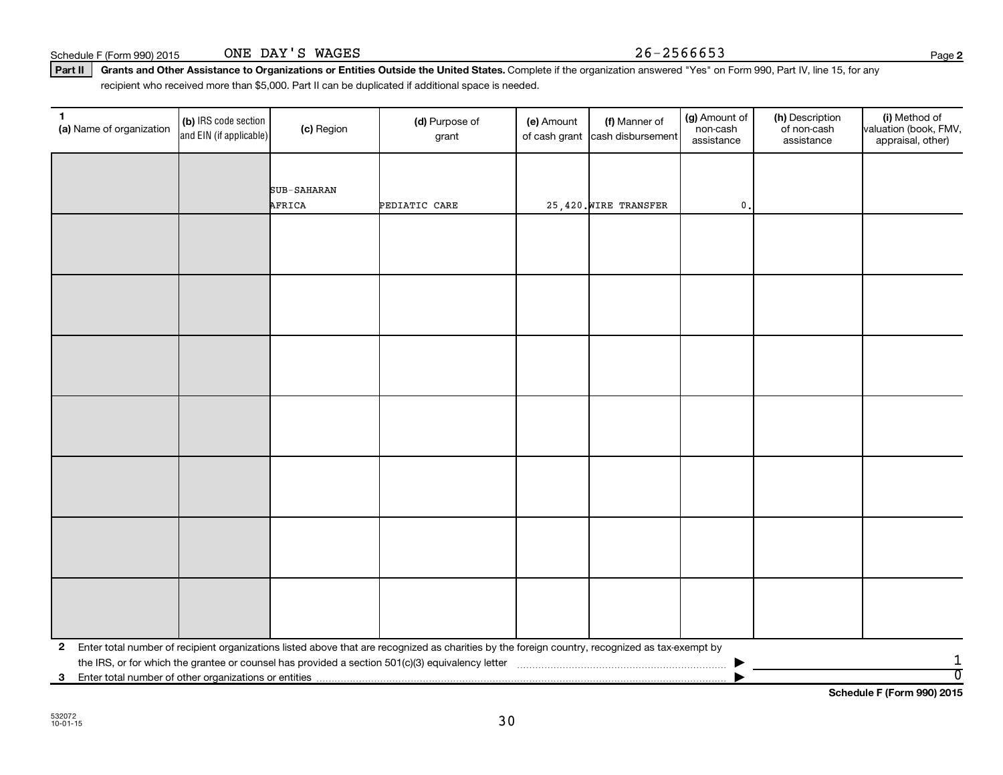Schedule F (Form 990) 2015  $\qquad \qquad \text{ONE } \text{DAY } 'S \text{ WAGES}$   $26-2566653$ ONE DAY'S WAGES

Part II | Grants and Other Assistance to Organizations or Entities Outside the United States. Complete if the organization answered "Yes" on Form 990, Part IV, line 15, for any recipient who received more than \$5,000. Part II can be duplicated if additional space is needed.

| $\mathbf{1}$<br>(a) Name of organization | (b) IRS code section<br>and EIN (if applicable) | (c) Region         | (d) Purpose of<br>grant                                                                                                                         | (e) Amount<br>of cash grant $\vert$ | (f) Manner of<br>cash disbursement | (g) Amount of<br>non-cash<br>assistance | (h) Description<br>of non-cash<br>assistance | (i) Method of<br>valuation (book, FMV,<br>appraisal, other) |
|------------------------------------------|-------------------------------------------------|--------------------|-------------------------------------------------------------------------------------------------------------------------------------------------|-------------------------------------|------------------------------------|-----------------------------------------|----------------------------------------------|-------------------------------------------------------------|
|                                          |                                                 |                    |                                                                                                                                                 |                                     |                                    |                                         |                                              |                                                             |
|                                          |                                                 | <b>SUB-SAHARAN</b> |                                                                                                                                                 |                                     |                                    |                                         |                                              |                                                             |
|                                          |                                                 | AFRICA             | PEDIATIC CARE                                                                                                                                   |                                     | 25,420. WIRE TRANSFER              | 0.                                      |                                              |                                                             |
|                                          |                                                 |                    |                                                                                                                                                 |                                     |                                    |                                         |                                              |                                                             |
|                                          |                                                 |                    |                                                                                                                                                 |                                     |                                    |                                         |                                              |                                                             |
|                                          |                                                 |                    |                                                                                                                                                 |                                     |                                    |                                         |                                              |                                                             |
|                                          |                                                 |                    |                                                                                                                                                 |                                     |                                    |                                         |                                              |                                                             |
|                                          |                                                 |                    |                                                                                                                                                 |                                     |                                    |                                         |                                              |                                                             |
|                                          |                                                 |                    |                                                                                                                                                 |                                     |                                    |                                         |                                              |                                                             |
|                                          |                                                 |                    |                                                                                                                                                 |                                     |                                    |                                         |                                              |                                                             |
|                                          |                                                 |                    |                                                                                                                                                 |                                     |                                    |                                         |                                              |                                                             |
|                                          |                                                 |                    |                                                                                                                                                 |                                     |                                    |                                         |                                              |                                                             |
|                                          |                                                 |                    |                                                                                                                                                 |                                     |                                    |                                         |                                              |                                                             |
|                                          |                                                 |                    |                                                                                                                                                 |                                     |                                    |                                         |                                              |                                                             |
|                                          |                                                 |                    |                                                                                                                                                 |                                     |                                    |                                         |                                              |                                                             |
|                                          |                                                 |                    |                                                                                                                                                 |                                     |                                    |                                         |                                              |                                                             |
|                                          |                                                 |                    |                                                                                                                                                 |                                     |                                    |                                         |                                              |                                                             |
|                                          |                                                 |                    |                                                                                                                                                 |                                     |                                    |                                         |                                              |                                                             |
|                                          |                                                 |                    |                                                                                                                                                 |                                     |                                    |                                         |                                              |                                                             |
|                                          |                                                 |                    |                                                                                                                                                 |                                     |                                    |                                         |                                              |                                                             |
|                                          |                                                 |                    |                                                                                                                                                 |                                     |                                    |                                         |                                              |                                                             |
|                                          |                                                 |                    |                                                                                                                                                 |                                     |                                    |                                         |                                              |                                                             |
|                                          |                                                 |                    |                                                                                                                                                 |                                     |                                    |                                         |                                              |                                                             |
|                                          |                                                 |                    |                                                                                                                                                 |                                     |                                    |                                         |                                              |                                                             |
| $\mathbf{2}$                             |                                                 |                    | Enter total number of recipient organizations listed above that are recognized as charities by the foreign country, recognized as tax-exempt by |                                     |                                    |                                         |                                              |                                                             |
|                                          |                                                 |                    |                                                                                                                                                 |                                     |                                    |                                         |                                              | $\mathbf{1}$                                                |
| $3^{\circ}$                              |                                                 |                    |                                                                                                                                                 |                                     |                                    |                                         |                                              | $\overline{0}$                                              |

**Schedule F (Form 990) 2015**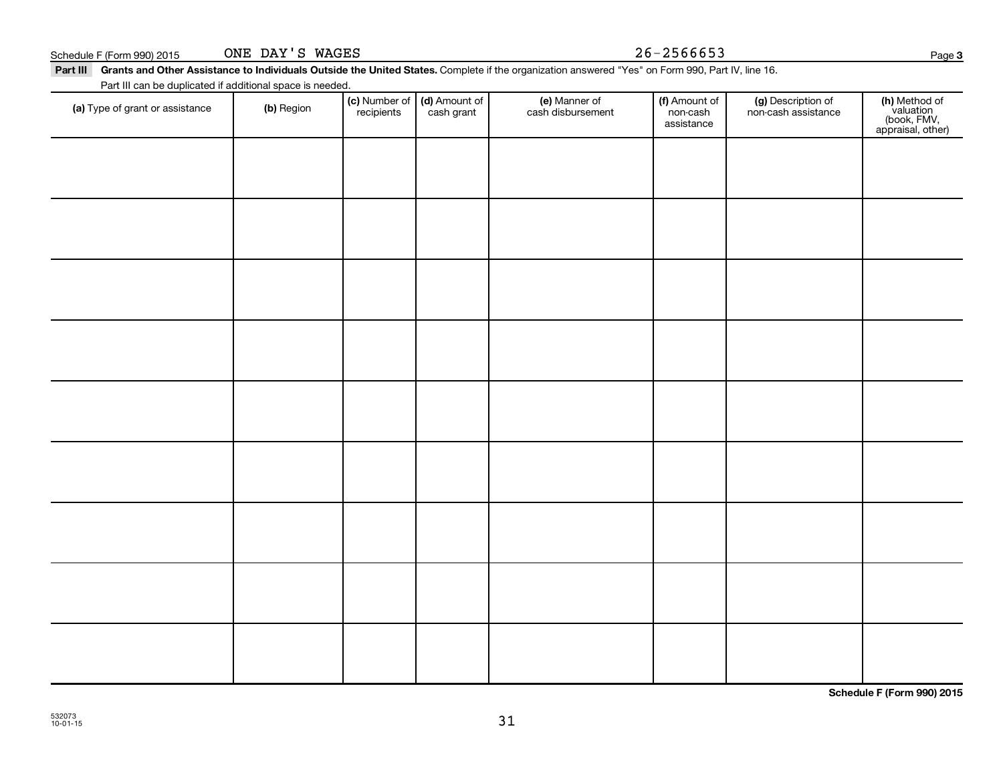### Part III Grants and Other Assistance to Individuals Outside the United States. Complete if the organization answered "Yes" on Form 990, Part IV, line 16. Schedule F (Form 990) 2015  $\qquad \qquad \text{ONE } \text{DAY } 'S \text{ WAGES}$   $26-2566653$ Part III can be duplicated if additional space is needed. ONE DAY'S WAGES

| (a) Type of grant or assistance | (b) Region | (c) Number of (d) Amount of<br>recipients cash grant | (e) Manner of<br>cash disbursement | (f) Amount of<br>non-cash<br>assistance | (g) Description of<br>non-cash assistance | (h) Method of<br>valuation<br>(book, FMV,<br>appraisal, other) |
|---------------------------------|------------|------------------------------------------------------|------------------------------------|-----------------------------------------|-------------------------------------------|----------------------------------------------------------------|
|                                 |            |                                                      |                                    |                                         |                                           |                                                                |
|                                 |            |                                                      |                                    |                                         |                                           |                                                                |
|                                 |            |                                                      |                                    |                                         |                                           |                                                                |
|                                 |            |                                                      |                                    |                                         |                                           |                                                                |
|                                 |            |                                                      |                                    |                                         |                                           |                                                                |
|                                 |            |                                                      |                                    |                                         |                                           |                                                                |
|                                 |            |                                                      |                                    |                                         |                                           |                                                                |
|                                 |            |                                                      |                                    |                                         |                                           |                                                                |
|                                 |            |                                                      |                                    |                                         |                                           |                                                                |
|                                 |            |                                                      |                                    |                                         |                                           |                                                                |
|                                 |            |                                                      |                                    |                                         |                                           |                                                                |
|                                 |            |                                                      |                                    |                                         |                                           |                                                                |
|                                 |            |                                                      |                                    |                                         |                                           |                                                                |
|                                 |            |                                                      |                                    |                                         |                                           |                                                                |
|                                 |            |                                                      |                                    |                                         |                                           |                                                                |

**Schedule F (Form 990) 2015**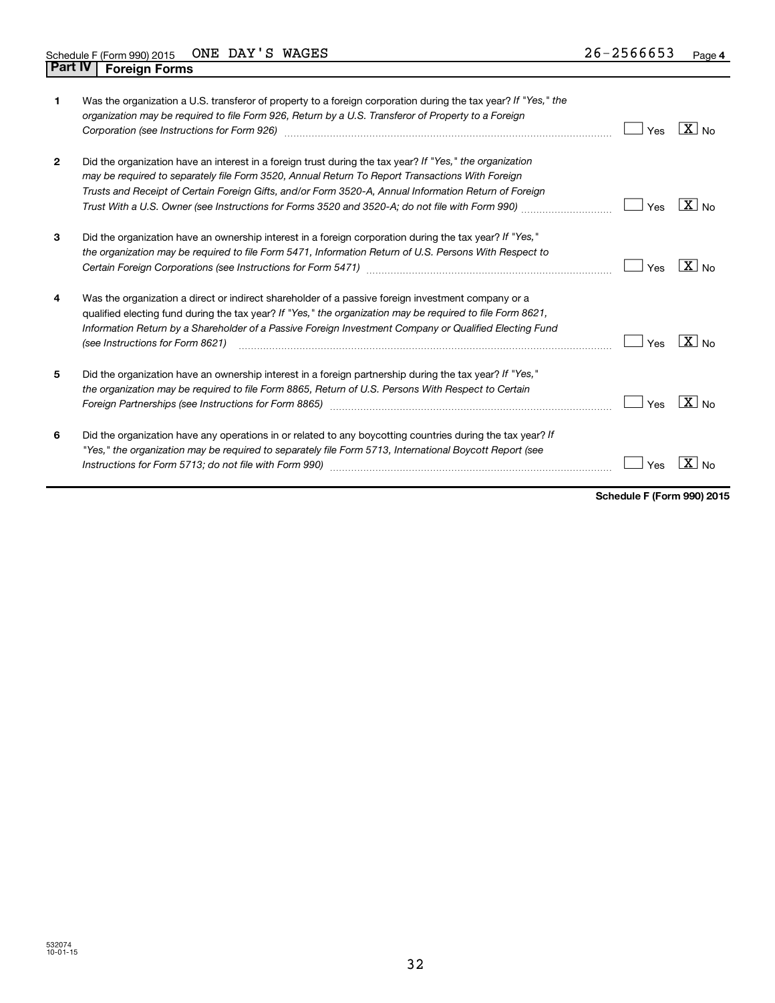| 1              | Was the organization a U.S. transferor of property to a foreign corporation during the tax year? If "Yes," the<br>organization may be required to file Form 926, Return by a U.S. Transferor of Property to a Foreign<br>Corporation (see Instructions for Form 926)                                                                                                                                                    | Yes | $\mid$ $\rm X \mid$ No |
|----------------|-------------------------------------------------------------------------------------------------------------------------------------------------------------------------------------------------------------------------------------------------------------------------------------------------------------------------------------------------------------------------------------------------------------------------|-----|------------------------|
| $\overline{2}$ | Did the organization have an interest in a foreign trust during the tax year? If "Yes," the organization<br>may be required to separately file Form 3520, Annual Return To Report Transactions With Foreign<br>Trusts and Receipt of Certain Foreign Gifts, and/or Form 3520-A, Annual Information Return of Foreign<br>Trust With a U.S. Owner (see Instructions for Forms 3520 and 3520-A; do not file with Form 990) | Yes | $X_{\text{No}}$        |
| 3              | Did the organization have an ownership interest in a foreign corporation during the tax year? If "Yes,"<br>the organization may be required to file Form 5471, Information Return of U.S. Persons With Respect to                                                                                                                                                                                                       | Yes | $X \mid N_{\Omega}$    |
| 4              | Was the organization a direct or indirect shareholder of a passive foreign investment company or a<br>qualified electing fund during the tax year? If "Yes," the organization may be required to file Form 8621,<br>Information Return by a Shareholder of a Passive Foreign Investment Company or Qualified Electing Fund<br>(see Instructions for Form 8621)                                                          | Yes | $\vert$ X $\vert$ No   |
| 5              | Did the organization have an ownership interest in a foreign partnership during the tax year? If "Yes,"<br>the organization may be required to file Form 8865, Return of U.S. Persons With Respect to Certain<br>Foreign Partnerships (see Instructions for Form 8865) [11] [12] The Manus Martin Manus Manus Manus Manus Manus                                                                                         | Yes | $ X _{\sf No}$         |
| 6              | Did the organization have any operations in or related to any boycotting countries during the tax year? If<br>"Yes," the organization may be required to separately file Form 5713, International Boycott Report (see                                                                                                                                                                                                   | Yes |                        |

**Schedule F (Form 990) 2015**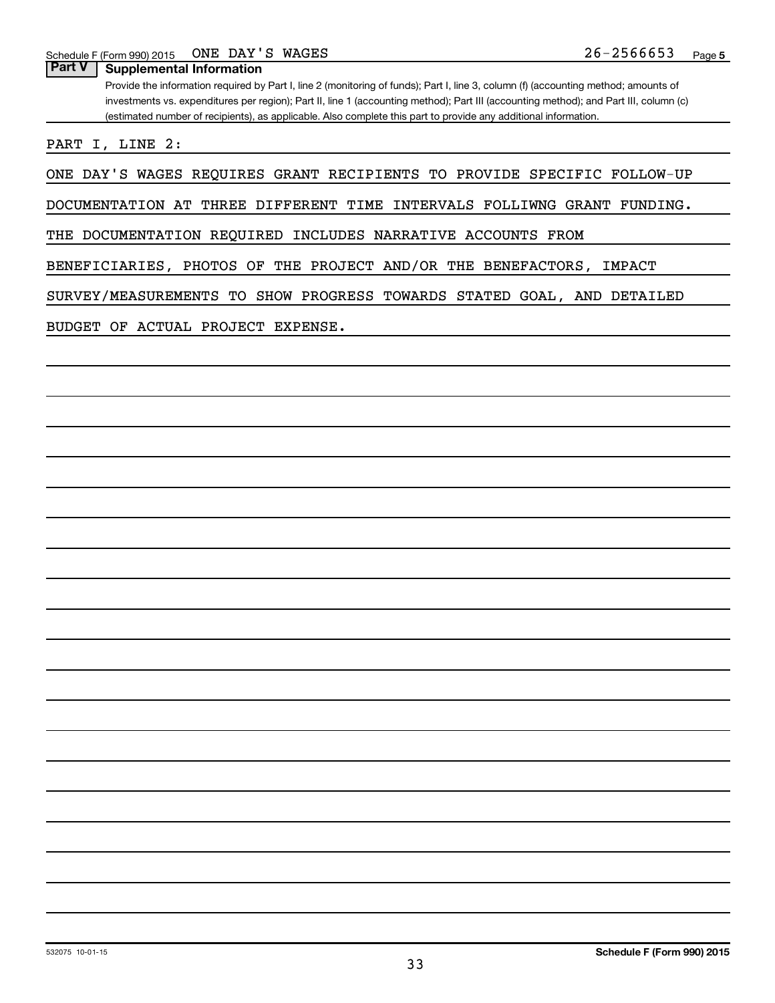**Part V Supplemental Information**

Provide the information required by Part I, line 2 (monitoring of funds); Part I, line 3, column (f) (accounting method; amounts of investments vs. expenditures per region); Part II, line 1 (accounting method); Part III (accounting method); and Part III, column (c) (estimated number of recipients), as applicable. Also complete this part to provide any additional information.

PART I, LINE 2:

ONE DAY'S WAGES REQUIRES GRANT RECIPIENTS TO PROVIDE SPECIFIC FOLLOW-UP

DOCUMENTATION AT THREE DIFFERENT TIME INTERVALS FOLLIWNG GRANT FUNDING.

THE DOCUMENTATION REQUIRED INCLUDES NARRATIVE ACCOUNTS FROM

BENEFICIARIES, PHOTOS OF THE PROJECT AND/OR THE BENEFACTORS, IMPACT

SURVEY/MEASUREMENTS TO SHOW PROGRESS TOWARDS STATED GOAL, AND DETAILED

BUDGET OF ACTUAL PROJECT EXPENSE.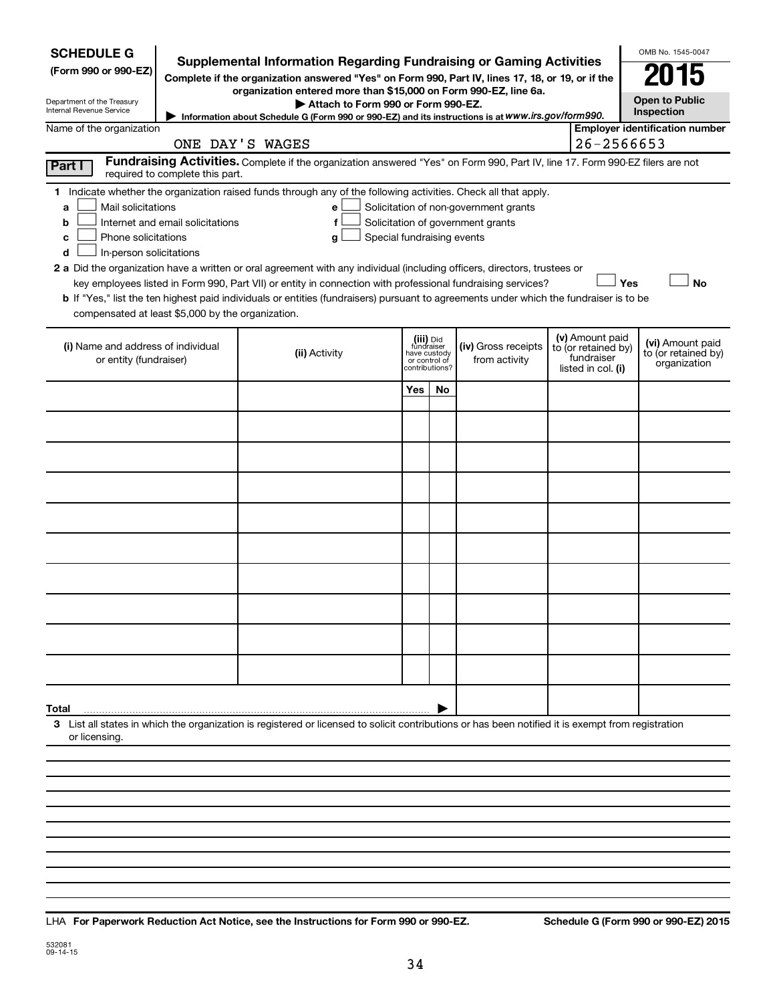| <b>SCHEDULE G</b><br>(Form 990 or 990-EZ)<br>Department of the Treasury<br>Internal Revenue Service                                                                                                                                                                                                                                                                                                                                                                                                                                                                                                                                                                                        | <b>Supplemental Information Regarding Fundraising or Gaming Activities</b><br>Complete if the organization answered "Yes" on Form 990, Part IV, lines 17, 18, or 19, or if the<br>organization entered more than \$15,000 on Form 990-EZ, line 6a.<br>Attach to Form 990 or Form 990-EZ.<br>Information about Schedule G (Form 990 or 990-EZ) and its instructions is at WWW.irs.gov/form990. |     |    |                                                                            |                | OMB No. 1545-0047<br><b>Open to Public</b><br>Inspection |
|--------------------------------------------------------------------------------------------------------------------------------------------------------------------------------------------------------------------------------------------------------------------------------------------------------------------------------------------------------------------------------------------------------------------------------------------------------------------------------------------------------------------------------------------------------------------------------------------------------------------------------------------------------------------------------------------|-----------------------------------------------------------------------------------------------------------------------------------------------------------------------------------------------------------------------------------------------------------------------------------------------------------------------------------------------------------------------------------------------|-----|----|----------------------------------------------------------------------------|----------------|----------------------------------------------------------|
| Name of the organization                                                                                                                                                                                                                                                                                                                                                                                                                                                                                                                                                                                                                                                                   |                                                                                                                                                                                                                                                                                                                                                                                               |     |    |                                                                            |                | <b>Employer identification number</b>                    |
|                                                                                                                                                                                                                                                                                                                                                                                                                                                                                                                                                                                                                                                                                            | ONE DAY'S WAGES<br>Fundraising Activities. Complete if the organization answered "Yes" on Form 990, Part IV, line 17. Form 990-EZ filers are not                                                                                                                                                                                                                                              |     |    |                                                                            | $26 - 2566653$ |                                                          |
| Part I<br>required to complete this part.                                                                                                                                                                                                                                                                                                                                                                                                                                                                                                                                                                                                                                                  |                                                                                                                                                                                                                                                                                                                                                                                               |     |    |                                                                            |                |                                                          |
| 1 Indicate whether the organization raised funds through any of the following activities. Check all that apply.<br>Mail solicitations<br>a<br>Internet and email solicitations<br>b<br>Phone solicitations<br>c<br>In-person solicitations<br>d<br>2 a Did the organization have a written or oral agreement with any individual (including officers, directors, trustees or<br>key employees listed in Form 990, Part VII) or entity in connection with professional fundraising services?<br>b If "Yes," list the ten highest paid individuals or entities (fundraisers) pursuant to agreements under which the fundraiser is to be<br>compensated at least \$5,000 by the organization. | е<br>f<br>Special fundraising events<br>g                                                                                                                                                                                                                                                                                                                                                     |     |    | Solicitation of non-government grants<br>Solicitation of government grants |                | <b>No</b><br>Yes                                         |
| (i) Name and address of individual<br>or entity (fundraiser)                                                                                                                                                                                                                                                                                                                                                                                                                                                                                                                                                                                                                               | (v) Amount paid<br>(iii) Did<br>fundraiser<br>(iv) Gross receipts<br>to (or retained by)<br>(ii) Activity<br>have custody<br>fundraiser<br>from activity<br>or control of<br>contributions?<br>listed in col. (i)                                                                                                                                                                             |     |    | (vi) Amount paid<br>to (or retained by)<br>organization                    |                |                                                          |
|                                                                                                                                                                                                                                                                                                                                                                                                                                                                                                                                                                                                                                                                                            |                                                                                                                                                                                                                                                                                                                                                                                               | Yes | No |                                                                            |                |                                                          |
|                                                                                                                                                                                                                                                                                                                                                                                                                                                                                                                                                                                                                                                                                            |                                                                                                                                                                                                                                                                                                                                                                                               |     |    |                                                                            |                |                                                          |
|                                                                                                                                                                                                                                                                                                                                                                                                                                                                                                                                                                                                                                                                                            |                                                                                                                                                                                                                                                                                                                                                                                               |     |    |                                                                            |                |                                                          |
|                                                                                                                                                                                                                                                                                                                                                                                                                                                                                                                                                                                                                                                                                            |                                                                                                                                                                                                                                                                                                                                                                                               |     |    |                                                                            |                |                                                          |
|                                                                                                                                                                                                                                                                                                                                                                                                                                                                                                                                                                                                                                                                                            |                                                                                                                                                                                                                                                                                                                                                                                               |     |    |                                                                            |                |                                                          |
|                                                                                                                                                                                                                                                                                                                                                                                                                                                                                                                                                                                                                                                                                            |                                                                                                                                                                                                                                                                                                                                                                                               |     |    |                                                                            |                |                                                          |
|                                                                                                                                                                                                                                                                                                                                                                                                                                                                                                                                                                                                                                                                                            |                                                                                                                                                                                                                                                                                                                                                                                               |     |    |                                                                            |                |                                                          |
|                                                                                                                                                                                                                                                                                                                                                                                                                                                                                                                                                                                                                                                                                            |                                                                                                                                                                                                                                                                                                                                                                                               |     |    |                                                                            |                |                                                          |
|                                                                                                                                                                                                                                                                                                                                                                                                                                                                                                                                                                                                                                                                                            |                                                                                                                                                                                                                                                                                                                                                                                               |     |    |                                                                            |                |                                                          |
|                                                                                                                                                                                                                                                                                                                                                                                                                                                                                                                                                                                                                                                                                            |                                                                                                                                                                                                                                                                                                                                                                                               |     |    |                                                                            |                |                                                          |
|                                                                                                                                                                                                                                                                                                                                                                                                                                                                                                                                                                                                                                                                                            |                                                                                                                                                                                                                                                                                                                                                                                               |     |    |                                                                            |                |                                                          |
|                                                                                                                                                                                                                                                                                                                                                                                                                                                                                                                                                                                                                                                                                            |                                                                                                                                                                                                                                                                                                                                                                                               |     |    |                                                                            |                |                                                          |
|                                                                                                                                                                                                                                                                                                                                                                                                                                                                                                                                                                                                                                                                                            |                                                                                                                                                                                                                                                                                                                                                                                               |     |    |                                                                            |                |                                                          |
| Total<br>3 List all states in which the organization is registered or licensed to solicit contributions or has been notified it is exempt from registration<br>or licensing.                                                                                                                                                                                                                                                                                                                                                                                                                                                                                                               |                                                                                                                                                                                                                                                                                                                                                                                               |     |    |                                                                            |                |                                                          |
|                                                                                                                                                                                                                                                                                                                                                                                                                                                                                                                                                                                                                                                                                            |                                                                                                                                                                                                                                                                                                                                                                                               |     |    |                                                                            |                |                                                          |
|                                                                                                                                                                                                                                                                                                                                                                                                                                                                                                                                                                                                                                                                                            |                                                                                                                                                                                                                                                                                                                                                                                               |     |    |                                                                            |                |                                                          |
|                                                                                                                                                                                                                                                                                                                                                                                                                                                                                                                                                                                                                                                                                            |                                                                                                                                                                                                                                                                                                                                                                                               |     |    |                                                                            |                |                                                          |

**For Paperwork Reduction Act Notice, see the Instructions for Form 990 or 990-EZ. Schedule G (Form 990 or 990-EZ) 2015** LHA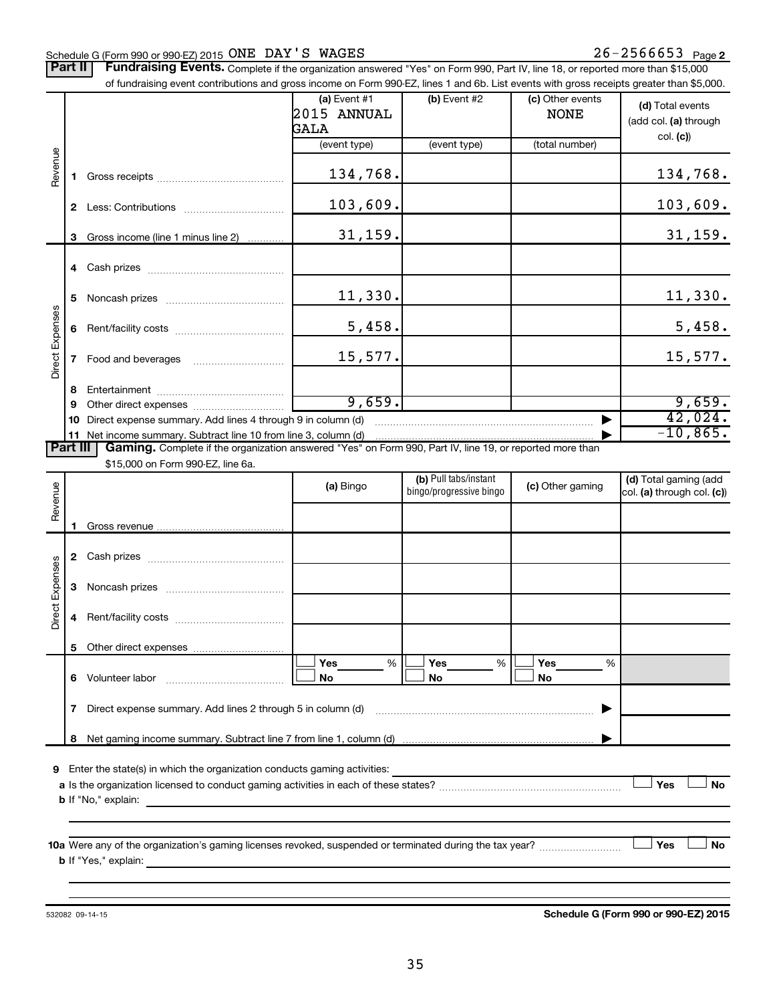### Schedule G (Form 990 or 990-EZ) 2015  $\overline{ONE}$   $\overline{DAY}$   $\overline{S}$   $\overline{WAGES}$  26  $\overline{S}$  2566653  $\overline{Page}$

Part II | Fundraising Events. Complete if the organization answered "Yes" on Form 990, Part IV, line 18, or reported more than \$15,000

|                 |              | of fundraising event contributions and gross income on Form 990-EZ, lines 1 and 6b. List events with gross receipts greater than \$5,000.                                                                                                                   |                                       |                         |                                 |                                           |
|-----------------|--------------|-------------------------------------------------------------------------------------------------------------------------------------------------------------------------------------------------------------------------------------------------------------|---------------------------------------|-------------------------|---------------------------------|-------------------------------------------|
|                 |              |                                                                                                                                                                                                                                                             | (a) Event $#1$<br>2015 ANNUAL<br>GALA | (b) Event #2            | (c) Other events<br><b>NONE</b> | (d) Total events<br>(add col. (a) through |
|                 |              |                                                                                                                                                                                                                                                             | (event type)                          | (event type)            | (total number)                  | col. (c)                                  |
| Revenue         |              |                                                                                                                                                                                                                                                             |                                       |                         |                                 |                                           |
|                 | 1.           |                                                                                                                                                                                                                                                             | 134,768.                              |                         |                                 | 134,768.                                  |
|                 | $\mathbf{2}$ |                                                                                                                                                                                                                                                             | 103,609.                              |                         |                                 | 103,609.                                  |
|                 | 3            | Gross income (line 1 minus line 2)                                                                                                                                                                                                                          | 31, 159.                              |                         |                                 | 31, 159.                                  |
|                 |              |                                                                                                                                                                                                                                                             |                                       |                         |                                 |                                           |
|                 | 5            |                                                                                                                                                                                                                                                             | 11,330.                               |                         |                                 | 11,330.                                   |
|                 | 6            |                                                                                                                                                                                                                                                             | 5,458.                                |                         |                                 | 5,458.                                    |
| Direct Expenses | 7            | Food and beverages                                                                                                                                                                                                                                          | 15,577.                               |                         |                                 | 15,577.                                   |
|                 | 8            |                                                                                                                                                                                                                                                             |                                       |                         |                                 |                                           |
|                 | 9            |                                                                                                                                                                                                                                                             | 9,659.                                |                         |                                 | 9,659.                                    |
|                 | 10           | Direct expense summary. Add lines 4 through 9 in column (d)                                                                                                                                                                                                 |                                       |                         |                                 | 42,024.                                   |
|                 |              | 11 Net income summary. Subtract line 10 from line 3, column (d)                                                                                                                                                                                             |                                       |                         |                                 | $-10,865.$                                |
| <b>Part III</b> |              | Gaming. Complete if the organization answered "Yes" on Form 990, Part IV, line 19, or reported more than                                                                                                                                                    |                                       |                         |                                 |                                           |
|                 |              | \$15,000 on Form 990-EZ, line 6a.                                                                                                                                                                                                                           |                                       | (b) Pull tabs/instant   |                                 | (d) Total gaming (add                     |
| Revenue         |              |                                                                                                                                                                                                                                                             | (a) Bingo                             | bingo/progressive bingo | (c) Other gaming                | col. (a) through col. (c))                |
|                 |              |                                                                                                                                                                                                                                                             |                                       |                         |                                 |                                           |
|                 | п.           |                                                                                                                                                                                                                                                             |                                       |                         |                                 |                                           |
|                 |              |                                                                                                                                                                                                                                                             |                                       |                         |                                 |                                           |
|                 | $\mathbf{2}$ |                                                                                                                                                                                                                                                             |                                       |                         |                                 |                                           |
| Direct Expenses | 3            |                                                                                                                                                                                                                                                             |                                       |                         |                                 |                                           |
|                 | 4            |                                                                                                                                                                                                                                                             |                                       |                         |                                 |                                           |
|                 |              | 5 Other direct expenses                                                                                                                                                                                                                                     |                                       |                         |                                 |                                           |
|                 | 6.           | Volunteer labor                                                                                                                                                                                                                                             | %<br>Yes<br>No                        | %<br>Yes<br>No          | Yes<br>%<br>No                  |                                           |
|                 | 7            | Direct expense summary. Add lines 2 through 5 in column (d)                                                                                                                                                                                                 |                                       |                         |                                 |                                           |
|                 | 8            |                                                                                                                                                                                                                                                             |                                       |                         |                                 |                                           |
|                 |              |                                                                                                                                                                                                                                                             |                                       |                         |                                 |                                           |
| 9               |              | Enter the state(s) in which the organization conducts gaming activities:                                                                                                                                                                                    |                                       |                         |                                 |                                           |
|                 |              |                                                                                                                                                                                                                                                             |                                       |                         |                                 | Yes<br><b>No</b>                          |
|                 |              | <b>b</b> If "No," explain:<br>the control of the control of the control of the control of the control of the control of the control of the control of the control of the control of the control of the control of the control of the control of the control |                                       |                         |                                 |                                           |
|                 |              |                                                                                                                                                                                                                                                             |                                       |                         |                                 |                                           |
|                 |              |                                                                                                                                                                                                                                                             |                                       |                         |                                 | Yes<br>No                                 |
|                 |              | <b>b</b> If "Yes," explain:                                                                                                                                                                                                                                 |                                       |                         |                                 |                                           |

532082 09-14-15

**Schedule G (Form 990 or 990-EZ) 2015**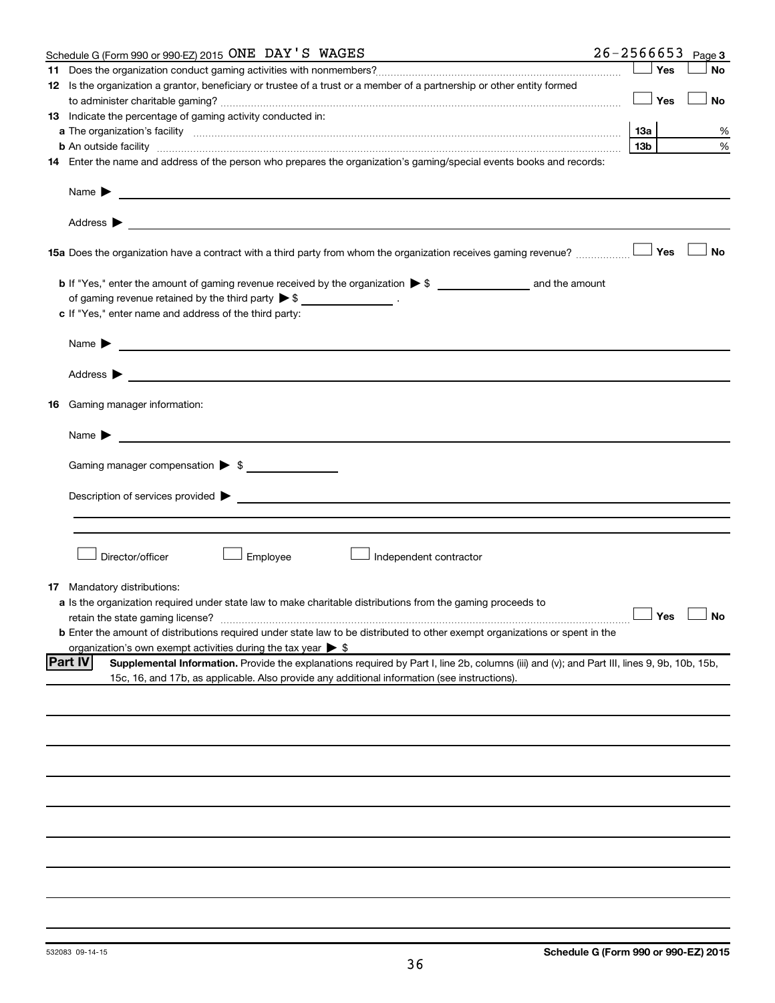| Schedule G (Form 990 or 990-EZ) 2015 ONE DAY'S WAGES                                                                                                                                                                                                               | $26 - 2566653$ |                 |     | Page 3               |
|--------------------------------------------------------------------------------------------------------------------------------------------------------------------------------------------------------------------------------------------------------------------|----------------|-----------------|-----|----------------------|
|                                                                                                                                                                                                                                                                    |                |                 | Yes | <b>No</b>            |
| 12 Is the organization a grantor, beneficiary or trustee of a trust or a member of a partnership or other entity formed                                                                                                                                            |                |                 |     |                      |
|                                                                                                                                                                                                                                                                    |                |                 | Yes | No                   |
| 13 Indicate the percentage of gaming activity conducted in:                                                                                                                                                                                                        |                |                 |     |                      |
|                                                                                                                                                                                                                                                                    |                | 13а             |     | %                    |
| <b>b</b> An outside facility <i>www.communicality communicality communicality communicality communically communically communically communically communically communically communically communically communically communically communi</i>                          |                | 13 <sub>b</sub> |     | %                    |
| 14 Enter the name and address of the person who prepares the organization's gaming/special events books and records:                                                                                                                                               |                |                 |     |                      |
| Name $\blacktriangleright$<br><u>and the control of the control of the control of the control of the control of the control of the control of</u>                                                                                                                  |                |                 |     |                      |
|                                                                                                                                                                                                                                                                    |                |                 |     |                      |
| 15a Does the organization have a contract with a third party from whom the organization receives gaming revenue?                                                                                                                                                   |                |                 | Yes | <b>No</b>            |
|                                                                                                                                                                                                                                                                    |                |                 |     |                      |
| of gaming revenue retained by the third party $\triangleright$ \$ ___________________.                                                                                                                                                                             |                |                 |     |                      |
| c If "Yes," enter name and address of the third party:                                                                                                                                                                                                             |                |                 |     |                      |
|                                                                                                                                                                                                                                                                    |                |                 |     |                      |
| <u>and the state of the state of the state of the state of the state of the state of the state of the state of the state of the state of the state of the state of the state of the state of the state of the state of the state</u><br>Name $\blacktriangleright$ |                |                 |     |                      |
| Address $\blacktriangleright$<br><u> 1989 - Johann John Stein, markin fizzar eta idazlea (h. 1989).</u>                                                                                                                                                            |                |                 |     |                      |
| 16 Gaming manager information:                                                                                                                                                                                                                                     |                |                 |     |                      |
|                                                                                                                                                                                                                                                                    |                |                 |     |                      |
| <u>and the state of the state of the state of the state of the state of the state of the state of the state of the state of the state of the state of the state of the state of the state of the state of the state of the state</u><br>Name $\blacktriangleright$ |                |                 |     |                      |
| Gaming manager compensation > \$                                                                                                                                                                                                                                   |                |                 |     |                      |
|                                                                                                                                                                                                                                                                    |                |                 |     |                      |
|                                                                                                                                                                                                                                                                    |                |                 |     |                      |
|                                                                                                                                                                                                                                                                    |                |                 |     |                      |
|                                                                                                                                                                                                                                                                    |                |                 |     |                      |
| Director/officer<br>Employee<br>Independent contractor                                                                                                                                                                                                             |                |                 |     |                      |
|                                                                                                                                                                                                                                                                    |                |                 |     |                      |
| <b>17</b> Mandatory distributions:                                                                                                                                                                                                                                 |                |                 |     |                      |
| a Is the organization required under state law to make charitable distributions from the gaming proceeds to                                                                                                                                                        |                |                 |     | $\Box$ Yes $\Box$ No |
| retain the state gaming license?<br><b>b</b> Enter the amount of distributions required under state law to be distributed to other exempt organizations or spent in the                                                                                            |                |                 |     |                      |
| organization's own exempt activities during the tax year $\triangleright$ \$                                                                                                                                                                                       |                |                 |     |                      |
| <b>Part IV</b><br>Supplemental Information. Provide the explanations required by Part I, line 2b, columns (iii) and (v); and Part III, lines 9, 9b, 10b, 15b,                                                                                                      |                |                 |     |                      |
| 15c, 16, and 17b, as applicable. Also provide any additional information (see instructions).                                                                                                                                                                       |                |                 |     |                      |
|                                                                                                                                                                                                                                                                    |                |                 |     |                      |
|                                                                                                                                                                                                                                                                    |                |                 |     |                      |
|                                                                                                                                                                                                                                                                    |                |                 |     |                      |
|                                                                                                                                                                                                                                                                    |                |                 |     |                      |
|                                                                                                                                                                                                                                                                    |                |                 |     |                      |
|                                                                                                                                                                                                                                                                    |                |                 |     |                      |
|                                                                                                                                                                                                                                                                    |                |                 |     |                      |
|                                                                                                                                                                                                                                                                    |                |                 |     |                      |
|                                                                                                                                                                                                                                                                    |                |                 |     |                      |
|                                                                                                                                                                                                                                                                    |                |                 |     |                      |
|                                                                                                                                                                                                                                                                    |                |                 |     |                      |
|                                                                                                                                                                                                                                                                    |                |                 |     |                      |
|                                                                                                                                                                                                                                                                    |                |                 |     |                      |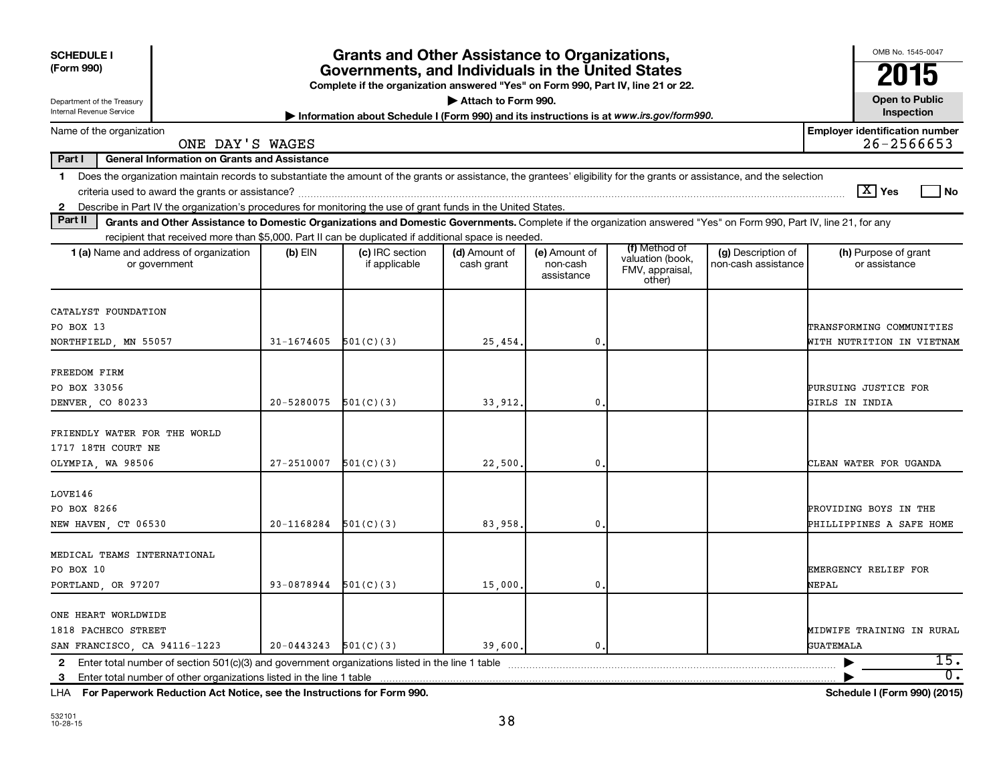| <b>Grants and Other Assistance to Organizations,</b><br><b>SCHEDULE I</b>                                                                                                                     |                                                                                                                                                                                                                                                                                     |                                                                                                                                       |                             |                                         |                                                                | OMB No. 1545-0047                         |                                                         |  |  |  |  |
|-----------------------------------------------------------------------------------------------------------------------------------------------------------------------------------------------|-------------------------------------------------------------------------------------------------------------------------------------------------------------------------------------------------------------------------------------------------------------------------------------|---------------------------------------------------------------------------------------------------------------------------------------|-----------------------------|-----------------------------------------|----------------------------------------------------------------|-------------------------------------------|---------------------------------------------------------|--|--|--|--|
| (Form 990)                                                                                                                                                                                    |                                                                                                                                                                                                                                                                                     | Governments, and Individuals in the United States<br>Complete if the organization answered "Yes" on Form 990, Part IV, line 21 or 22. |                             |                                         |                                                                |                                           | 2015                                                    |  |  |  |  |
| Department of the Treasury<br>Internal Revenue Service                                                                                                                                        |                                                                                                                                                                                                                                                                                     | Information about Schedule I (Form 990) and its instructions is at www.irs.gov/form990.                                               | Attach to Form 990.         |                                         |                                                                |                                           | <b>Open to Public</b><br>Inspection                     |  |  |  |  |
| Name of the organization<br>ONE DAY'S WAGES                                                                                                                                                   |                                                                                                                                                                                                                                                                                     |                                                                                                                                       |                             |                                         |                                                                |                                           | <b>Employer identification number</b><br>$26 - 2566653$ |  |  |  |  |
| Part I<br><b>General Information on Grants and Assistance</b>                                                                                                                                 |                                                                                                                                                                                                                                                                                     |                                                                                                                                       |                             |                                         |                                                                |                                           |                                                         |  |  |  |  |
| Does the organization maintain records to substantiate the amount of the grants or assistance, the grantees' eligibility for the grants or assistance, and the selection<br>1<br>$\mathbf{2}$ |                                                                                                                                                                                                                                                                                     |                                                                                                                                       |                             |                                         |                                                                |                                           | $ \mathbf{X} $ Yes<br>l No                              |  |  |  |  |
| Part II                                                                                                                                                                                       | Describe in Part IV the organization's procedures for monitoring the use of grant funds in the United States.<br>Grants and Other Assistance to Domestic Organizations and Domestic Governments. Complete if the organization answered "Yes" on Form 990, Part IV, line 21, for any |                                                                                                                                       |                             |                                         |                                                                |                                           |                                                         |  |  |  |  |
| recipient that received more than \$5,000. Part II can be duplicated if additional space is needed.                                                                                           |                                                                                                                                                                                                                                                                                     |                                                                                                                                       |                             |                                         |                                                                |                                           |                                                         |  |  |  |  |
| 1 (a) Name and address of organization<br>or government                                                                                                                                       | $(b)$ EIN                                                                                                                                                                                                                                                                           | (c) IRC section<br>if applicable                                                                                                      | (d) Amount of<br>cash grant | (e) Amount of<br>non-cash<br>assistance | (f) Method of<br>valuation (book,<br>FMV, appraisal,<br>other) | (g) Description of<br>non-cash assistance | (h) Purpose of grant<br>or assistance                   |  |  |  |  |
| CATALYST FOUNDATION<br>PO BOX 13                                                                                                                                                              |                                                                                                                                                                                                                                                                                     |                                                                                                                                       |                             |                                         |                                                                |                                           | TRANSFORMING COMMUNITIES                                |  |  |  |  |
| NORTHFIELD, MN 55057                                                                                                                                                                          | 31-1674605                                                                                                                                                                                                                                                                          | 501(C)(3)                                                                                                                             | 25,454                      | 0                                       |                                                                |                                           | WITH NUTRITION IN VIETNAM                               |  |  |  |  |
| FREEDOM FIRM<br>PO BOX 33056<br>DENVER, CO 80233                                                                                                                                              | 20-5280075                                                                                                                                                                                                                                                                          | 501(C)(3)                                                                                                                             | 33,912                      | 0                                       |                                                                |                                           | PURSUING JUSTICE FOR<br>GIRLS IN INDIA                  |  |  |  |  |
| FRIENDLY WATER FOR THE WORLD<br>1717 18TH COURT NE<br>OLYMPIA, WA 98506                                                                                                                       | $27 - 2510007$                                                                                                                                                                                                                                                                      | 501(C)(3)                                                                                                                             | 22,500                      | 0                                       |                                                                |                                           | CLEAN WATER FOR UGANDA                                  |  |  |  |  |
| LOVE146<br>PO BOX 8266<br>NEW HAVEN, CT 06530                                                                                                                                                 | 20-1168284                                                                                                                                                                                                                                                                          | 501(C)(3)                                                                                                                             | 83,958                      | 0                                       |                                                                |                                           | PROVIDING BOYS IN THE<br>PHILLIPPINES A SAFE HOME       |  |  |  |  |
| MEDICAL TEAMS INTERNATIONAL<br>PO BOX 10<br>PORTLAND, OR 97207                                                                                                                                | 93-0878944                                                                                                                                                                                                                                                                          | 501(C)(3)                                                                                                                             | 15,000                      | 0                                       |                                                                |                                           | EMERGENCY RELIEF FOR<br>NEPAL                           |  |  |  |  |
| ONE HEART WORLDWIDE<br>1818 PACHECO STREET<br>SAN FRANCISCO, CA 94116-1223                                                                                                                    | 20-0443243                                                                                                                                                                                                                                                                          | 501(C)(3)                                                                                                                             | 39,600.                     | $\mathbf{0}$                            |                                                                |                                           | MIDWIFE TRAINING IN RURAL<br><b>GUATEMALA</b>           |  |  |  |  |
| $\mathbf{2}$                                                                                                                                                                                  |                                                                                                                                                                                                                                                                                     |                                                                                                                                       |                             |                                         |                                                                |                                           | 15.                                                     |  |  |  |  |
| 3                                                                                                                                                                                             | $\overline{0}$ .                                                                                                                                                                                                                                                                    |                                                                                                                                       |                             |                                         |                                                                |                                           |                                                         |  |  |  |  |

**For Paperwork Reduction Act Notice, see the Instructions for Form 990. Schedule I (Form 990) (2015)** LHA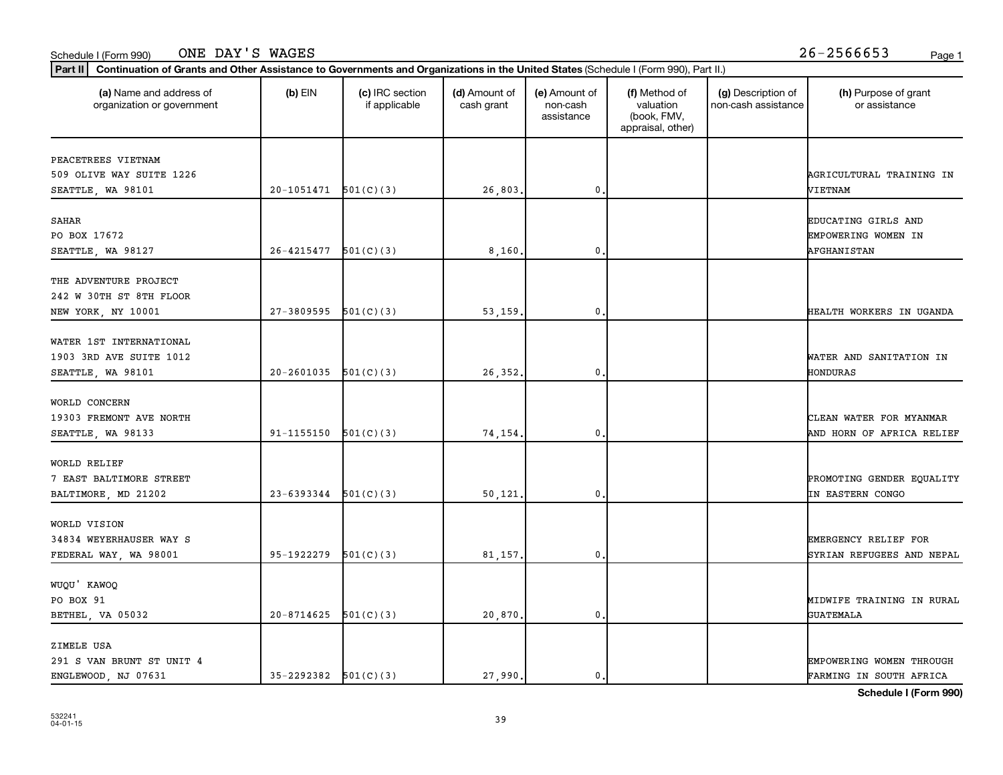WUQU' KAWOQ

ZIMELE USA

| ONE DAY'S WAGES<br>Schedule I (Form 990)                                                                                                       |                            |                                  |                             |                                         |                                                                |                                           | $26 - 2566653$<br>Page 1                                         |
|------------------------------------------------------------------------------------------------------------------------------------------------|----------------------------|----------------------------------|-----------------------------|-----------------------------------------|----------------------------------------------------------------|-------------------------------------------|------------------------------------------------------------------|
| Continuation of Grants and Other Assistance to Governments and Organizations in the United States (Schedule I (Form 990), Part II.)<br>Part II |                            |                                  |                             |                                         |                                                                |                                           |                                                                  |
| (a) Name and address of<br>organization or government                                                                                          | $(b)$ EIN                  | (c) IRC section<br>if applicable | (d) Amount of<br>cash grant | (e) Amount of<br>non-cash<br>assistance | (f) Method of<br>valuation<br>(book, FMV,<br>appraisal, other) | (g) Description of<br>non-cash assistance | (h) Purpose of grant<br>or assistance                            |
| PEACETREES VIETNAM<br>509 OLIVE WAY SUITE 1226                                                                                                 |                            |                                  |                             |                                         |                                                                |                                           | AGRICULTURAL TRAINING IN                                         |
| SEATTLE, WA 98101                                                                                                                              | $20-1051471$ $501(C)(3)$   |                                  | 26,803.                     | 0.                                      |                                                                |                                           | VIETNAM                                                          |
| SAHAR<br>PO BOX 17672<br>SEATTLE, WA 98127                                                                                                     | $26 - 4215477$ $501(C)(3)$ |                                  | 8,160.                      | $\mathfrak o$ .                         |                                                                |                                           | EDUCATING GIRLS AND<br>EMPOWERING WOMEN IN<br><b>AFGHANISTAN</b> |
| THE ADVENTURE PROJECT<br>242 W 30TH ST 8TH FLOOR<br>NEW YORK, NY 10001                                                                         | $27-3809595$ $501(C)(3)$   |                                  | 53,159.                     | 0.                                      |                                                                |                                           | HEALTH WORKERS IN UGANDA                                         |
| WATER 1ST INTERNATIONAL<br>1903 3RD AVE SUITE 1012<br>SEATTLE, WA 98101                                                                        | $20-2601035$ $501(C)(3)$   |                                  | 26,352.                     | 0.                                      |                                                                |                                           | WATER AND SANITATION IN<br>HONDURAS                              |
| WORLD CONCERN<br>19303 FREMONT AVE NORTH<br>SEATTLE, WA 98133                                                                                  | 91-1155150                 | 501(C)(3)                        | 74,154.                     | 0.                                      |                                                                |                                           | CLEAN WATER FOR MYANMAR<br>AND HORN OF AFRICA RELIEF             |
| WORLD RELIEF<br>7 EAST BALTIMORE STREET<br>BALTIMORE, MD 21202                                                                                 | $23-6393344$ $501(C)(3)$   |                                  | 50, 121.                    | $\mathbf{0}$ .                          |                                                                |                                           | PROMOTING GENDER EQUALITY<br>IN EASTERN CONGO                    |
| WORLD VISION<br>34834 WEYERHAUSER WAY S                                                                                                        |                            |                                  |                             |                                         |                                                                |                                           | <b>EMERGENCY RELIEF FOR</b>                                      |

FEDERAL WAY, WA 98001 95-1922279 501(C)(3) 81,157. 0. SYRIAN REFUGEES AND NEPAL

PO BOX 91 MIDWIFE TRAINING IN RURAL

291 S VAN BRUNT ST UNIT 4 FOUGH EMPOWERING WOMEN THROUGH ENGLEWOOD, NJ 07631 35-2292382 501(C)(3) | 27,990. 0. 0. | FARMING IN SOUTH AFRICA

39

BETHEL, VA 05032 20-8714625 501(C)(3) 20,870. 20,870. 0.

**Schedule I (Form 990)**

26-2566653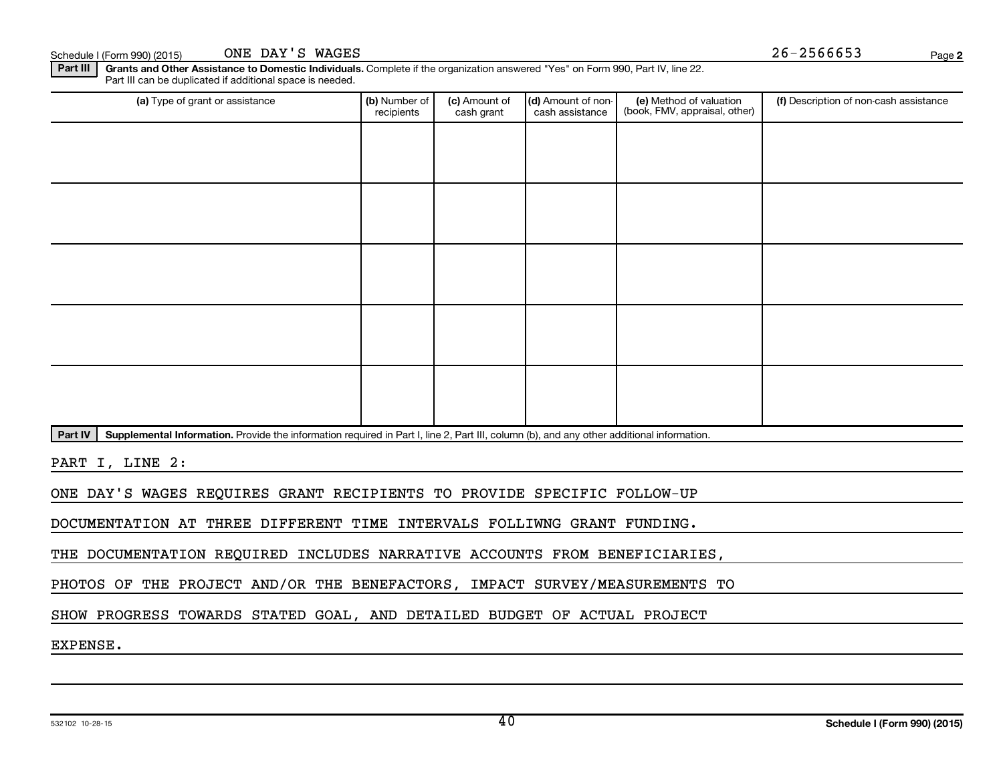Schedule I (Form 990) (2015) ONE DAY'S WAGES  $26-2566653$ ONE DAY'S WAGES

Part III | Grants and Other Assistance to Domestic Individuals. Complete if the organization answered "Yes" on Form 990, Part IV, line 22. Part III can be duplicated if additional space is needed.

| (a) Type of grant or assistance                                                                                                                      | (b) Number of<br>recipients | (c) Amount of<br>cash grant | (d) Amount of non-<br>cash assistance | (e) Method of valuation<br>(book, FMV, appraisal, other) | (f) Description of non-cash assistance |
|------------------------------------------------------------------------------------------------------------------------------------------------------|-----------------------------|-----------------------------|---------------------------------------|----------------------------------------------------------|----------------------------------------|
|                                                                                                                                                      |                             |                             |                                       |                                                          |                                        |
|                                                                                                                                                      |                             |                             |                                       |                                                          |                                        |
|                                                                                                                                                      |                             |                             |                                       |                                                          |                                        |
|                                                                                                                                                      |                             |                             |                                       |                                                          |                                        |
|                                                                                                                                                      |                             |                             |                                       |                                                          |                                        |
|                                                                                                                                                      |                             |                             |                                       |                                                          |                                        |
|                                                                                                                                                      |                             |                             |                                       |                                                          |                                        |
|                                                                                                                                                      |                             |                             |                                       |                                                          |                                        |
|                                                                                                                                                      |                             |                             |                                       |                                                          |                                        |
|                                                                                                                                                      |                             |                             |                                       |                                                          |                                        |
| Part IV<br>Supplemental Information. Provide the information required in Part I, line 2, Part III, column (b), and any other additional information. |                             |                             |                                       |                                                          |                                        |

PART I, LINE 2:

ONE DAY'S WAGES REQUIRES GRANT RECIPIENTS TO PROVIDE SPECIFIC FOLLOW-UP

DOCUMENTATION AT THREE DIFFERENT TIME INTERVALS FOLLIWNG GRANT FUNDING.

THE DOCUMENTATION REQUIRED INCLUDES NARRATIVE ACCOUNTS FROM BENEFICIARIES,

PHOTOS OF THE PROJECT AND/OR THE BENEFACTORS, IMPACT SURVEY/MEASUREMENTS TO

SHOW PROGRESS TOWARDS STATED GOAL, AND DETAILED BUDGET OF ACTUAL PROJECT

EXPENSE.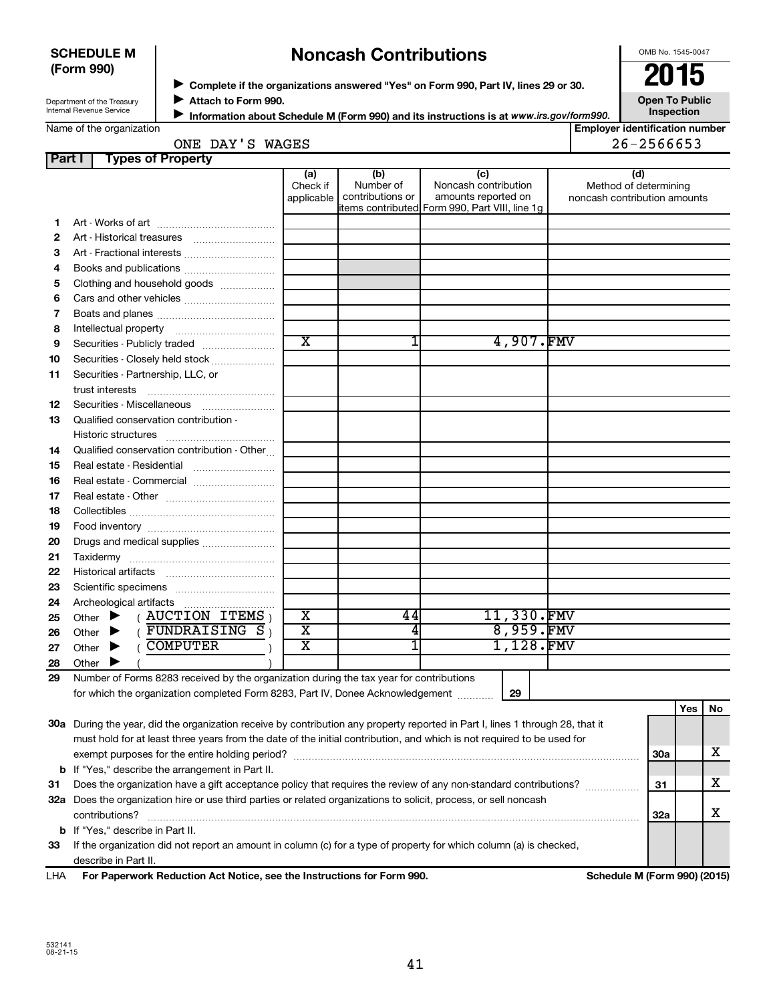### **SCHEDULE M (Form 990)**

## **Noncash Contributions**

OMB No. 1545-0047

| Department of the Treasury |
|----------------------------|
| Internal Revenue Service   |

◆ Complete if the organizations answered "Yes" on Form 990, Part IV, lines 29 or 30.<br>▶ Complete if the organizations answered "Yes" on Form 990, Part IV, lines 29 or 30. **Attach to Form 990.**  $\blacktriangleright$ 

**Open To Public Inspection**

| Name of the organization |  |
|--------------------------|--|
|                          |  |

**Information about Schedule M (Form 990) and its instructions is at**  *www.irs.gov/form990.*  $\blacktriangleright$ 

| <b>Employer identification number</b> |  |
|---------------------------------------|--|
| $36 - 3566653$                        |  |

### ONE DAY'S WAGES 26-2566653

| <b>Part I</b> | <b>Types of Property</b>                                                                                                       |                               |                                      |                                                                                                      |                                                              |     |     |    |  |
|---------------|--------------------------------------------------------------------------------------------------------------------------------|-------------------------------|--------------------------------------|------------------------------------------------------------------------------------------------------|--------------------------------------------------------------|-----|-----|----|--|
|               |                                                                                                                                | (a)<br>Check if<br>applicable | (b)<br>Number of<br>contributions or | (c)<br>Noncash contribution<br>amounts reported on<br>items contributed Form 990, Part VIII, line 1g | (d)<br>Method of determining<br>noncash contribution amounts |     |     |    |  |
| 1             |                                                                                                                                |                               |                                      |                                                                                                      |                                                              |     |     |    |  |
| 2             |                                                                                                                                |                               |                                      |                                                                                                      |                                                              |     |     |    |  |
| З             | Art - Fractional interests                                                                                                     |                               |                                      |                                                                                                      |                                                              |     |     |    |  |
| 4             | Books and publications                                                                                                         |                               |                                      |                                                                                                      |                                                              |     |     |    |  |
| 5             | Clothing and household goods                                                                                                   |                               |                                      |                                                                                                      |                                                              |     |     |    |  |
| 6             | Cars and other vehicles                                                                                                        |                               |                                      |                                                                                                      |                                                              |     |     |    |  |
| 7             |                                                                                                                                |                               |                                      |                                                                                                      |                                                              |     |     |    |  |
| 8             |                                                                                                                                |                               |                                      |                                                                                                      |                                                              |     |     |    |  |
| 9             | Securities - Publicly traded                                                                                                   | $\overline{\text{x}}$         | 1                                    | 4,907.FMV                                                                                            |                                                              |     |     |    |  |
| 10            | Securities - Closely held stock                                                                                                |                               |                                      |                                                                                                      |                                                              |     |     |    |  |
| 11            | Securities - Partnership, LLC, or                                                                                              |                               |                                      |                                                                                                      |                                                              |     |     |    |  |
|               | trust interests                                                                                                                |                               |                                      |                                                                                                      |                                                              |     |     |    |  |
| 12            | Securities - Miscellaneous                                                                                                     |                               |                                      |                                                                                                      |                                                              |     |     |    |  |
| 13            | Qualified conservation contribution -                                                                                          |                               |                                      |                                                                                                      |                                                              |     |     |    |  |
|               |                                                                                                                                |                               |                                      |                                                                                                      |                                                              |     |     |    |  |
| 14            | Qualified conservation contribution - Other                                                                                    |                               |                                      |                                                                                                      |                                                              |     |     |    |  |
| 15            |                                                                                                                                |                               |                                      |                                                                                                      |                                                              |     |     |    |  |
| 16            | Real estate - Commercial                                                                                                       |                               |                                      |                                                                                                      |                                                              |     |     |    |  |
| 17            |                                                                                                                                |                               |                                      |                                                                                                      |                                                              |     |     |    |  |
| 18            |                                                                                                                                |                               |                                      |                                                                                                      |                                                              |     |     |    |  |
| 19            |                                                                                                                                |                               |                                      |                                                                                                      |                                                              |     |     |    |  |
| 20            | Drugs and medical supplies                                                                                                     |                               |                                      |                                                                                                      |                                                              |     |     |    |  |
| 21            |                                                                                                                                |                               |                                      |                                                                                                      |                                                              |     |     |    |  |
| 22            |                                                                                                                                |                               |                                      |                                                                                                      |                                                              |     |     |    |  |
| 23            |                                                                                                                                |                               |                                      |                                                                                                      |                                                              |     |     |    |  |
| 24            | Archeological artifacts                                                                                                        |                               |                                      |                                                                                                      |                                                              |     |     |    |  |
| 25            | (AUCTION ITEMS)<br>Other $\blacktriangleright$                                                                                 | $\overline{\mathbf{x}}$       | 44                                   | 11,330.FMV                                                                                           |                                                              |     |     |    |  |
| 26            | $($ FUNDRAISING $S$ )<br>Other $\blacktriangleright$                                                                           | $\overline{\text{x}}$         | 4                                    | 8,959.FMV                                                                                            |                                                              |     |     |    |  |
| 27            | <b>COMPUTER</b><br>Other $\blacktriangleright$                                                                                 | $\overline{\textbf{x}}$       | 1                                    | 1,128.FMV                                                                                            |                                                              |     |     |    |  |
| 28            | Other $\blacktriangleright$                                                                                                    |                               |                                      |                                                                                                      |                                                              |     |     |    |  |
| 29            | Number of Forms 8283 received by the organization during the tax year for contributions                                        |                               |                                      |                                                                                                      |                                                              |     |     |    |  |
|               | for which the organization completed Form 8283, Part IV, Donee Acknowledgement                                                 |                               |                                      | 29                                                                                                   |                                                              |     |     |    |  |
|               |                                                                                                                                |                               |                                      |                                                                                                      |                                                              |     | Yes | No |  |
|               | 30a During the year, did the organization receive by contribution any property reported in Part I, lines 1 through 28, that it |                               |                                      |                                                                                                      |                                                              |     |     |    |  |
|               | must hold for at least three years from the date of the initial contribution, and which is not required to be used for         |                               |                                      |                                                                                                      |                                                              |     |     |    |  |
|               | <b>30a</b>                                                                                                                     |                               |                                      |                                                                                                      |                                                              |     |     |    |  |
|               | <b>b</b> If "Yes," describe the arrangement in Part II.                                                                        |                               |                                      |                                                                                                      |                                                              |     |     |    |  |
| 31            | Does the organization have a gift acceptance policy that requires the review of any non-standard contributions?                |                               |                                      |                                                                                                      |                                                              | 31  |     | x  |  |
|               | 32a Does the organization hire or use third parties or related organizations to solicit, process, or sell noncash              |                               |                                      |                                                                                                      |                                                              |     |     |    |  |
|               | contributions?                                                                                                                 |                               |                                      |                                                                                                      |                                                              | 32a |     | х  |  |
|               | <b>b</b> If "Yes," describe in Part II.                                                                                        |                               |                                      |                                                                                                      |                                                              |     |     |    |  |
| 33            | If the organization did not report an amount in column (c) for a type of property for which column (a) is checked,             |                               |                                      |                                                                                                      |                                                              |     |     |    |  |
|               | describe in Part II.                                                                                                           |                               |                                      |                                                                                                      |                                                              |     |     |    |  |

**For Paperwork Reduction Act Notice, see the Instructions for Form 990. Schedule M (Form 990) (2015)** LHA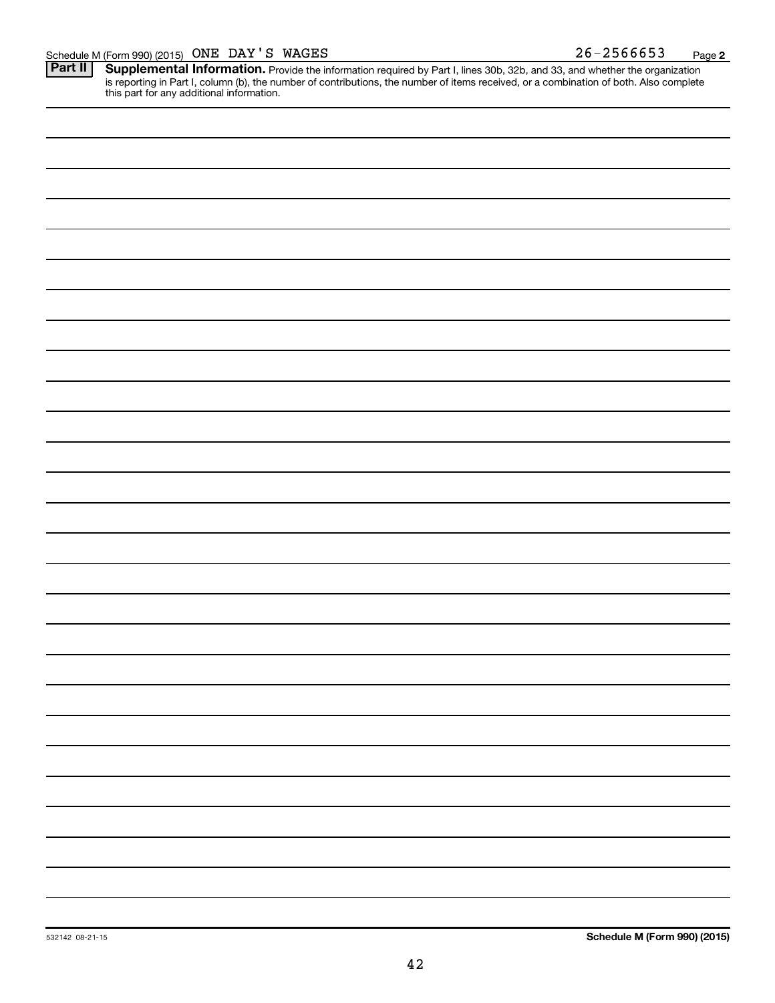Provide the information required by Part I, lines 30b, 32b, and 33, and whether the organization is reporting in Part I, column (b), the number of contributions, the number of items received, or a combination of both. Also complete this part for any additional information. **Part II Supplemental Information.**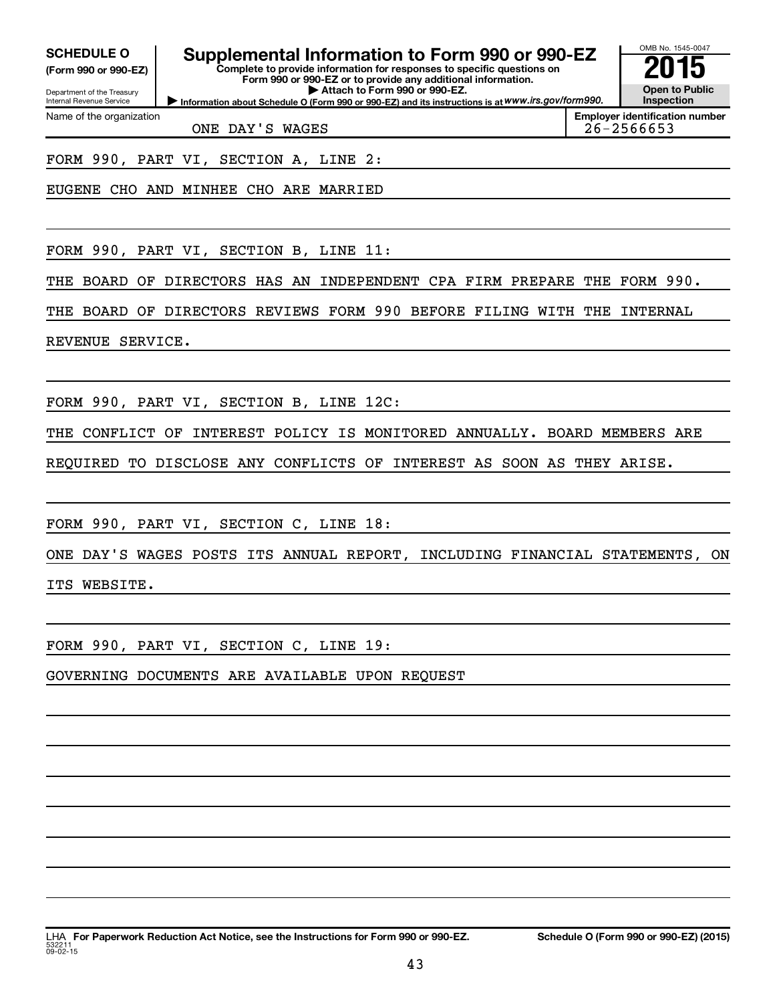**(Form 990 or 990-EZ)**

Department of the Treasury Internal Revenue Service

Name of the organization

## **SCHEDULE O Supplemental Information to Form 990 or 990-EZ** <br>(Form 990 or 990-EZ)<br>**2015**

**Information about Schedule O (Form 990 or 990-EZ) and its instructions is at WWW.irs.gov/form990. Complete to provide information for responses to specific questions on Form 990 or 990-EZ or to provide any additional information. | Attach to Form 990 or 990-EZ.**



**Employer identification number** ONE DAY'S WAGES 26-2566653

### FORM 990, PART VI, SECTION A, LINE 2:

EUGENE CHO AND MINHEE CHO ARE MARRIED

FORM 990, PART VI, SECTION B, LINE 11:

THE BOARD OF DIRECTORS HAS AN INDEPENDENT CPA FIRM PREPARE THE FORM 990.

THE BOARD OF DIRECTORS REVIEWS FORM 990 BEFORE FILING WITH THE INTERNAL

REVENUE SERVICE.

FORM 990, PART VI, SECTION B, LINE 12C:

THE CONFLICT OF INTEREST POLICY IS MONITORED ANNUALLY. BOARD MEMBERS ARE

REQUIRED TO DISCLOSE ANY CONFLICTS OF INTEREST AS SOON AS THEY ARISE.

FORM 990, PART VI, SECTION C, LINE 18:

ONE DAY'S WAGES POSTS ITS ANNUAL REPORT, INCLUDING FINANCIAL STATEMENTS, ON ITS WEBSITE.

FORM 990, PART VI, SECTION C, LINE 19:

GOVERNING DOCUMENTS ARE AVAILABLE UPON REQUEST